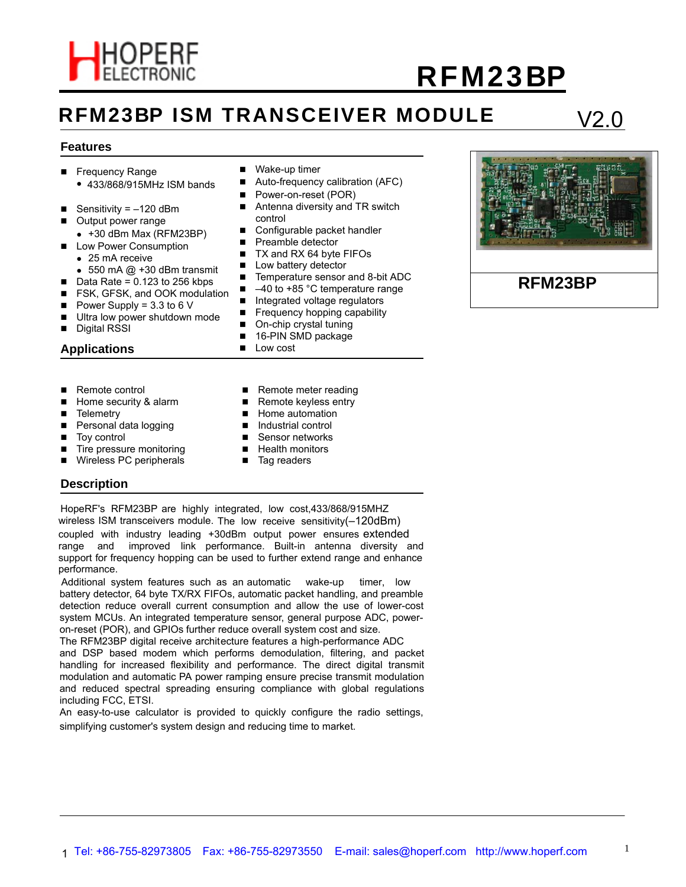

# **RFM23BP ISM TRANSCEIVER MODULE**

## V2.0

#### **Features**

- Frequency Range
	- 433/868/915MHz ISM bands
- Sensitivity =  $-120$  dBm
- Output power range
	- $\bullet$  +30 dBm Max (RFM23BP)
- **Low Power Consumption** 
	- $\bullet$  25 mA receive
- $\bullet$  550 mA  $@$  +30 dBm transmit
- $\blacksquare$  Data Rate = 0.123 to 256 kbps
- Power Supply =  $3.3$  to 6 V
- Ultra low power shutdown mode
- Digital RSSI
- **Applications**
- Remote control
- Home security & alarm
- **Telemetry**
- Personal data logging
- Toy control

**Description**

- Tire pressure monitoring
- Wireless PC peripherals
- Wake-up timer
- Auto-frequency calibration (AFC)
- Power-on-reset (POR)
- Antenna diversity and TR switch control
- Configurable packet handler
- **Preamble detector**
- TX and RX 64 byte FIFOs
- **Low battery detector**
- Temperature sensor and 8-bit ADC
- $\blacksquare$  FSK, GFSK, and OOK modulation  $\blacksquare$  -40 to +85 °C temperature range
	- Integrated voltage regulators
	- $\blacksquare$  Frequency hopping capability
	- On-chip crystal tuning
	- 16-PIN SMD package
	- **Low cost**
	- Remote meter reading
	- Remote keyless entry
	- **Home automation** ■ Industrial control
	- Sensor networks
	- **Health monitors**
	-
	- Tag readers

HopeRF's RFM23BP are highly integrated, low cost,433/868/915MHZ wireless ISM transceivers module. The low receive sensitivity(–120dBm) coupled with industry leading +30dBm output power ensures extended range and improved link performance. Built-in antenna diversity and support for frequency hopping can be used to further extend range and enhance performance.

Additional system features such as an automatic wake-up timer, low battery detector, 64 byte TX/RX FIFOs, automatic packet handling, and preamble detection reduce overall current consumption and allow the use of lower-cost system MCUs. An integrated temperature sensor, general purpose ADC, poweron-reset (POR), and GPIOs further reduce overall system cost and size.

The RFM23BP digital receive archit ecture features a high-performance ADC and DSP based modem which performs demodulation, filtering, and packet handling for increased flexibility and performance. The direct digital transmit modulation and automatic PA power ramping ensure precise transmit modulation and reduced spectral spreading ensuring compliance with global regulations including FCC, ETSI.

An easy-to-use calculator is provided to quickly configure the radio settings, simplifying customer's system design and reducing time to market.

### **RFM23BP**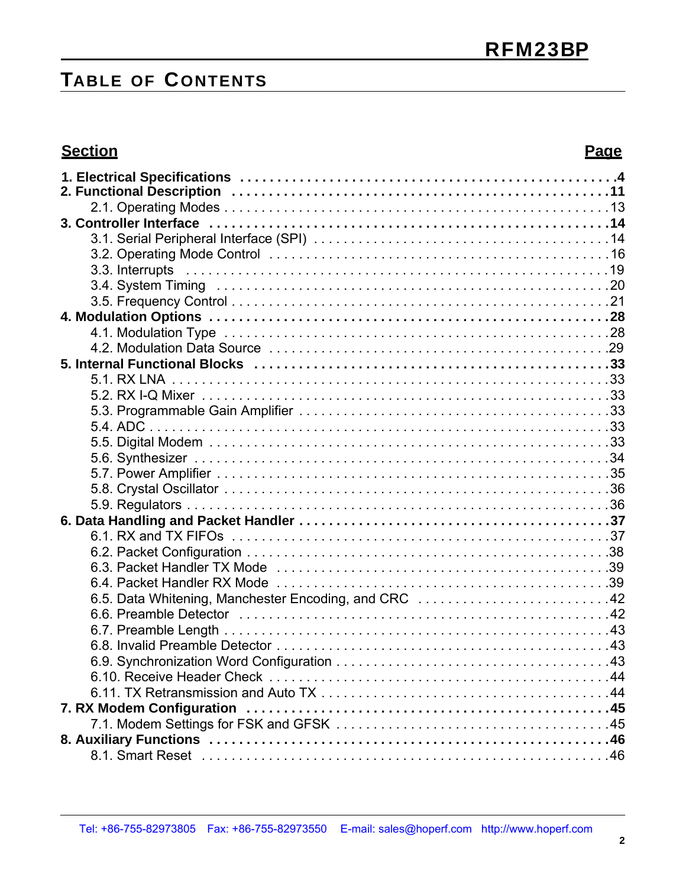# **TABLE OF C ONTENTS**

### **Section Page**

| 6.5. Data Whitening, Manchester Encoding, and CRC 42 |  |
|------------------------------------------------------|--|
|                                                      |  |
|                                                      |  |
|                                                      |  |
|                                                      |  |
|                                                      |  |
|                                                      |  |
|                                                      |  |
|                                                      |  |
|                                                      |  |
|                                                      |  |
|                                                      |  |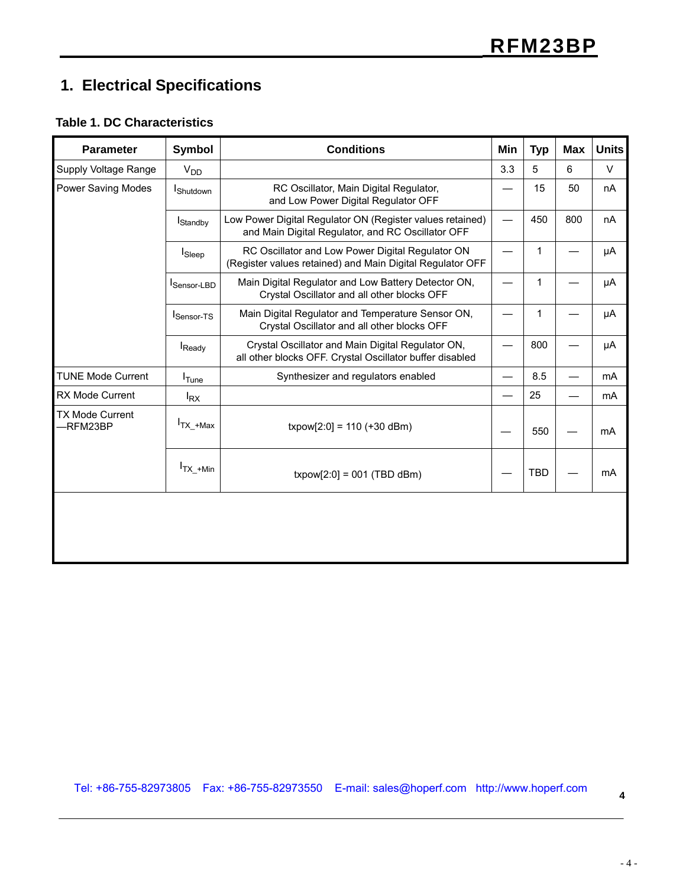## **1. Electrical Specifications**

#### **Table 1. DC Characteristics**

| <b>Parameter</b>                   | Symbol            | <b>Conditions</b>                                                                                              | Min | <b>Typ</b>   | <b>Max</b> | <b>Units</b>   |
|------------------------------------|-------------------|----------------------------------------------------------------------------------------------------------------|-----|--------------|------------|----------------|
| Supply Voltage Range               | V <sub>DD</sub>   |                                                                                                                | 3.3 | 5            | 6          | $\vee$         |
| <b>Power Saving Modes</b>          | <b>I</b> Shutdown | RC Oscillator, Main Digital Regulator,<br>and Low Power Digital Regulator OFF                                  |     | 15           | 50         | nA             |
|                                    | <b>I</b> Standby  | Low Power Digital Regulator ON (Register values retained)<br>and Main Digital Regulator, and RC Oscillator OFF |     | 450          | 800        | nA             |
|                                    | <b>I</b> Sleep    | RC Oscillator and Low Power Digital Regulator ON<br>(Register values retained) and Main Digital Regulator OFF  |     | 1            |            | μA             |
|                                    | Sensor-LBD        | Main Digital Regulator and Low Battery Detector ON,<br>Crystal Oscillator and all other blocks OFF             |     | $\mathbf{1}$ |            | μA             |
|                                    | Sensor-TS         | Main Digital Regulator and Temperature Sensor ON,<br>Crystal Oscillator and all other blocks OFF               |     | 1            |            | μA             |
|                                    | Ready             | Crystal Oscillator and Main Digital Regulator ON,<br>all other blocks OFF. Crystal Oscillator buffer disabled  |     | 800          |            | μA             |
| <b>TUNE Mode Current</b>           | I <sub>Tune</sub> | Synthesizer and regulators enabled                                                                             |     | 8.5          |            | m <sub>A</sub> |
| RX Mode Current                    | $I_{RX}$          |                                                                                                                |     | 25           |            | m <sub>A</sub> |
| <b>TX Mode Current</b><br>-RFM23BP | $Tx + Max$        | $txpow[2:0] = 110 (+30 dBm)$                                                                                   |     | 550          |            | mA             |
|                                    | $I_{TX_+M}$ in    | $txpow[2:0] = 001$ (TBD dBm)                                                                                   |     | <b>TBD</b>   |            | mA             |
|                                    |                   |                                                                                                                |     |              |            |                |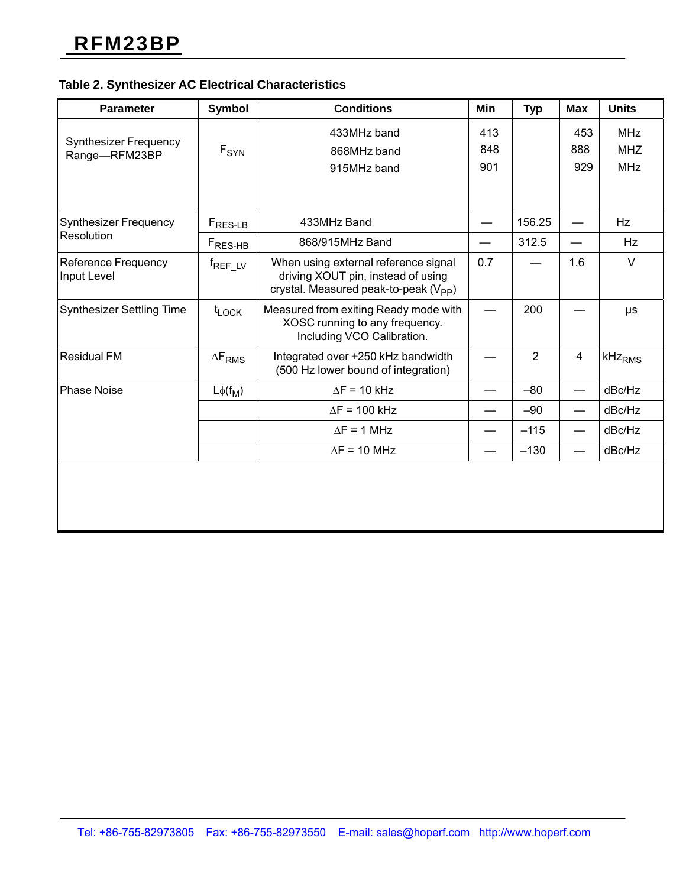#### **Table 2. Synthesizer AC Electrical Characteristics**

| <b>Parameter</b>                              | <b>Symbol</b>       | <b>Conditions</b>                                                                                                               | Min | <b>Typ</b>     | <b>Max</b>     | <b>Units</b>       |
|-----------------------------------------------|---------------------|---------------------------------------------------------------------------------------------------------------------------------|-----|----------------|----------------|--------------------|
|                                               |                     | 433MHz band                                                                                                                     | 413 |                | 453            | <b>MHz</b>         |
| <b>Synthesizer Frequency</b><br>Range-RFM23BP | $F_{SYN}$           | 868MHz band                                                                                                                     | 848 |                | 888            | <b>MHZ</b>         |
|                                               |                     | 915MHz band                                                                                                                     | 901 |                | 929            | <b>MHz</b>         |
|                                               |                     |                                                                                                                                 |     |                |                |                    |
| <b>Synthesizer Frequency</b>                  | $F_{RES-LB}$        | 433MHz Band                                                                                                                     |     | 156.25         |                | <b>Hz</b>          |
| Resolution                                    | $F_{RES-HB}$        | 868/915MHz Band                                                                                                                 |     | 312.5          |                | Hz                 |
| <b>Reference Frequency</b><br>Input Level     | f <sub>REF_LV</sub> | When using external reference signal<br>driving XOUT pin, instead of using<br>crystal. Measured peak-to-peak (V <sub>PP</sub> ) | 0.7 |                | 1.6            | $\vee$             |
| <b>Synthesizer Settling Time</b>              | $t_{\text{LOCK}}$   | Measured from exiting Ready mode with<br>XOSC running to any frequency.<br>Including VCO Calibration.                           |     | 200            |                | μs                 |
| <b>Residual FM</b>                            | $\Delta F_{RMS}$    | Integrated over ±250 kHz bandwidth<br>(500 Hz lower bound of integration)                                                       |     | $\overline{2}$ | $\overline{4}$ | kHz <sub>RMS</sub> |
| <b>Phase Noise</b>                            | $L\phi(f_M)$        | $\Delta F = 10$ kHz                                                                                                             |     | $-80$          |                | dBc/Hz             |
|                                               |                     | $\Delta F = 100$ kHz                                                                                                            |     | $-90$          |                | dBc/Hz             |
|                                               |                     | $\Delta F = 1$ MHz                                                                                                              |     | $-115$         |                | dBc/Hz             |
|                                               |                     | $\Delta F = 10$ MHz                                                                                                             |     | $-130$         |                | dBc/Hz             |
|                                               |                     |                                                                                                                                 |     |                |                |                    |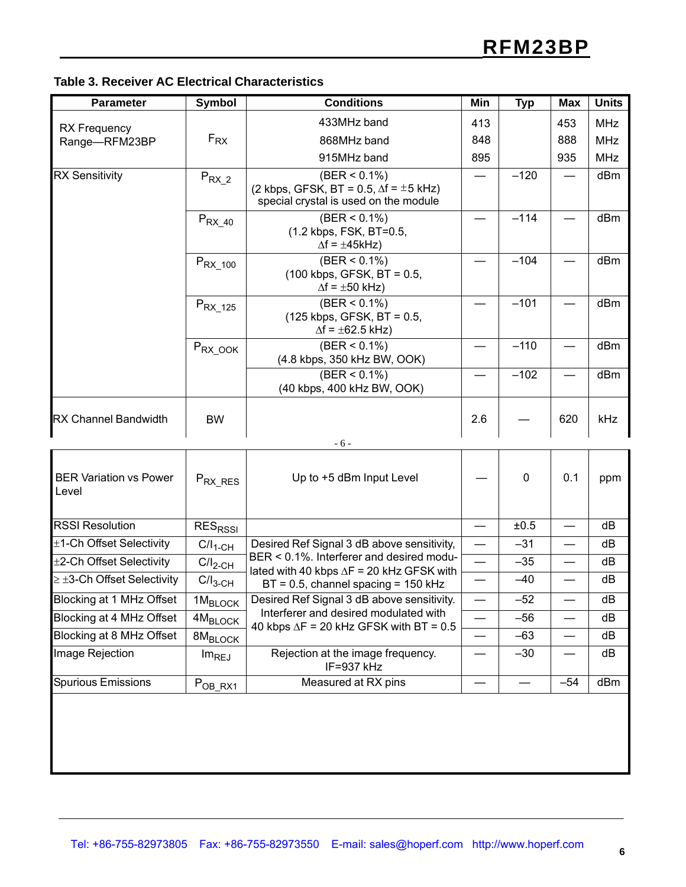| Table 3. Receiver AC Electrical Characteristics |  |  |
|-------------------------------------------------|--|--|
|-------------------------------------------------|--|--|

 $\geq \pm$ 3-Ch Offset Selectivity  $\left\| \right.$  C/I<sub>3-CH</sub>

Blocking at 8 MHz Offset  $\,$  8M<sub>BLOCK</sub>

| <b>Parameter</b>                       | <b>Symbol</b>             | <b>Conditions</b>                                                                                            | <b>Min</b>               | <b>Typ</b>  | <b>Max</b> | <b>Units</b> |
|----------------------------------------|---------------------------|--------------------------------------------------------------------------------------------------------------|--------------------------|-------------|------------|--------------|
|                                        |                           | 433MHz band                                                                                                  | 413                      |             | 453        | <b>MHz</b>   |
| <b>RX</b> Frequency<br>Range-RFM23BP   | $F_{RX}$                  | 868MHz band                                                                                                  | 848                      |             | 888        | <b>MHz</b>   |
|                                        |                           | 915MHz band                                                                                                  | 895                      |             | 935        | <b>MHz</b>   |
| <b>RX Sensitivity</b>                  | $P_{RX_2}$                | $(BER < 0.1\%)$<br>(2 kbps, GFSK, BT = 0.5, $\Delta f = \pm 5$ kHz)<br>special crystal is used on the module |                          | $-120$      |            | dBm          |
|                                        | $P_{RX\_40}$              | $(BER < 0.1\%)$<br>(1.2 kbps, FSK, BT=0.5,<br>$\Delta f = \pm 45$ kHz)                                       |                          | $-114$      |            | dBm          |
|                                        | $P_{RX\_100}$             | $(BER < 0.1\%)$<br>$(100 \text{ kbps}, \text{GFSK}, \text{BT} = 0.5,$<br>$\Delta f = \pm 50$ kHz)            |                          | $-104$      |            | dBm          |
|                                        | $P_{RX_125}$              | $(BER < 0.1\%)$<br>(125 kbps, GFSK, BT = 0.5,<br>$\Delta f = \pm 62.5$ kHz)                                  |                          | $-101$      |            | dBm          |
|                                        | $P_{RX\_OOOK}$            | $(BER < 0.1\%)$<br>(4.8 kbps, 350 kHz BW, OOK)                                                               |                          | $-110$      |            | dBm          |
|                                        |                           | $(BER < 0.1\%)$<br>(40 kbps, 400 kHz BW, OOK)                                                                |                          | $-102$      |            | dBm          |
| <b>RX Channel Bandwidth</b>            | <b>BW</b>                 | $-6-$                                                                                                        | 2.6                      |             | 620        | kHz          |
|                                        |                           |                                                                                                              |                          |             |            |              |
| <b>BER Variation vs Power</b><br>Level | $P_{RX\_RES}$             | Up to +5 dBm Input Level                                                                                     |                          | $\mathbf 0$ | 0.1        | ppm          |
| <b>RSSI Resolution</b>                 | <b>RES<sub>RSSI</sub></b> |                                                                                                              | $\overline{\phantom{0}}$ | ±0.5        |            | dB           |
| ±1-Ch Offset Selectivity               | $C/I_{1-CH}$              | Desired Ref Signal 3 dB above sensitivity,                                                                   | $\overline{\phantom{0}}$ | $-31$       |            | dB           |

 $\pm$ 2-Ch Offset Selectivity C/I<sub>2-CH</sub> — DER SULT%. Interieter and desired modu-<br>
lated with 40 kbps  $\Delta$ F = 20 kHz GFSK with  $\frac{35}{12}$ 

Blocking at 1 MHz Offset 1MBLOCK — –52 — dB Desired Ref Signal 3 dB above sensitivity.

Blocking at 4 MHz Offset 4MBLOCK — –56 — dB 40 kbps ΔF = 20 kHz GFSK with BT = 0.5 — –63 — dB

Spurious Emissions  $\begin{array}{|c|c|c|c|c|}\n\hline\n\end{array}$  P<sub>OB\_RX1</sub> Measured at RX pins  $\begin{array}{|c|c|c|c|c|}\n\hline\n-\end{array}$   $\begin{array}{|c|c|c|c|c|}\n-54 & \text{dBm} \\
\hline\n\end{array}$ 

Image Rejection  $\vert$  Im<sub>REJ</sub> Rejection at the image frequency.

BER < 0.1%. Interferer and desired modu-

Interferer and desired modulated with

IF=937 kHz

BT = 0.5, channel spacing = 150 kHz  $\boxed{-}$   $\boxed{-40}$   $\boxed{-}$  dB

 $-30$   $dB$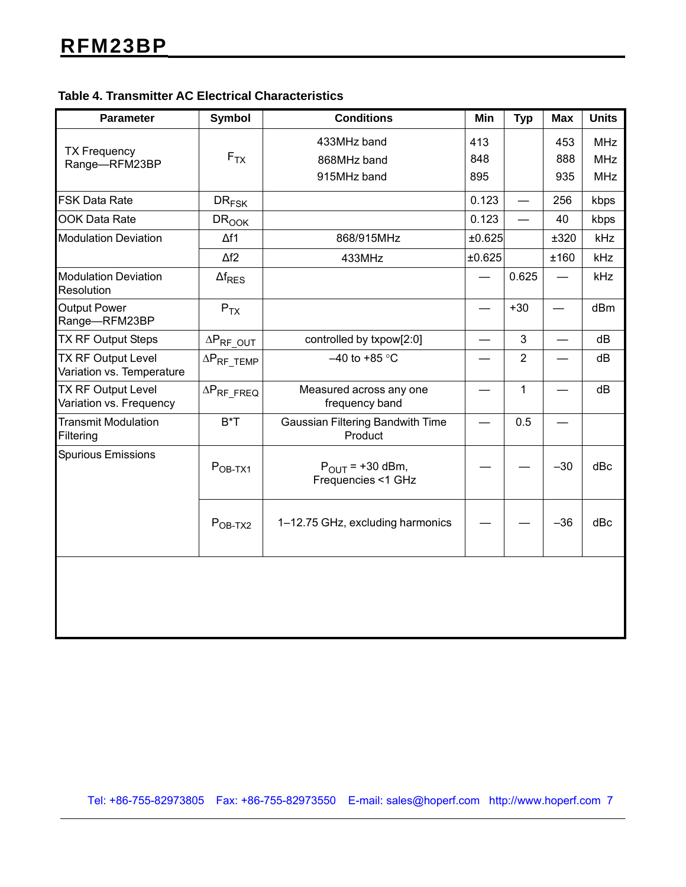### **Table 4. Transmitter AC Electrical Characteristics**

| <b>Parameter</b>                                       | <b>Symbol</b>         | <b>Conditions</b>                                  | Min    | <b>Typ</b>      | <b>Max</b>               | <b>Units</b> |
|--------------------------------------------------------|-----------------------|----------------------------------------------------|--------|-----------------|--------------------------|--------------|
|                                                        |                       | 433MHz band                                        | 413    |                 | 453                      | <b>MHz</b>   |
| <b>TX Frequency</b><br>Range-RFM23BP                   | $F_{TX}$              | 868MHz band                                        | 848    |                 | 888                      | <b>MHz</b>   |
|                                                        |                       | 915MHz band                                        | 895    |                 | 935                      | <b>MHz</b>   |
| <b>FSK Data Rate</b>                                   | $DR_{FSK}$            |                                                    | 0.123  | $\qquad \qquad$ | 256                      | kbps         |
| <b>OOK Data Rate</b>                                   | <b>DROOK</b>          |                                                    | 0.123  |                 | 40                       | kbps         |
| <b>Modulation Deviation</b>                            | $\Delta f1$           | 868/915MHz                                         | ±0.625 |                 | ±320                     | kHz          |
|                                                        | $\Delta f2$           | 433MHz                                             | ±0.625 |                 | ±160                     | kHz          |
| <b>Modulation Deviation</b><br>Resolution              | $\Delta f_{RES}$      |                                                    |        | 0.625           |                          | kHz          |
| <b>Output Power</b><br>Range-RFM23BP                   | $P_{TX}$              |                                                    |        | $+30$           |                          | dBm          |
| <b>TX RF Output Steps</b>                              | $\Delta P_{RF\_OUT}$  | controlled by txpow[2:0]                           | —      | 3               | $\overline{\phantom{0}}$ | dB           |
| <b>TX RF Output Level</b><br>Variation vs. Temperature | $\Delta P_{RF\_TEMP}$ | $-40$ to +85 °C                                    |        | $\overline{2}$  |                          | dB           |
| TX RF Output Level<br>Variation vs. Frequency          | $\Delta P_{RF\_FREG}$ | Measured across any one<br>frequency band          |        | 1               |                          | dB           |
| <b>Transmit Modulation</b><br>Filtering                | $B^*T$                | <b>Gaussian Filtering Bandwith Time</b><br>Product |        | 0.5             |                          |              |
| <b>Spurious Emissions</b>                              | $POB-TX1$             | $P_{OUIT}$ = +30 dBm,<br>Frequencies <1 GHz        |        |                 | $-30$                    | dBc          |
|                                                        | $POB-TX2$             | 1-12.75 GHz, excluding harmonics                   |        |                 | $-36$                    | dBc          |
|                                                        |                       |                                                    |        |                 |                          |              |

Tel: +86-755-82973805 Fax: +86-755-82973550 E-mail: sales@hoperf.com http://www.hoperf.com 7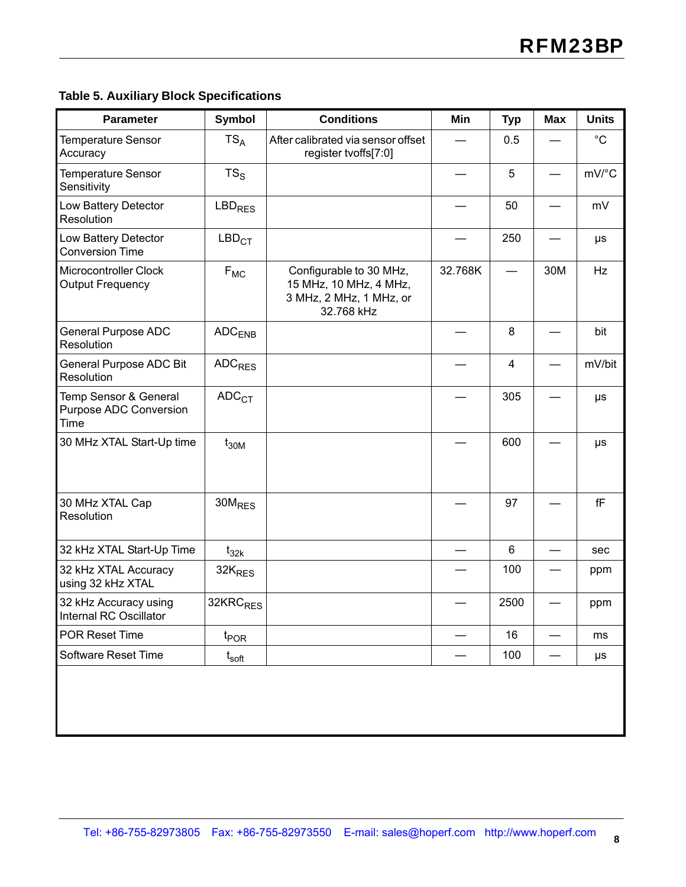### **Table 5. Auxiliary Block Specifications**

| $TS_A$<br>$TS_S$<br><b>LBD<sub>RES</sub></b><br>LBD <sub>CT</sub><br>$F_{MC}$<br>$ADC$ <sub>ENB</sub><br><b>ADC<sub>RES</sub></b><br>ADC <sub>CT</sub> | After calibrated via sensor offset<br>register tvoffs[7:0]<br>Configurable to 30 MHz,<br>15 MHz, 10 MHz, 4 MHz,<br>3 MHz, 2 MHz, 1 MHz, or<br>32.768 kHz | 32.768K | 0.5<br>5<br>50<br>250<br>8<br>$\overline{\mathbf{4}}$<br>305 | 30M | $^{\circ}C$<br>mV/°C<br>mV<br>$\mu s$<br>Hz<br>bit<br>mV/bit |
|--------------------------------------------------------------------------------------------------------------------------------------------------------|----------------------------------------------------------------------------------------------------------------------------------------------------------|---------|--------------------------------------------------------------|-----|--------------------------------------------------------------|
|                                                                                                                                                        |                                                                                                                                                          |         |                                                              |     |                                                              |
|                                                                                                                                                        |                                                                                                                                                          |         |                                                              |     |                                                              |
|                                                                                                                                                        |                                                                                                                                                          |         |                                                              |     |                                                              |
|                                                                                                                                                        |                                                                                                                                                          |         |                                                              |     |                                                              |
|                                                                                                                                                        |                                                                                                                                                          |         |                                                              |     |                                                              |
|                                                                                                                                                        |                                                                                                                                                          |         |                                                              |     |                                                              |
|                                                                                                                                                        |                                                                                                                                                          |         |                                                              |     |                                                              |
|                                                                                                                                                        |                                                                                                                                                          |         |                                                              |     | $\mu s$                                                      |
| $t_{30M}$                                                                                                                                              |                                                                                                                                                          |         | 600                                                          |     | μs                                                           |
| 30M <sub>RES</sub>                                                                                                                                     |                                                                                                                                                          |         | 97                                                           |     | $\mathsf{f}\mathsf{F}$                                       |
| $t_{32k}$                                                                                                                                              |                                                                                                                                                          |         | $6\phantom{1}$                                               |     | sec                                                          |
| 32K <sub>RES</sub>                                                                                                                                     |                                                                                                                                                          |         | 100                                                          |     | ppm                                                          |
| 32KRC <sub>RES</sub>                                                                                                                                   |                                                                                                                                                          |         | 2500                                                         |     | ppm                                                          |
| $t_{\mathsf{POR}}$                                                                                                                                     |                                                                                                                                                          |         | 16                                                           |     | ms                                                           |
| $\mathfrak{t}_{\mathsf{soft}}$                                                                                                                         |                                                                                                                                                          |         | 100                                                          |     | $\mu s$                                                      |
|                                                                                                                                                        |                                                                                                                                                          |         |                                                              |     |                                                              |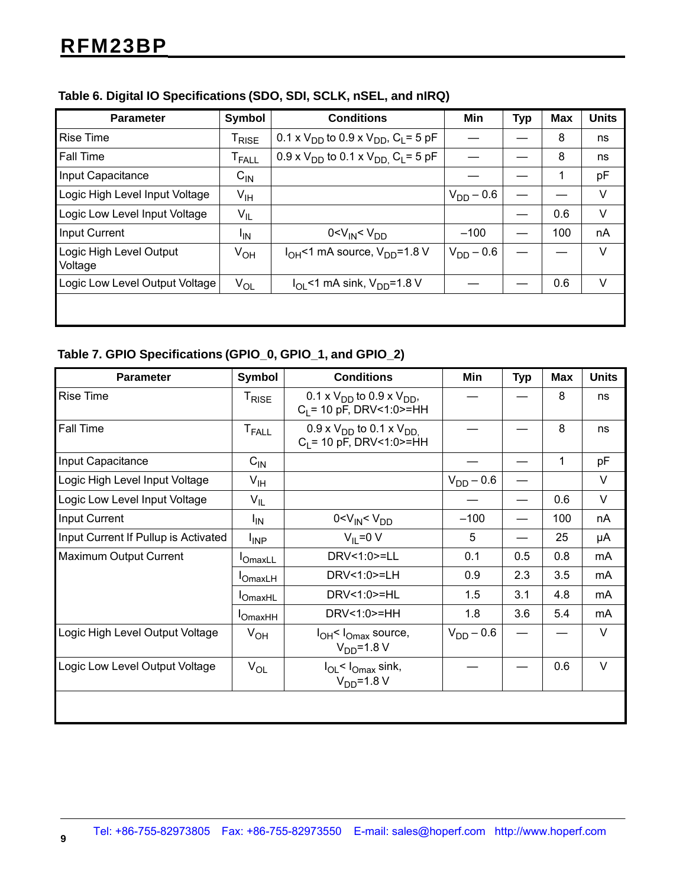| <b>Parameter</b>                   | Symbol                       | <b>Conditions</b>                                        | Min            | <b>Typ</b> | <b>Max</b> | <b>Units</b> |
|------------------------------------|------------------------------|----------------------------------------------------------|----------------|------------|------------|--------------|
| <b>Rise Time</b>                   | $\mathsf{T}_{\mathsf{RISE}}$ | 0.1 x $V_{DD}$ to 0.9 x $V_{DD}$ , C <sub>L</sub> = 5 pF |                |            | 8          | ns           |
| <b>Fall Time</b>                   | ${\sf T}_{\sf FALL}$         | 0.9 x $V_{DD}$ to 0.1 x $V_{DD}$ , $C_L$ = 5 pF          |                |            | 8          | ns           |
| Input Capacitance                  | $C_{IN}$                     |                                                          |                |            | 1          | pF           |
| Logic High Level Input Voltage     | $V_{IH}$                     |                                                          | $V_{DD} - 0.6$ |            |            | V            |
| Logic Low Level Input Voltage      | $V_{IL}$                     |                                                          |                |            | 0.6        | V            |
| <b>Input Current</b>               | <sup>I</sup> IN              | 0 < V <sub>IN</sub> < V <sub>DD</sub>                    | $-100$         |            | 100        | nA           |
| Logic High Level Output<br>Voltage | $V_{OH}$                     | $I_{OH}$ <1 mA source, $V_{DD}$ =1.8 V                   | $V_{DD} - 0.6$ |            |            | V            |
| Logic Low Level Output Voltage     | $V_{OL}$                     | $I_{\text{OI}}$ <1 mA sink, $V_{\text{DD}}$ =1.8 V       |                |            | 0.6        | V            |
|                                    |                              |                                                          |                |            |            |              |

### **Table 6. Digital IO Specifications (SDO, SDI, SCLK, nSEL, and nIRQ)**

#### **Table 7. GPIO Specifications (GPIO\_0, GPIO\_1, and GPIO\_2)**

| <b>Parameter</b>                     | Symbol                  | <b>Conditions</b>                                                   | Min            | <b>Typ</b> | Max | <b>Units</b> |
|--------------------------------------|-------------------------|---------------------------------------------------------------------|----------------|------------|-----|--------------|
| <b>Rise Time</b>                     | $T_{\sf RISE}$          | 0.1 x $V_{DD}$ to 0.9 x $V_{DD}$ ,<br>$C_1$ = 10 pF, DRV<1:0>=HH    |                |            | 8   | ns           |
| Fall Time                            | <b>T<sub>FALL</sub></b> | $0.9 \times V_{DD}$ to 0.1 x $V_{DD}$<br>$C_1$ = 10 pF, DRV<1:0>=HH |                |            | 8   | ns           |
| Input Capacitance                    | $C_{\mathsf{IN}}$       |                                                                     |                |            | 1   | pF           |
| Logic High Level Input Voltage       | $V_{\text{IH}}$         |                                                                     | $V_{DD} - 0.6$ |            |     | V            |
| Logic Low Level Input Voltage        | $V_{IL}$                |                                                                     |                |            | 0.6 | V            |
| Input Current                        | ΙM                      | 0 < V <sub>IN</sub> < V <sub>DD</sub>                               | $-100$         |            | 100 | nA           |
| Input Current If Pullup is Activated | $I_{\text{INP}}$        | $V_{II} = 0 V$                                                      | 5              |            | 25  | μA           |
| Maximum Output Current               | <b>I</b> OmaxLL         | DRV<1:0>=LL                                                         | 0.1            | 0.5        | 0.8 | mA           |
|                                      | $I_{OmaxLH}$            | DRV<1:0>=LH                                                         | 0.9            | 2.3        | 3.5 | mA           |
|                                      | $I$ OmaxHL              | DRV<1:0>=HL                                                         | 1.5            | 3.1        | 4.8 | mA           |
|                                      | <b>I</b> OmaxHH         | DRV<1:0>=HH                                                         | 1.8            | 3.6        | 5.4 | mA           |
| Logic High Level Output Voltage      | $V_{OH}$                | $I_{OH}$ < $I_{Omax}$ source,<br>$V_{DD} = 1.8 V$                   | $V_{DD} - 0.6$ |            |     | V            |
| Logic Low Level Output Voltage       | $V_{OL}$                | I <sub>OL</sub> < I <sub>Omax</sub> sink,<br>$V_{DD} = 1.8 V$       |                |            | 0.6 | $\vee$       |
|                                      |                         |                                                                     |                |            |     |              |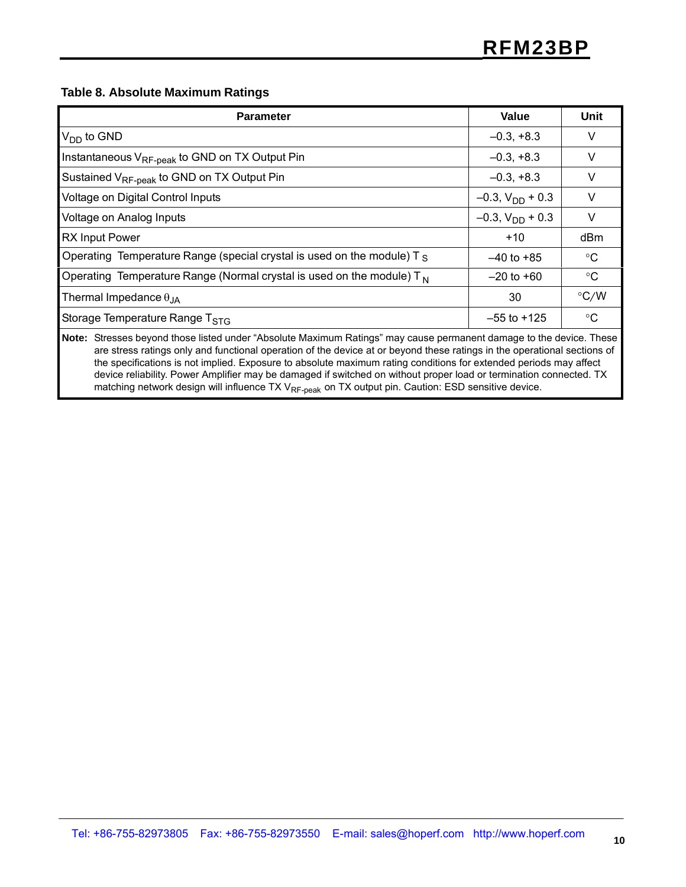#### **Table 8. Absolute Maximum Ratings**

| <b>Parameter</b>                                                                                                   | Value                   | Unit            |  |  |  |  |  |
|--------------------------------------------------------------------------------------------------------------------|-------------------------|-----------------|--|--|--|--|--|
| $V_{DD}$ to GND                                                                                                    | $-0.3, +8.3$            | V               |  |  |  |  |  |
| Instantaneous V <sub>RF-peak</sub> to GND on TX Output Pin                                                         | $-0.3, +8.3$            | V               |  |  |  |  |  |
| Sustained V <sub>RF-peak</sub> to GND on TX Output Pin                                                             | $-0.3, +8.3$            | v               |  |  |  |  |  |
| Voltage on Digital Control Inputs                                                                                  | $-0.3$ , $V_{DD}$ + 0.3 | V               |  |  |  |  |  |
| Voltage on Analog Inputs                                                                                           | $-0.3$ , $V_{DD}$ + 0.3 | V               |  |  |  |  |  |
| <b>RX Input Power</b>                                                                                              | $+10$                   | dBm             |  |  |  |  |  |
| Operating Temperature Range (special crystal is used on the module) $T_s$                                          | $-40$ to $+85$          | $^{\circ}C$     |  |  |  |  |  |
| Operating Temperature Range (Normal crystal is used on the module) $T_N$                                           | $-20$ to $+60$          | $^{\circ}$ C    |  |  |  |  |  |
| Thermal Impedance $\theta_{JA}$                                                                                    | 30                      | $\degree$ C/W   |  |  |  |  |  |
| Storage Temperature Range T <sub>STG</sub>                                                                         | $-55$ to $+125$         | $\rm ^{\circ}C$ |  |  |  |  |  |
| Nets: Ctrosses bound these listed under "Aboslute Maximum Detings" moy seuse permanent demans to the device. These |                         |                 |  |  |  |  |  |

**Note:** Stresses beyond those listed under "Absolute Maximum Ratings" may cause permanent damage to the device. These are stress ratings only and functional operation of the device at or beyond these ratings in the operational sections of the specifications is not implied. Exposure to absolute maximum rating conditions for extended periods may affect device reliability. Power Amplifier may be damaged if switched on without proper load or termination connected. TX matching network design will influence TX V<sub>RF-peak</sub> on TX output pin. Caution: ESD sensitive device.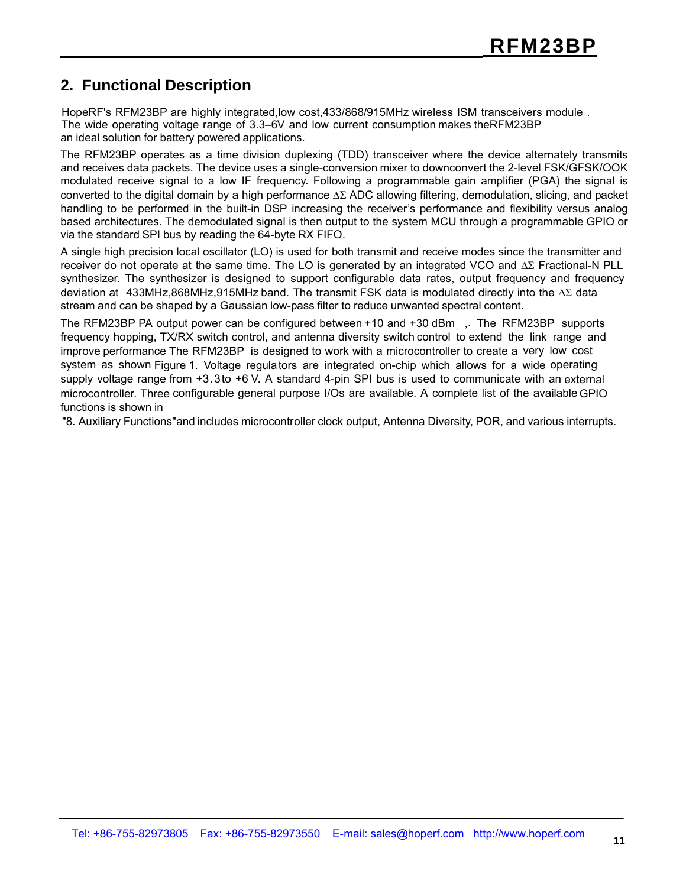### **2. Functional Description**

HopeRF's RFM23BP are highly integrated,low cost,433/868/915MHz wireless ISM transceivers module . The wide operating voltage range of 3.3–6V and low current consumption makes theRFM23BP an ideal solution for battery powered applications.

The RFM23BP operates as a time division duplexing (TDD) transceiver where the device alternately transmits and receives data packets. The device uses a single-conversion mixer to downconvert the 2-level FSK/GFSK/OOK modulated receive signal to a low IF frequency. Following a programmable gain amplifier (PGA) the signal is converted to the digital domain by a high performance ΔΣ ADC allowing filtering, demodulation, slicing, and packet handling to be performed in the built-in DSP increasing the receiver's performance and flexibility versus analog based architectures. The demodulated signal is then output to the system MCU through a programmable GPIO or via the standard SPI bus by reading the 64-byte RX FIFO.

A single high precision local oscillator (LO) is used for both transmit and receive modes since the transmitter and receiver do not operate at the same time. The LO is generated by an integrated VCO and ΔΣ Fractional-N PLL synthesizer. The synthesizer is designed to support configurable data rates, output frequency and frequency deviation at 433MHz,868MHz,915MHz band. The transmit FSK data is modulated directly into the ΔΣ data stream and can be shaped by a Gaussian low-pass filter to reduce unwanted spectral content.

The RFM23BP PA output power can be configured between +10 and +30 dBm ,. The RFM23BP supports frequency hopping, TX/RX switch control, and antenna diversity switch control to extend the link range and improve performance The RFM23BP is designed to work with a microcontroller to create a very low cost system as shown Figure 1. Voltage regula tors are integrated on-chip which allows for a wide operating supply voltage range from +3.3to +6 V. A standard 4-pin SPI bus is used to communicate with an external microcontroller. Three configurable general purpose I/Os are available. A complete list of the available GPIO functions is shown in

"8. Auxiliary Functions"and includes microcontroller clock output, Antenna Diversity, POR, and various interrupts.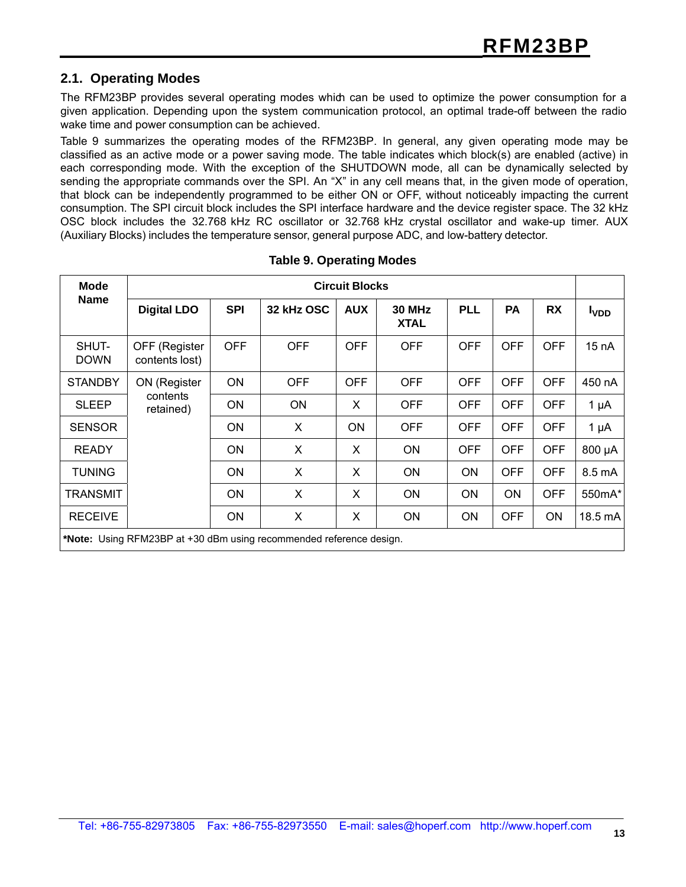#### **2.1. Operating Modes**

The RFM23BP provides several operating modes which can be used to optimize the power consumption for a given application. Depending upon the system communication protocol, an optimal trade-off between the radio wake time and power consumption can be achieved.

Table 9 summarizes the operating modes of the RFM23BP. In general, any given operating mode may be classified as an active mode or a power saving mode. The table indicates which block(s) are enabled (active) in each corresponding mode. With the exception of the SHUTDOWN mode, all can be dynamically selected by sending the appropriate commands over the SPI. An "X" in any cell means that, in the given mode of operation, that block can be independently programmed to be either ON or OFF, without noticeably impacting the current consumption. The SPI circuit block includes the SPI interface hardware and the device register space. The 32 kHz OSC block includes the 32.768 kHz RC oscillator or 32.768 kHz crystal oscillator and wake-up timer. AUX (Auxiliary Blocks) includes the temperature sensor, general purpose ADC, and low-battery detector.

| <b>Mode</b>          | <b>Circuit Blocks</b>                                               |            |            |            |                              |            |            |            |                         |
|----------------------|---------------------------------------------------------------------|------------|------------|------------|------------------------------|------------|------------|------------|-------------------------|
| <b>Name</b>          | <b>Digital LDO</b>                                                  | <b>SPI</b> | 32 kHz OSC | <b>AUX</b> | <b>30 MHz</b><br><b>XTAL</b> | <b>PLL</b> | <b>PA</b>  | <b>RX</b>  | <b>I</b> <sub>VDD</sub> |
| SHUT-<br><b>DOWN</b> | OFF (Register<br>contents lost)                                     | <b>OFF</b> | <b>OFF</b> | <b>OFF</b> | <b>OFF</b>                   | <b>OFF</b> | <b>OFF</b> | <b>OFF</b> | 15 nA                   |
| <b>STANDBY</b>       | ON (Register                                                        | <b>ON</b>  | <b>OFF</b> | <b>OFF</b> | <b>OFF</b>                   | <b>OFF</b> | <b>OFF</b> | <b>OFF</b> | 450 nA                  |
| <b>SLEEP</b>         | contents<br>retained)                                               | <b>ON</b>  | <b>ON</b>  | X          | <b>OFF</b>                   | <b>OFF</b> | <b>OFF</b> | <b>OFF</b> | $1 \mu A$               |
| <b>SENSOR</b>        |                                                                     | <b>ON</b>  | X          | <b>ON</b>  | <b>OFF</b>                   | <b>OFF</b> | <b>OFF</b> | <b>OFF</b> | $1 \mu A$               |
| <b>READY</b>         |                                                                     | <b>ON</b>  | X          | X          | ON                           | <b>OFF</b> | <b>OFF</b> | <b>OFF</b> | 800 µA                  |
| <b>TUNING</b>        |                                                                     | <b>ON</b>  | X          | X          | <b>ON</b>                    | ON         | <b>OFF</b> | <b>OFF</b> | 8.5 mA                  |
| <b>TRANSMIT</b>      |                                                                     | <b>ON</b>  | X          | X          | <b>ON</b>                    | ON         | ON         | <b>OFF</b> | 550mA*                  |
| <b>RECEIVE</b>       |                                                                     | ON         | X          | X          | <b>ON</b>                    | ON         | <b>OFF</b> | ON         | 18.5 mA                 |
|                      | *Note: Using RFM23BP at +30 dBm using recommended reference design. |            |            |            |                              |            |            |            |                         |

|  |  |  |  | <b>Table 9. Operating Modes</b> |
|--|--|--|--|---------------------------------|
|--|--|--|--|---------------------------------|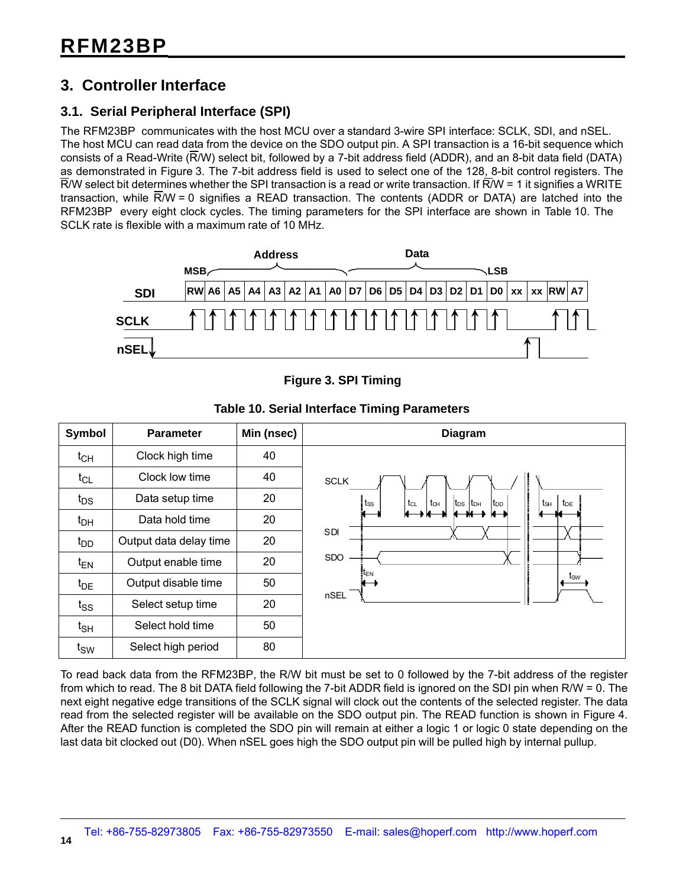### **3. Controller Interface**

#### **3.1. Serial Peripheral Interface (SPI)**

The RFM23BP communicates with the host MCU over a standard 3-wire SPI interface: SCLK, SDI, and nSEL. The host MCU can read data from the device on the SDO output pin. A SPI transaction is a 16-bit sequence which consists of a Read-Write (R/W) select bit, followed by a 7-bit address field (ADDR), and an 8-bit data field (DATA) as demonstrated in Figure 3. The 7-bit address field is used to select one of the 128, 8-bit control registers. The  $\overline{R}/W$  select bit determines whether the SPI transaction is a read or write transaction. If  $\overline{R}/W$  = 1 it signifies a WRITE transaction, while  $\overline{R}/W = 0$  signifies a READ transaction. The contents (ADDR or DATA) are latched into the RFM23BP every eight clock cycles. The timing parameters for the SPI interface are shown in Table 10. The SCLK rate is flexible with a maximum rate of 10 MHz.



**Figure 3. SPI Timing**

|                   |                        |            | Table TV. Serial Interlace Thilling Larameters                                                  |
|-------------------|------------------------|------------|-------------------------------------------------------------------------------------------------|
| Symbol            | <b>Parameter</b>       | Min (nsec) | <b>Diagram</b>                                                                                  |
| $t_{CH}$          | Clock high time        | 40         |                                                                                                 |
| $t_{CL}$          | Clock low time         | 40         | <b>SCLK</b>                                                                                     |
| $t_{DS}$          | Data setup time        | 20         | $ t_{DS} $ $t_{DH}$<br>$t_{SS}$<br>tcL<br>$t_{\text{CH}}$<br>ts⊣<br>$t_{DE}$<br>t <sub>DD</sub> |
| $t_{\text{DH}}$   | Data hold time         | 20         |                                                                                                 |
| $t_{DD}$          | Output data delay time | 20         | <b>SDI</b>                                                                                      |
| $t_{EN}$          | Output enable time     | 20         | SDO                                                                                             |
| $t_{DE}$          | Output disable time    | 50         | $t_{\text{SW}}$                                                                                 |
| $t_{SS}$          | Select setup time      | 20         | nSEL                                                                                            |
| $t_{\mathsf{SH}}$ | Select hold time       | 50         |                                                                                                 |
| $t_{\text{SW}}$   | Select high period     | 80         |                                                                                                 |

**Table 10. Serial Interface Timing Parameters**

To read back data from the RFM23BP, the R/W bit must be set to 0 followed by the 7-bit address of the register from which to read. The 8 bit DATA field following the 7-bit ADDR field is ignored on the SDI pin when R/W = 0. The next eight negative edge transitions of the SCLK signal will clock out the contents of the selected register. The data read from the selected register will be available on the SDO output pin. The READ function is shown in Figure 4. After the READ function is completed the SDO pin will remain at either a logic 1 or logic 0 state depending on the last data bit clocked out (D0). When nSEL goes high the SDO output pin will be pulled high by internal pullup.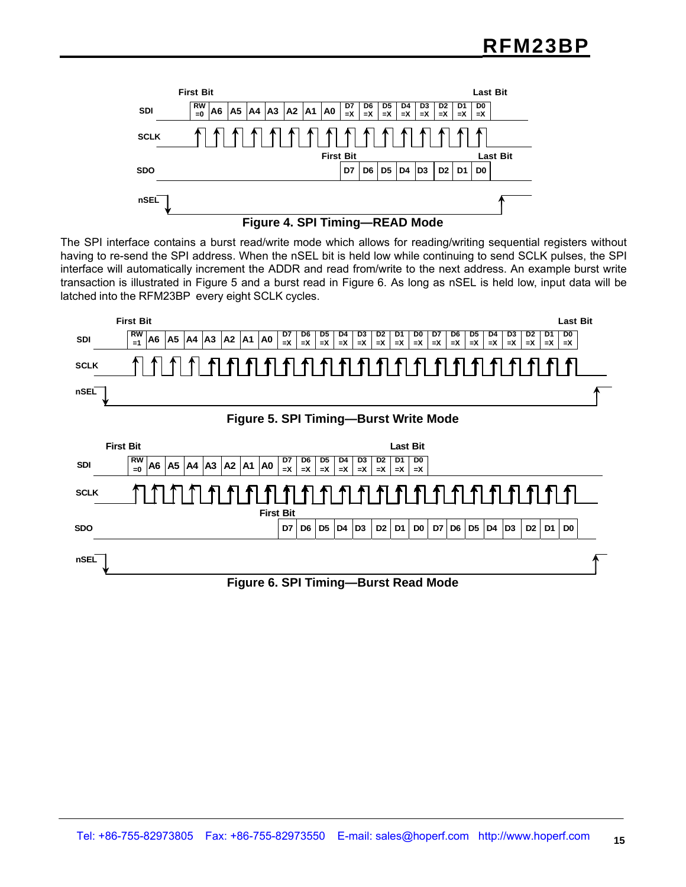



The SPI interface contains a burst read/write mode which allows for reading/writing sequential registers without having to re-send the SPI address. When the nSEL bit is held low while continuing to send SCLK pulses, the SPI interface will automatically increment the ADDR and read from/write to the next address. An example burst write transaction is illustrated in Figure 5 and a burst read in Figure 6. As long as nSEL is held low, input data will be latched into the RFM23BP every eight SCLK cycles.

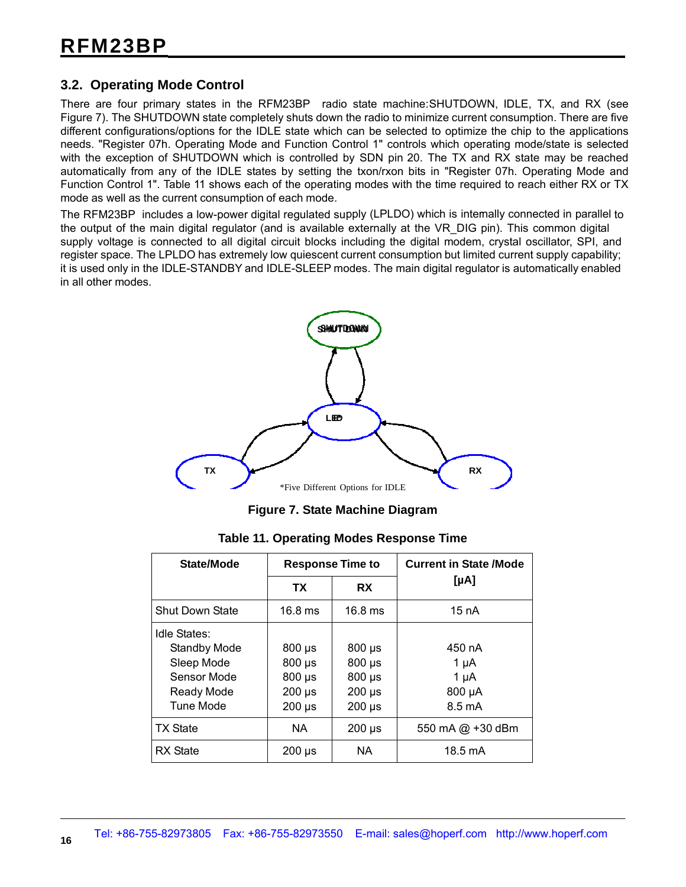#### **3.2. Operating Mode Control**

There are four primary states in the RFM23BP radio state machine:SHUTDOWN, IDLE, TX, and RX (see Figure 7). The SHUTDOWN state completely shuts down the radio to minimize current consumption. There are five different configurations/options for the IDLE state which can be selected to optimize the chip to the applications needs. "Register 07h. Operating Mode and Function Control 1" controls which operating mode/state is selected with the exception of SHUTDOWN which is controlled by SDN pin 20. The TX and RX state may be reached automatically from any of the IDLE states by setting the txon/rxon bits in "Register 07h. Operating Mode and Function Control 1". Table 11 shows each of the operating modes with the time required to reach either RX or TX mode as well as the current consumption of each mode.

The RFM23BP includes a low-power digital regulated supply (LPLDO) which is internally connected in parallel to the output of the main digital regulator (and is available externally at the VR\_DIG pin). This common digital supply voltage is connected to all digital circuit blocks including the digital modem, crystal oscillator, SPI, and register space. The LPLDO has extremely low quiescent current consumption but limited current supply capability; it is used only in the IDLE-STANDBY and IDLE-SLEEP modes. The main digital regulator is automatically enabled in all other modes.



**Figure 7. State Machine Diagram**

|  | Table 11. Operating Modes Response Time |  |  |  |
|--|-----------------------------------------|--|--|--|
|--|-----------------------------------------|--|--|--|

| State/Mode                                                                                  |                                                                             | <b>Response Time to</b>                                                   | <b>Current in State /Mode</b>                        |
|---------------------------------------------------------------------------------------------|-----------------------------------------------------------------------------|---------------------------------------------------------------------------|------------------------------------------------------|
|                                                                                             | <b>TX</b>                                                                   | <b>RX</b>                                                                 | [µA]                                                 |
| <b>Shut Down State</b>                                                                      | $16.8$ ms                                                                   | $16.8$ ms                                                                 | 15 nA                                                |
| Idle States:<br><b>Standby Mode</b><br>Sleep Mode<br>Sensor Mode<br>Ready Mode<br>Tune Mode | $800 \mu s$<br>$800 \,\mu s$<br>$800 \,\mu s$<br>$200 \mu s$<br>$200 \mu s$ | $800 \mu s$<br>$800 \,\mu s$<br>$800 \mu s$<br>$200 \mu s$<br>$200 \mu s$ | 450 nA<br>1 µA<br>1 µA<br>800 µA<br>$8.5 \text{ mA}$ |
| <b>TX State</b>                                                                             | NA.                                                                         | $200 \mu s$                                                               | 550 mA @ +30 dBm                                     |
| <b>RX</b> State                                                                             | $200 \mu s$                                                                 | NA.                                                                       | 18.5 mA                                              |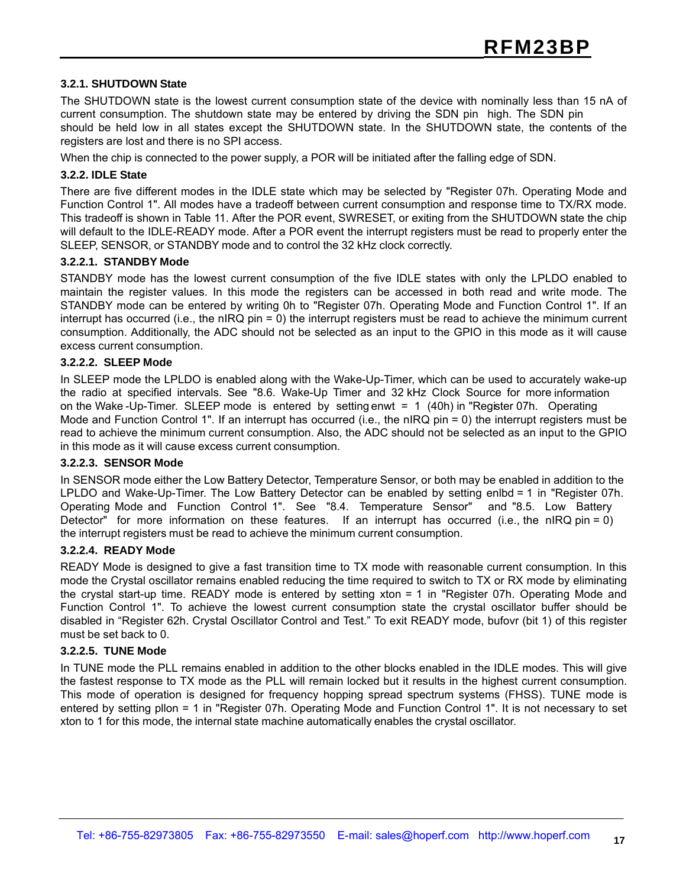#### **3.2.1. SHUTDOWN State**

The SHUTDOWN state is the lowest current consumption state of the device with nominally less than 15 nA of current consumption. The shutdown state may be entered by driving the SDN pin high. The SDN pin should be held low in all states except the SHUTDOWN state. In the SHUTDOWN state, the contents of the registers are lost and there is no SPI access.

When the chip is connected to the power supply, a POR will be initiated after the falling edge of SDN.

#### **3.2.2. IDLE State**

There are five different modes in the IDLE state which may be selected by "Register 07h. Operating Mode and Function Control 1". All modes have a tradeoff between current consumption and response time to TX/RX mode. This tradeoff is shown in Table 11. After the POR event, SWRESET, or exiting from the SHUTDOWN state the chip will default to the IDLE-READY mode. After a POR event the interrupt registers must be read to properly enter the SLEEP, SENSOR, or STANDBY mode and to control the 32 kHz clock correctly.

#### **3.2.2.1. STANDBY Mode**

STANDBY mode has the lowest current consumption of the five IDLE states with only the LPLDO enabled to maintain the register values. In this mode the registers can be accessed in both read and write mode. The STANDBY mode can be entered by writing 0h to "Register 07h. Operating Mode and Function Control 1". If an interrupt has occurred (i.e., the nIRQ pin = 0) the interrupt registers must be read to achieve the minimum current consumption. Additionally, the ADC should not be selected as an input to the GPIO in this mode as it will cause excess current consumption.

#### **3.2.2.2. SLEEP Mode**

In SLEEP mode the LPLDO is enabled along with the Wake-Up-Timer, which can be used to accurately wake-up the radio at specified intervals. See "8.6. Wake-Up Timer and 32 kHz Clock Source for more information on the Wake -Up-Timer. SLEEP mode is entered by setting enwt = 1 (40h) in "Register 07h. Operating Mode and Function Control 1". If an interrupt has occurred (i.e., the nIRQ pin = 0) the interrupt registers must be read to achieve the minimum current consumption. Also, the ADC should not be selected as an input to the GPIO in this mode as it will cause excess current consumption.

#### **3.2.2.3. SENSOR Mode**

In SENSOR mode either the Low Battery Detector, Temperature Sensor, or both may be enabled in addition to the LPLDO and Wake-Up-Timer. The Low Battery Detector can be enabled by setting enlbd = 1 in "Register 07h. Operating Mode and Function Control 1". See "8.4. Temperature Sensor" and "8.5. Low Battery Detector" for more information on these features. If an interrupt has occurred (i.e., the nIRQ pin = 0) the interrupt registers must be read to achieve the minimum current consumption.

#### **3.2.2.4. READY Mode**

READY Mode is designed to give a fast transition time to TX mode with reasonable current consumption. In this mode the Crystal oscillator remains enabled reducing the time required to switch to TX or RX mode by eliminating the crystal start-up time. READY mode is entered by setting xton = 1 in "Register 07h. Operating Mode and Function Control 1". To achieve the lowest current consumption state the crystal oscillator buffer should be disabled in "Register 62h. Crystal Oscillator Control and Test." To exit READY mode, bufovr (bit 1) of this register must be set back to 0.

#### **3.2.2.5. TUNE Mode**

In TUNE mode the PLL remains enabled in addition to the other blocks enabled in the IDLE modes. This will give the fastest response to TX mode as the PLL will remain locked but it results in the highest current consumption. This mode of operation is designed for frequency hopping spread spectrum systems (FHSS). TUNE mode is entered by setting pllon = 1 in "Register 07h. Operating Mode and Function Control 1". It is not necessary to set xton to 1 for this mode, the internal state machine automatically enables the crystal oscillator.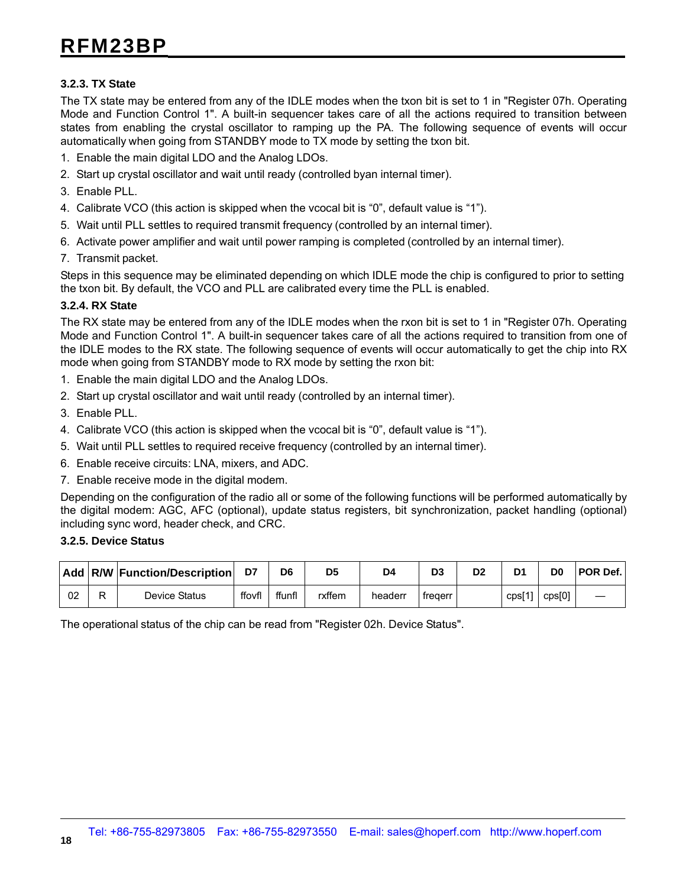#### **3.2.3. TX State**

The TX state may be entered from any of the IDLE modes when the txon bit is set to 1 in "Register 07h. Operating Mode and Function Control 1". A built-in sequencer takes care of all the actions required to transition between states from enabling the crystal oscillator to ramping up the PA. The following sequence of events will occur automatically when going from STANDBY mode to TX mode by setting the txon bit.

- 1. Enable the main digital LDO and the Analog LDOs.
- 2. Start up crystal oscillator and wait until ready (controlled byan internal timer).
- 3. Enable PLL.
- 4. Calibrate VCO (this action is skipped when the vcocal bit is "0", default value is "1").
- 5. Wait until PLL settles to required transmit frequency (controlled by an internal timer).
- 6. Activate power amplifier and wait until power ramping is completed (controlled by an internal timer).
- 7. Transmit packet.

Steps in this sequence may be eliminated depending on which IDLE mode the chip is configured to prior to setting the txon bit. By default, the VCO and PLL are calibrated every time the PLL is enabled.

#### **3.2.4. RX State**

The RX state may be entered from any of the IDLE modes when the rxon bit is set to 1 in "Register 07h. Operating Mode and Function Control 1". A built-in sequencer takes care of all the actions required to transition from one of the IDLE modes to the RX state. The following sequence of events will occur automatically to get the chip into RX mode when going from STANDBY mode to RX mode by setting the rxon bit:

- 1. Enable the main digital LDO and the Analog LDOs.
- 2. Start up crystal oscillator and wait until ready (controlled by an internal timer).
- 3. Enable PLL.
- 4. Calibrate VCO (this action is skipped when the vcocal bit is "0", default value is "1").
- 5. Wait until PLL settles to required receive frequency (controlled by an internal timer).
- 6. Enable receive circuits: LNA, mixers, and ADC.
- 7. Enable receive mode in the digital modem.

Depending on the configuration of the radio all or some of the following functions will be performed automatically by the digital modem: AGC, AFC (optional), update status registers, bit synchronization, packet handling (optional) including sync word, header check, and CRC.

#### **3.2.5. Device Status**

|    | Add   R/W   Function/Description |        | D6     | D <sub>5</sub> | D4      | D3      | D <sub>2</sub> | D <sub>1</sub>   | D <sub>0</sub> | <b>POR Def.</b> |
|----|----------------------------------|--------|--------|----------------|---------|---------|----------------|------------------|----------------|-----------------|
| 02 | Device Status                    | ffovfl | ffunfl | rxffem         | headerr | fregerr |                | $\text{CDS}$ [1] | cps[0]         |                 |

The operational status of the chip can be read from "Register 02h. Device Status".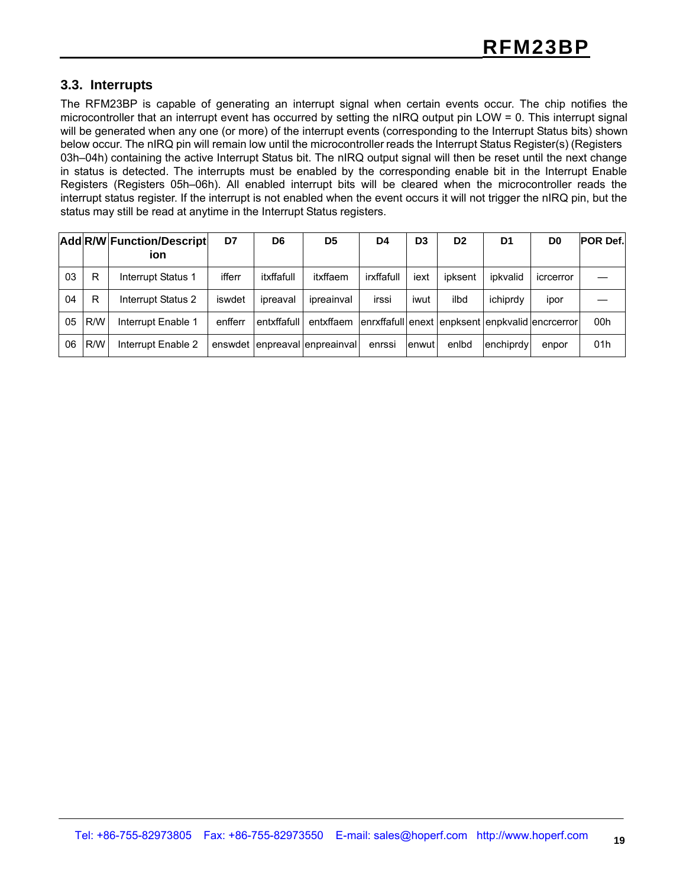#### **3.3. Interrupts**

The RFM23BP is capable of generating an interrupt signal when certain events occur. The chip notifies the microcontroller that an interrupt event has occurred by setting the nIRQ output pin LOW = 0. This interrupt signal will be generated when any one (or more) of the interrupt events (corresponding to the Interrupt Status bits) shown below occur. The nIRQ pin will remain low until the microcontroller reads the Interrupt Status Register(s) (Registers 03h–04h) containing the active Interrupt Status bit. The nIRQ output signal will then be reset until the next change in status is detected. The interrupts must be enabled by the corresponding enable bit in the Interrupt Enable Registers (Registers 05h–06h). All enabled interrupt bits will be cleared when the microcontroller reads the interrupt status register. If the interrupt is not enabled when the event occurs it will not trigger the nIRQ pin, but the status may still be read at anytime in the Interrupt Status registers.

|    |     | Add R/W Function/Descript<br>ion | D7      | D6          | D <sub>5</sub>                | D4         | D <sub>3</sub> | D <sub>2</sub> | D <sub>1</sub> | D <sub>0</sub>                                  | <b>POR Def.</b> |
|----|-----|----------------------------------|---------|-------------|-------------------------------|------------|----------------|----------------|----------------|-------------------------------------------------|-----------------|
| 03 | R   | <b>Interrupt Status 1</b>        | ifferr  | itxffafull  | itxffaem                      | irxffafull | iext           | ipksent        | ipkvalid       | icrcerror                                       |                 |
| 04 | R   | Interrupt Status 2               | iswdet  | ipreaval    | ipreainval                    | irssi      | iwut           | ilbd           | ichiprdy       | ipor                                            |                 |
| 05 | R/W | Interrupt Enable 1               | enfferr | entxffafull | entxffaem                     |            |                |                |                | enrxffafull enext enpksent enpkvalid encreerror | 00h             |
| 06 | R/W | Interrupt Enable 2               |         |             | enswdet enpreaval enpreainval | enrssi     | lenwut l       | enlbd          | lenchiprdy     | enpor                                           | 01h             |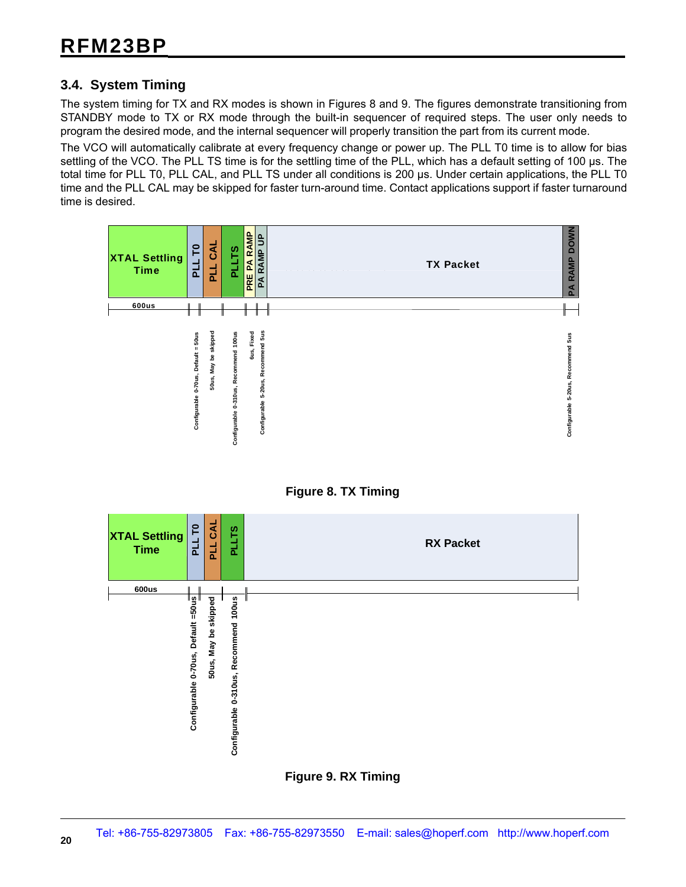#### **3.4. System Timing**

The system timing for TX and RX modes is shown in Figures 8 and 9. The figures demonstrate transitioning from STANDBY mode to TX or RX mode through the built-in sequencer of required steps. The user only needs to program the desired mode, and the internal sequencer will properly transition the part from its current mode.

The VCO will automatically calibrate at every frequency change or power up. The PLL T0 time is to allow for bias settling of the VCO. The PLL TS time is for the settling time of the PLL, which has a default setting of 100 µs. The total time for PLL T0, PLL CAL, and PLL TS under all conditions is 200 us. Under certain applications, the PLL T0 time and the PLL CAL may be skipped for faster turn-around time. Contact applications support if faster turnaround time is desired.





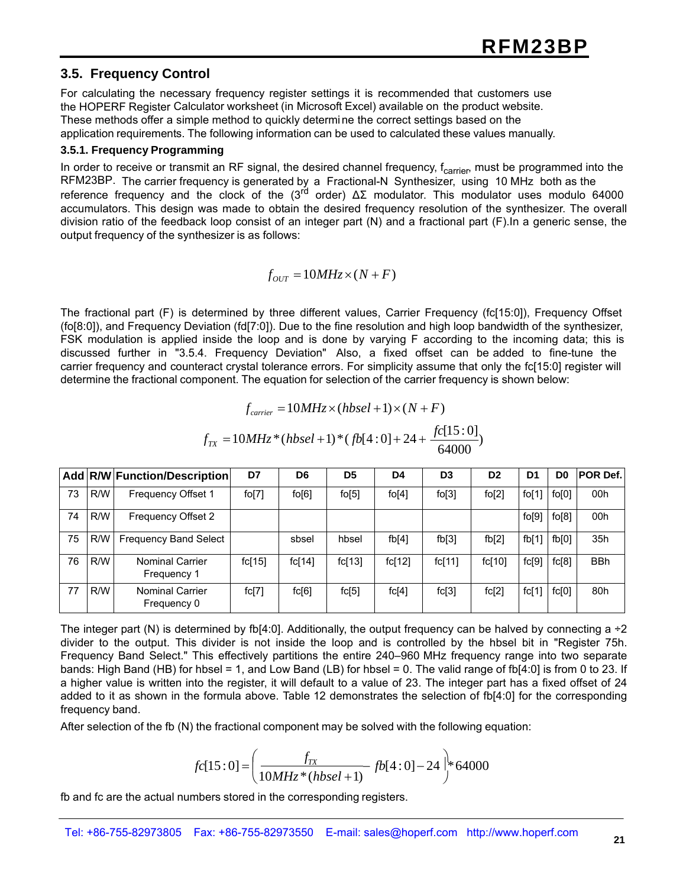#### **3.5. Frequency Control**

For calculating the necessary frequency register settings it is recommended that customers use the HOPERF Register Calculator worksheet (in Microsoft Excel) available on the product website. These methods offer a simple method to quickly determi ne the correct settings based on the application requirements. The following information can be used to calculated these values manually.

#### **3.5.1. Frequency Programming**

In order to receive or transmit an RF signal, the desired channel frequency, f<sub>carrier</sub>, must be programmed into the RFM23BP. The carrier frequency is generated by a Fractional-N Synthesizer, using 10 MHz both as the reference frequency and the clock of the (3<sup>rd</sup> order)  $ΔΣ$  modulator. This modulator uses modulo 64000 accumulators. This design was made to obtain the desired frequency resolution of the synthesizer. The overall division ratio of the feedback loop consist of an integer part (N) and a fractional part (F).In a generic sense, the output frequency of the synthesizer is as follows:

 $f_{OUT} = 10MHz \times (N + F)$ 

The fractional part (F) is determined by three different values, Carrier Frequency (fc[15:0]), Frequency Offset (fo[8:0]), and Frequency Deviation (fd[7:0]). Due to the fine resolution and high loop bandwidth of the synthesizer, FSK modulation is applied inside the loop and is done by varying F according to the incoming data; this is discussed further in "3.5.4. Frequency Deviation" Also, a fixed offset can be added to fine-tune the carrier frequency and counteract crystal tolerance errors. For simplicity assume that only the fc[15:0] register will determine the fractional component. The equation for selection of the carrier frequency is shown below:

$$
f_{\text{carrier}} = 10MHz \times (hbsel + 1) \times (N + F)
$$

$$
f_{TX} = 10MHz*(hbsel+1)*(fb[4:0]+24+\frac{fc[15:0]}{64000})
$$

|    |     | Add R/W Function/Description          | D7     | D6     | D <sub>5</sub> | D4       | D <sub>3</sub> | D <sub>2</sub> | D <sub>1</sub> | D <sub>0</sub> | POR Def.   |
|----|-----|---------------------------------------|--------|--------|----------------|----------|----------------|----------------|----------------|----------------|------------|
| 73 | R/W | Frequency Offset 1                    | fo[7]  | fo[6]  | fo[5]          | $f$ o[4] | fo[3]          | fo[2]          | fo[1]          | fo[0]          | 00h        |
| 74 | R/W | Frequency Offset 2                    |        |        |                |          |                |                | fo[9]          | fo[8]          | 00h        |
| 75 | R/W | <b>Frequency Band Select</b>          |        | sbsel  | hbsel          | fb[4]    | fb[3]          | fb[2]          | fb[1]          | fb[0]          | 35h        |
| 76 | R/W | <b>Nominal Carrier</b><br>Frequency 1 | fc[15] | fc[14] | fc[13]         | fc[12]   | fc[11]         | fc[10]         | fc[9]          | fc[8]          | <b>BBh</b> |
| 77 | R/W | <b>Nominal Carrier</b><br>Frequency 0 | fc[7]  | fc[6]  | fc[5]          | fc[4]    | fc[3]          | fc[2]          | fc[1]          | fc[0]          | 80h        |

The integer part (N) is determined by fb[4:0]. Additionally, the output frequency can be halved by connecting  $a \div 2$ divider to the output. This divider is not inside the loop and is controlled by the hbsel bit in "Register 75h. Frequency Band Select." This effectively partitions the entire 240–960 MHz frequency range into two separate bands: High Band (HB) for hbsel = 1, and Low Band (LB) for hbsel = 0. The valid range of fb[4:0] is from 0 to 23. If a higher value is written into the register, it will default to a value of 23. The integer part has a fixed offset of 24 added to it as shown in the formula above. Table 12 demonstrates the selection of fb[4:0] for the corresponding frequency band.

After selection of the fb (N) the fractional component may be solved with the following equation:

$$
fc[15:0] = \left(\frac{f_{TX}}{10MHz*(hbsel+1)} - fb[4:0] - 24\right)^{1/2}64000
$$

fb and fc are the actual numbers stored in the corresponding registers.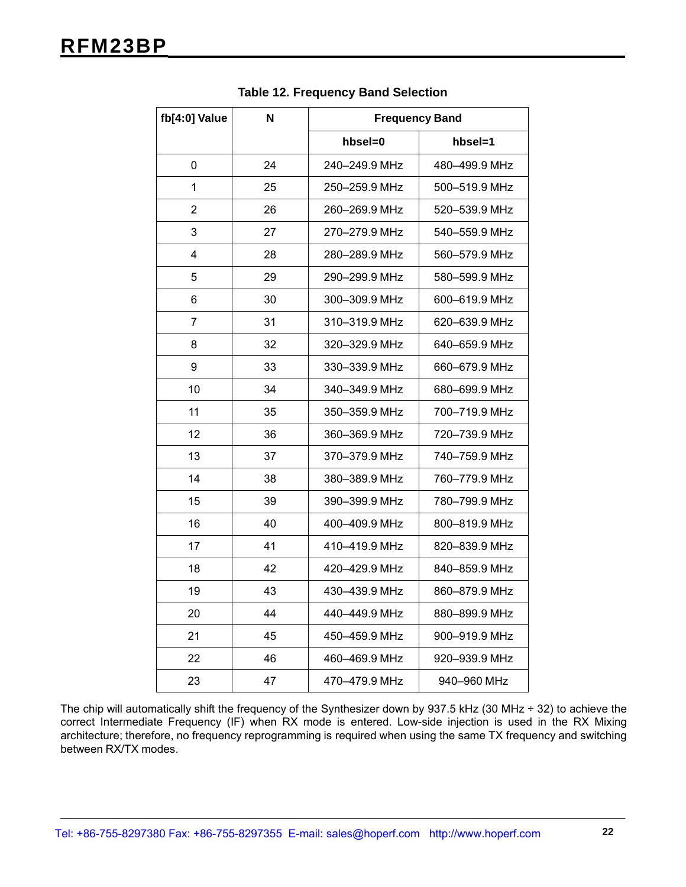| fb[4:0] Value  | N  | <b>Frequency Band</b> |               |  |  |
|----------------|----|-----------------------|---------------|--|--|
|                |    | hbsel=0               | hbsel=1       |  |  |
| 0              | 24 | 240-249.9 MHz         | 480-499.9 MHz |  |  |
| 1              | 25 | 250-259.9 MHz         | 500-519.9 MHz |  |  |
| $\overline{2}$ | 26 | 260-269.9 MHz         | 520-539.9 MHz |  |  |
| 3              | 27 | 270-279.9 MHz         | 540-559.9 MHz |  |  |
| $\overline{4}$ | 28 | 280-289.9 MHz         | 560-579.9 MHz |  |  |
| 5              | 29 | 290-299.9 MHz         | 580-599.9 MHz |  |  |
| 6              | 30 | 300-309.9 MHz         | 600-619.9 MHz |  |  |
| $\overline{7}$ | 31 | 310-319.9 MHz         | 620-639.9 MHz |  |  |
| 8              | 32 | 320-329.9 MHz         | 640-659.9 MHz |  |  |
| 9              | 33 | 330-339.9 MHz         | 660-679.9 MHz |  |  |
| 10             | 34 | 340-349.9 MHz         | 680-699.9 MHz |  |  |
| 11             | 35 | 350-359.9 MHz         | 700-719.9 MHz |  |  |
| 12             | 36 | 360-369.9 MHz         | 720-739.9 MHz |  |  |
| 13             | 37 | 370-379.9 MHz         | 740-759.9 MHz |  |  |
| 14             | 38 | 380-389.9 MHz         | 760-779.9 MHz |  |  |
| 15             | 39 | 390-399.9 MHz         | 780-799.9 MHz |  |  |
| 16             | 40 | 400-409.9 MHz         | 800-819.9 MHz |  |  |
| 17             | 41 | 410-419.9 MHz         | 820-839.9 MHz |  |  |
| 18             | 42 | 420-429.9 MHz         | 840-859.9 MHz |  |  |
| 19             | 43 | 430-439.9 MHz         | 860-879.9 MHz |  |  |
| 20             | 44 | 440-449.9 MHz         | 880-899.9 MHz |  |  |
| 21             | 45 | 450-459.9 MHz         | 900-919.9 MHz |  |  |
| 22             | 46 | 460–469.9 MHz         | 920-939.9 MHz |  |  |
| 23             | 47 | 470-479.9 MHz         | 940-960 MHz   |  |  |

**Table 12. Frequency Band Selection**

The chip will automatically shift the frequency of the Synthesizer down by 937.5 kHz (30 MHz ÷ 32) to achieve the correct Intermediate Frequency (IF) when RX mode is entered. Low-side injection is used in the RX Mixing architecture; therefore, no frequency reprogramming is required when using the same TX frequency and switching between RX/TX modes.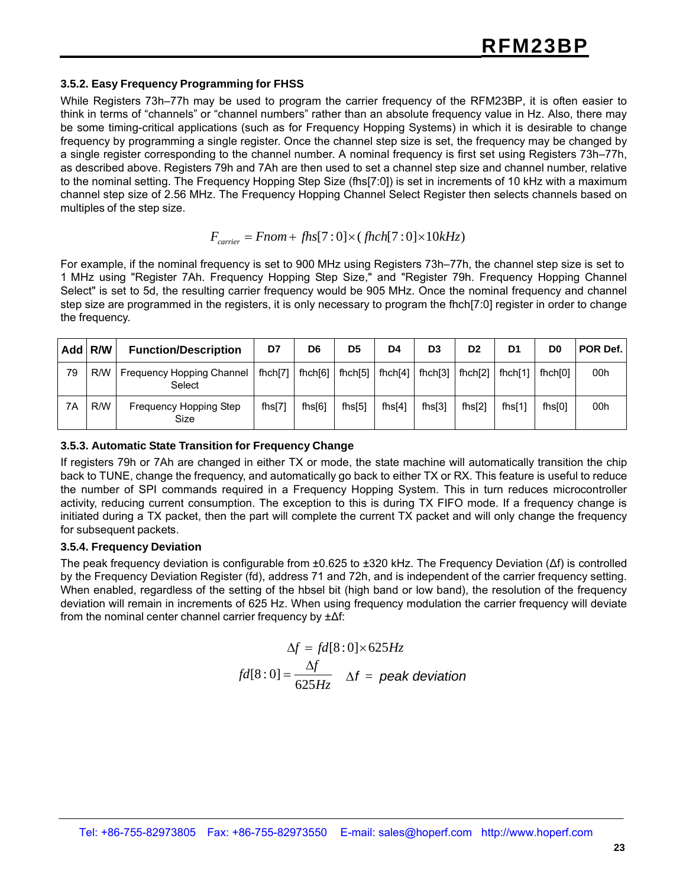#### **3.5.2. Easy Frequency Programming for FHSS**

While Registers 73h–77h may be used to program the carrier frequency of the RFM23BP, it is often easier to think in terms of "channels" or "channel numbers" rather than an absolute frequency value in Hz. Also, there may be some timing-critical applications (such as for Frequency Hopping Systems) in which it is desirable to change frequency by programming a single register. Once the channel step size is set, the frequency may be changed by a single register corresponding to the channel number. A nominal frequency is first set using Registers 73h–77h, as described above. Registers 79h and 7Ah are then used to set a channel step size and channel number, relative to the nominal setting. The Frequency Hopping Step Size (fhs[7:0]) is set in increments of 10 kHz with a maximum channel step size of 2.56 MHz. The Frequency Hopping Channel Select Register then selects channels based on multiples of the step size.

#### $F_{\text{carrier}} = \text{From} + \text{fhs}[7:0] \times (\text{fhch}[7:0] \times 10kHz)$

For example, if the nominal frequency is set to 900 MHz using Registers 73h–77h, the channel step size is set to 1 MHz using "Register 7Ah. Frequency Hopping Step Size," and "Register 79h. Frequency Hopping Channel Select" is set to 5d, the resulting carrier frequency would be 905 MHz. Once the nominal frequency and channel step size are programmed in the registers, it is only necessary to program the fhch[7:0] register in order to change the frequency.

|    | Add R/W | <b>Function/Description</b>         | D7        | D <sub>6</sub> | D <sub>5</sub> | D4        | D <sub>3</sub> | D <sub>2</sub> | D <sub>1</sub> | D0                 | <b>POR Def.</b> |
|----|---------|-------------------------------------|-----------|----------------|----------------|-----------|----------------|----------------|----------------|--------------------|-----------------|
| 79 | R/W     | Frequency Hopping Channel<br>Select | fhch[7]   | fhch[6]        | fhch[5]        | fhch[4]   | fhch[3]        | fhch[2]        | fhch[1]        | fhch[0]            | 00h             |
| 7A | R/W     | Frequency Hopping Step<br>Size      | fhs $[7]$ | fhs $[6]$      | fhs $[5]$      | fhs $[4]$ | fhs[3]         | $f$ hs $[2]$   | fhs $[1]$      | fhs <sup>[0]</sup> | 00h             |

#### **3.5.3. Automatic State Transition for Frequency Change**

If registers 79h or 7Ah are changed in either TX or mode, the state machine will automatically transition the chip back to TUNE, change the frequency, and automatically go back to either TX or RX. This feature is useful to reduce the number of SPI commands required in a Frequency Hopping System. This in turn reduces microcontroller activity, reducing current consumption. The exception to this is during TX FIFO mode. If a frequency change is initiated during a TX packet, then the part will complete the current TX packet and will only change the frequency for subsequent packets.

#### **3.5.4. Frequency Deviation**

The peak frequency deviation is configurable from ±0.625 to ±320 kHz. The Frequency Deviation (Δf) is controlled by the Frequency Deviation Register (fd), address 71 and 72h, and is independent of the carrier frequency setting. When enabled, regardless of the setting of the hbsel bit (high band or low band), the resolution of the frequency deviation will remain in increments of 625 Hz. When using frequency modulation the carrier frequency will deviate from the nominal center channel carrier frequency by ±Δf:

$$
\Delta f = fd[8:0] \times 625Hz
$$
  
fd[8:0] =  $\frac{\Delta f}{625Hz}$   $\Delta f$  = peak deviation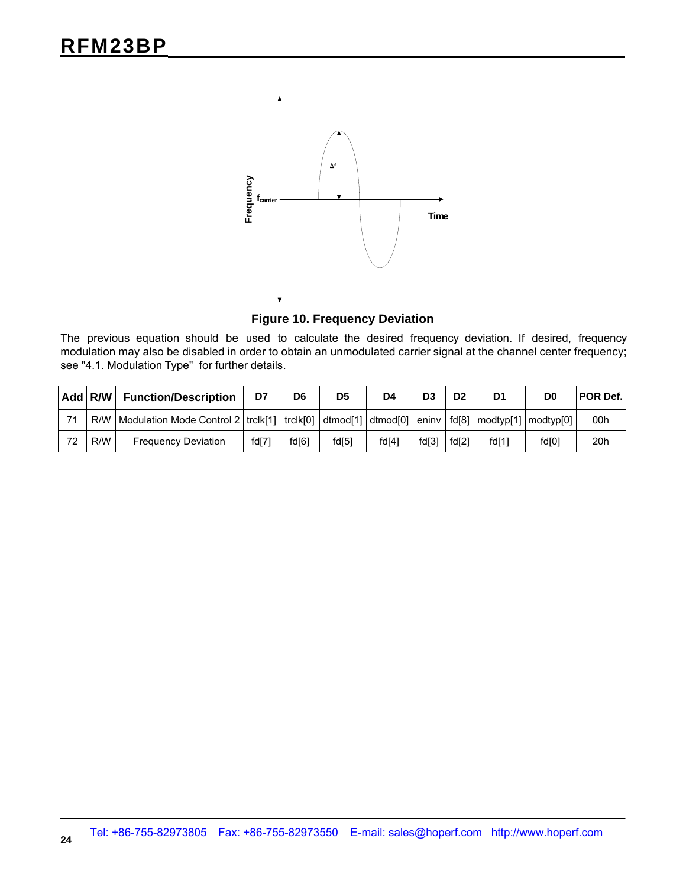

**Figure 10. Frequency Deviation**

The previous equation should be used to calculate the desired frequency deviation. If desired, frequency modulation may also be disabled in order to obtain an unmodulated carrier signal at the channel center frequency; see "4.1. Modulation Type" for further details.

|    | Add R/W | <b>Function/Description</b>                                                                                   | D7    | D <sub>6</sub> | D <sub>5</sub> | D4    | D <sub>3</sub> | D <sub>2</sub> | D1    | D0    | POR Def. |
|----|---------|---------------------------------------------------------------------------------------------------------------|-------|----------------|----------------|-------|----------------|----------------|-------|-------|----------|
| 71 | R/W     | Modulation Mode Control 2   trclk[1]   trclk[0]   dtmod[1]   dtmod[0]   eninv   fd[8]   modtyp[1]   modtyp[0] |       |                |                |       |                |                |       |       | 00h      |
| 72 | R/W     | <b>Frequency Deviation</b>                                                                                    | fd[7] | fd[6]          | fd[5]          | fd[4] | fd[3]          | fd[2]          | fd[1] | fd[0] | 20h      |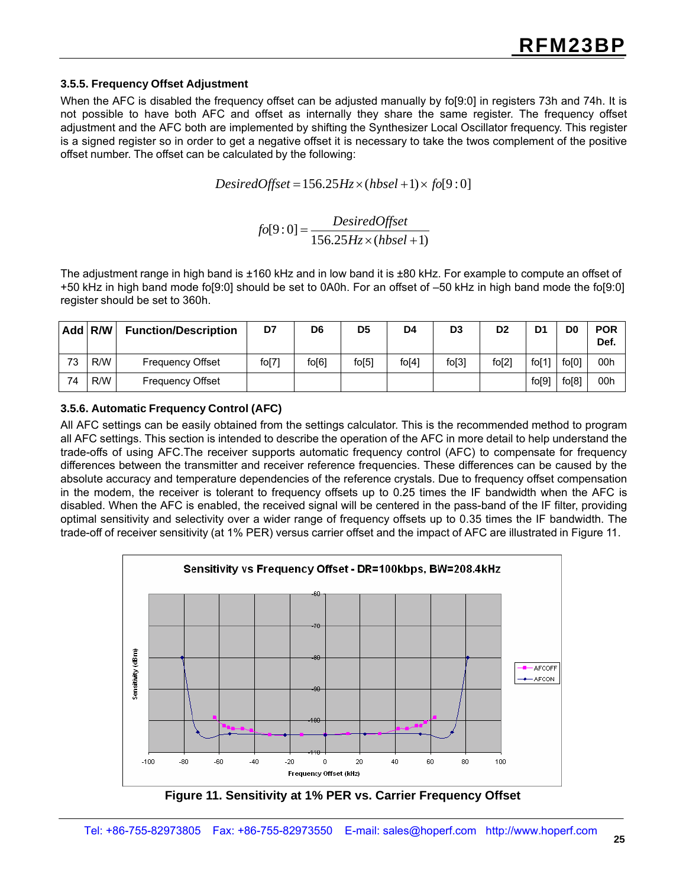#### **3.5.5. Frequency Offset Adjustment**

When the AFC is disabled the frequency offset can be adjusted manually by fo[9:0] in registers 73h and 74h. It is not possible to have both AFC and offset as internally they share the same register. The frequency offset adjustment and the AFC both are implemented by shifting the Synthesizer Local Oscillator frequency. This register is a signed register so in order to get a negative offset it is necessary to take the twos complement of the positive offset number. The offset can be calculated by the following:

*DesiredOffset* =156.25*Hz* × (*hbsel* +1)× *fo*[9 : 0]

*fo*[9 : 0] = *DesiredOffset* 156.25*Hz* × (*hbsel* + 1)

The adjustment range in high band is ±160 kHz and in low band it is ±80 kHz. For example to compute an offset of +50 kHz in high band mode fo[9:0] should be set to 0A0h. For an offset of –50 kHz in high band mode the fo[9:0] register should be set to 360h.

| Add | R/W | <b>Function/Description</b> | D7    | D <sub>6</sub> | D <sub>5</sub> | D4       | D <sub>3</sub> | D <sub>2</sub>     | D <sub>1</sub> | D <sub>0</sub> | <b>POR</b><br>Def. |
|-----|-----|-----------------------------|-------|----------------|----------------|----------|----------------|--------------------|----------------|----------------|--------------------|
| 73  | R/W | Frequency Offset            | fo[7] | fo[6]          | $f$ o $[5]$    | $f$ o[4] | fo[3]          | f <sub>0</sub> [2] | fo[1]          | fo[0]          | 00h                |
| 74  | R/W | Frequency Offset            |       |                |                |          |                |                    | fo[9]          | fo[8]          | 00h                |

**3.5.6. Automatic Frequency Control (AFC)**

All AFC settings can be easily obtained from the settings calculator. This is the recommended method to program all AFC settings. This section is intended to describe the operation of the AFC in more detail to help understand the trade-offs of using AFC.The receiver supports automatic frequency control (AFC) to compensate for frequency differences between the transmitter and receiver reference frequencies. These differences can be caused by the absolute accuracy and temperature dependencies of the reference crystals. Due to frequency offset compensation in the modem, the receiver is tolerant to frequency offsets up to 0.25 times the IF bandwidth when the AFC is disabled. When the AFC is enabled, the received signal will be centered in the pass-band of the IF filter, providing optimal sensitivity and selectivity over a wider range of frequency offsets up to 0.35 times the IF bandwidth. The trade-off of receiver sensitivity (at 1% PER) versus carrier offset and the impact of AFC are illustrated in Figure 11.



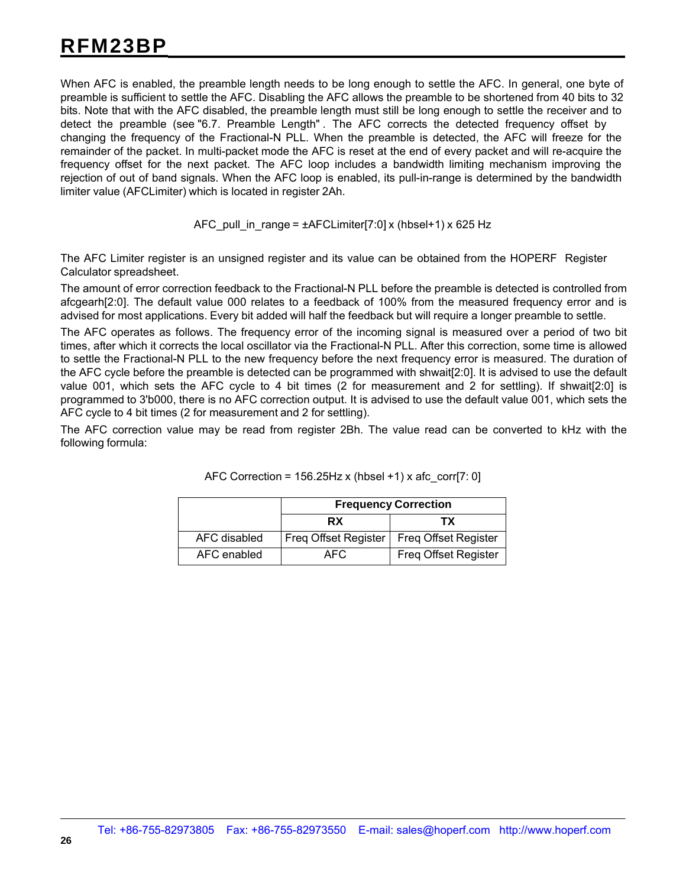When AFC is enabled, the preamble length needs to be long enough to settle the AFC. In general, one byte of preamble is sufficient to settle the AFC. Disabling the AFC allows the preamble to be shortened from 40 bits to 32 bits. Note that with the AFC disabled, the preamble length must still be long enough to settle the receiver and to detect the preamble (see "6.7. Preamble Length" . The AFC corrects the detected frequency offset by changing the frequency of the Fractional-N PLL. When the preamble is detected, the AFC will freeze for the remainder of the packet. In multi-packet mode the AFC is reset at the end of every packet and will re-acquire the frequency offset for the next packet. The AFC loop includes a bandwidth limiting mechanism improving the rejection of out of band signals. When the AFC loop is enabled, its pull-in-range is determined by the bandwidth limiter value (AFCLimiter) which is located in register 2Ah.

AFC pull in range =  $\pm$ AFCLimiter[7:0] x (hbsel+1) x 625 Hz

The AFC Limiter register is an unsigned register and its value can be obtained from the HOPERF Register Calculator spreadsheet.

The amount of error correction feedback to the Fractional-N PLL before the preamble is detected is controlled from afcgearh[2:0]. The default value 000 relates to a feedback of 100% from the measured frequency error and is advised for most applications. Every bit added will half the feedback but will require a longer preamble to settle.

The AFC operates as follows. The frequency error of the incoming signal is measured over a period of two bit times, after which it corrects the local oscillator via the Fractional-N PLL. After this correction, some time is allowed to settle the Fractional-N PLL to the new frequency before the next frequency error is measured. The duration of the AFC cycle before the preamble is detected can be programmed with shwait[2:0]. It is advised to use the default value 001, which sets the AFC cycle to 4 bit times (2 for measurement and 2 for settling). If shwait[2:0] is programmed to 3'b000, there is no AFC correction output. It is advised to use the default value 001, which sets the AFC cycle to 4 bit times (2 for measurement and 2 for settling).

The AFC correction value may be read from register 2Bh. The value read can be converted to kHz with the following formula:

|              | <b>Frequency Correction</b> |                             |  |  |  |  |  |
|--------------|-----------------------------|-----------------------------|--|--|--|--|--|
|              | <b>RX</b>                   | тх                          |  |  |  |  |  |
| AFC disabled | Freg Offset Register        | <b>Freq Offset Register</b> |  |  |  |  |  |
| AFC enabled  | AFC.                        | <b>Freg Offset Register</b> |  |  |  |  |  |

| AFC Correction = 156.25Hz x (hbsel +1) x afc_corr[7: 0] |  |  |  |
|---------------------------------------------------------|--|--|--|
|                                                         |  |  |  |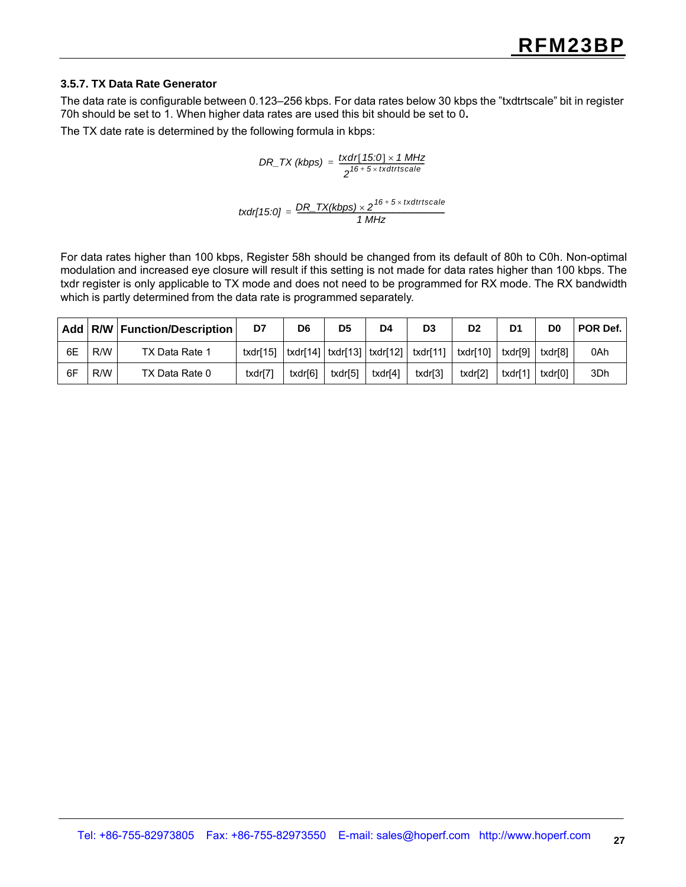#### **3.5.7. TX Data Rate Generator**

The data rate is configurable between 0.123–256 kbps. For data rates below 30 kbps the "txdtrtscale" bit in register 70h should be set to 1. When higher data rates are used this bit should be set to 0**.**

The TX date rate is determined by the following formula in kbps:

$$
DR\_TX (kbps) = \frac{txdr[ 15:0] \times 1 MHz}{2^{16+5 \times txdtrtscale}}
$$

$$
txdr[15:0] = \frac{DR\_TX(kbps) \times 2^{16+5 \times txdtrtscale}}{1 MHz}
$$

For data rates higher than 100 kbps, Register 58h should be changed from its default of 80h to C0h. Non-optimal modulation and increased eye closure will result if this setting is not made for data rates higher than 100 kbps. The txdr register is only applicable to TX mode and does not need to be programmed for RX mode. The RX bandwidth which is partly determined from the data rate is programmed separately.

|    |     | Add   R/W   Function/Description | D7       | D6      | D <sub>5</sub> | D4      | D3      | D <sub>2</sub>                                                                                                                                                         | D1      | D0      | POR Def. |
|----|-----|----------------------------------|----------|---------|----------------|---------|---------|------------------------------------------------------------------------------------------------------------------------------------------------------------------------|---------|---------|----------|
| 6E | R/W | TX Data Rate 1                   | txdr[15] |         |                |         |         | $\vert \text{txdr} \vert 14 \vert \vert \text{txdr} \vert 13 \vert \vert \text{txdr} \vert 12 \vert \vert \text{txdr} \vert 11 \vert \vert \text{txdr} \vert 10 \vert$ | txdr[9] | txdr[8] | 0Ah      |
| 6F | R/W | TX Data Rate 0                   | txdr[7]  | txdr[6] | txdr[5]        | txdr[4] | txdr[3] | txdr[2]                                                                                                                                                                | txdr[1] | txdr[0] | 3Dh      |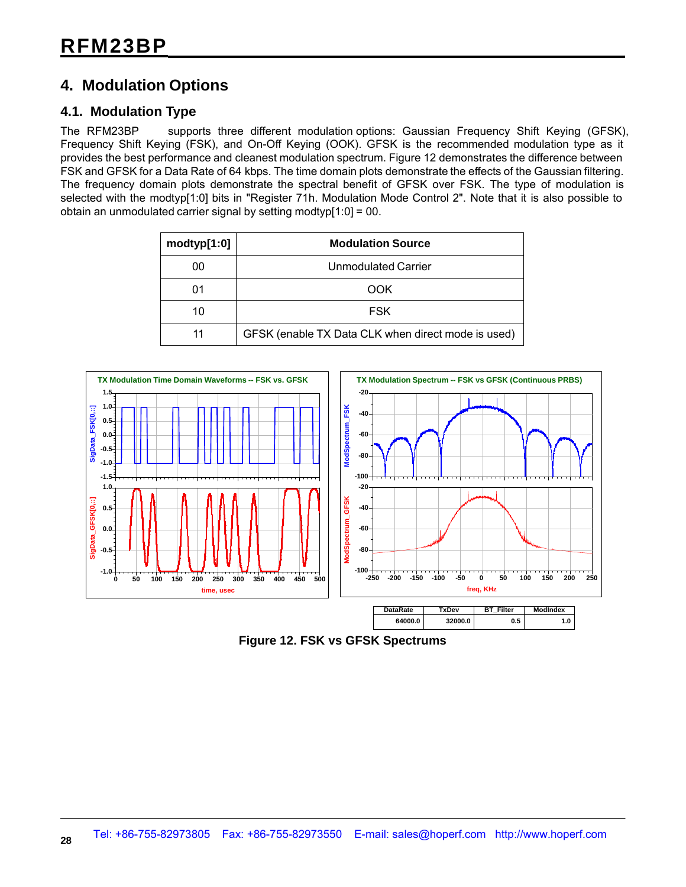### **4. Modulation Options**

#### **4.1. Modulation Type**

The RFM23BP supports three different modulation options: Gaussian Frequency Shift Keying (GFSK), Frequency Shift Keying (FSK), and On-Off Keying (OOK). GFSK is the recommended modulation type as it provides the best performance and cleanest modulation spectrum. Figure 12 demonstrates the difference between FSK and GFSK for a Data Rate of 64 kbps. The time domain plots demonstrate the effects of the Gaussian filtering. The frequency domain plots demonstrate the spectral benefit of GFSK over FSK. The type of modulation is selected with the modtyp[1:0] bits in "Register 71h. Modulation Mode Control 2". Note that it is also possible to obtain an unmodulated carrier signal by setting modtyp[1:0] = 00.

| modtyp[1:0] | <b>Modulation Source</b>                           |
|-------------|----------------------------------------------------|
| 00          | Unmodulated Carrier                                |
| 01          | OOK                                                |
| 10          | <b>FSK</b>                                         |
| 11          | GFSK (enable TX Data CLK when direct mode is used) |



**Figure 12. FSK vs GFSK Spectrums**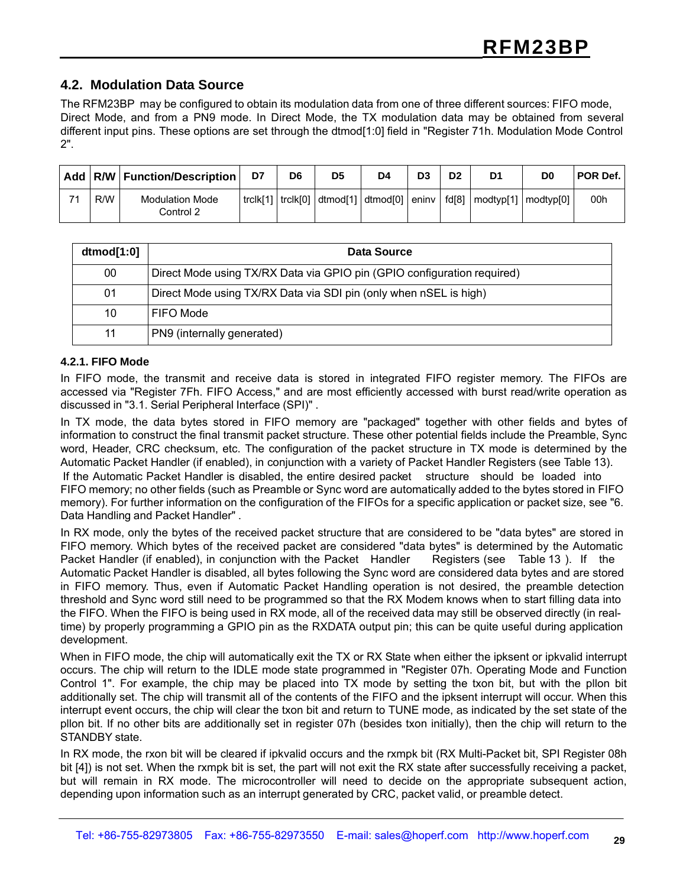#### **4.2. Modulation Data Source**

The RFM23BP may be configured to obtain its modulation data from one of three different sources: FIFO mode, Direct Mode, and from a PN9 mode. In Direct Mode, the TX modulation data may be obtained from several different input pins. These options are set through the dtmod[1:0] field in "Register 71h. Modulation Mode Control 2".

|    |     | Add   R/W   Function/Description    | D7       | D6       | D <sub>5</sub> | D4                            | D3      | D <sub>2</sub> | D <sub>1</sub>        | D0 | POR Def. |
|----|-----|-------------------------------------|----------|----------|----------------|-------------------------------|---------|----------------|-----------------------|----|----------|
| 71 | R/W | <b>Modulation Mode</b><br>Control 2 | trclk[1] | trclk[0] |                | $ $ dtmod[1] $ $ dtmod[0] $ $ | eninv l | fd[8]          | modtyp[1]   modtyp[0] |    | 00h      |

| $d$ tmod $[1:0]$ | Data Source                                                             |
|------------------|-------------------------------------------------------------------------|
| 00               | Direct Mode using TX/RX Data via GPIO pin (GPIO configuration required) |
| 01               | Direct Mode using TX/RX Data via SDI pin (only when nSEL is high)       |
| 10               | FIFO Mode                                                               |
| 11               | PN9 (internally generated)                                              |

#### **4.2.1. FIFO Mode**

In FIFO mode, the transmit and receive data is stored in integrated FIFO register memory. The FIFOs are accessed via "Register 7Fh. FIFO Access," and are most efficiently accessed with burst read/write operation as discussed in "3.1. Serial Peripheral Interface (SPI)" .

In TX mode, the data bytes stored in FIFO memory are "packaged" together with other fields and bytes of information to construct the final transmit packet structure. These other potential fields include the Preamble, Sync word, Header, CRC checksum, etc. The configuration of the packet structure in TX mode is determined by the Automatic Packet Handler (if enabled), in conjunction with a variety of Packet Handler Registers (see Table 13). If the Automatic Packet Handler is disabled, the entire desired packet structure should be loaded into FIFO memory; no other fields (such as Preamble or Sync word are automatically added to the bytes stored in FIFO memory). For further information on the configuration of the FIFOs for a specific application or packet size, see "6. Data Handling and Packet Handler" .

In RX mode, only the bytes of the received packet structure that are considered to be "data bytes" are stored in FIFO memory. Which bytes of the received packet are considered "data bytes" is determined by the Automatic Packet Handler (if enabled), in conjunction with the Packet Handler Registers (see Table 13). If the Automatic Packet Handler is disabled, all bytes following the Sync word are considered data bytes and are stored in FIFO memory. Thus, even if Automatic Packet Handling operation is not desired, the preamble detection threshold and Sync word still need to be programmed so that the RX Modem knows when to start filling data into the FIFO. When the FIFO is being used in RX mode, all of the received data may still be observed directly (in realtime) by properly programming a GPIO pin as the RXDATA output pin; this can be quite useful during application development.

When in FIFO mode, the chip will automatically exit the TX or RX State when either the ipksent or ipkvalid interrupt occurs. The chip will return to the IDLE mode state programmed in "Register 07h. Operating Mode and Function Control 1". For example, the chip may be placed into TX mode by setting the txon bit, but with the pllon bit additionally set. The chip will transmit all of the contents of the FIFO and the ipksent interrupt will occur. When this interrupt event occurs, the chip will clear the txon bit and return to TUNE mode, as indicated by the set state of the pllon bit. If no other bits are additionally set in register 07h (besides txon initially), then the chip will return to the STANDBY state.

In RX mode, the rxon bit will be cleared if ipkvalid occurs and the rxmpk bit (RX Multi-Packet bit, SPI Register 08h bit [4]) is not set. When the rxmpk bit is set, the part will not exit the RX state after successfully receiving a packet, but will remain in RX mode. The microcontroller will need to decide on the appropriate subsequent action, depending upon information such as an interrupt generated by CRC, packet valid, or preamble detect.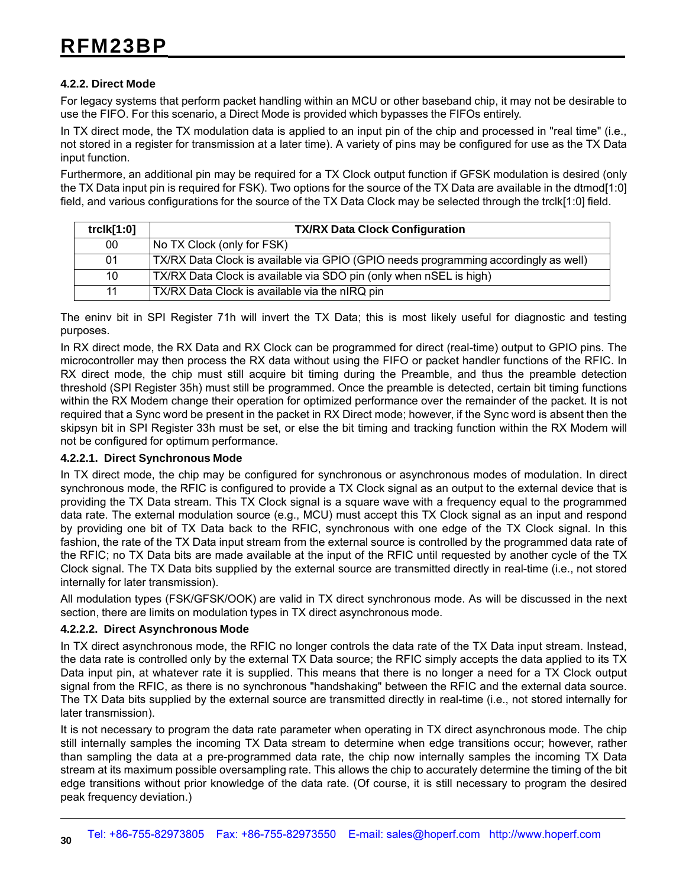#### **4.2.2. Direct Mode**

For legacy systems that perform packet handling within an MCU or other baseband chip, it may not be desirable to use the FIFO. For this scenario, a Direct Mode is provided which bypasses the FIFOs entirely.

In TX direct mode, the TX modulation data is applied to an input pin of the chip and processed in "real time" (i.e., not stored in a register for transmission at a later time). A variety of pins may be configured for use as the TX Data input function.

Furthermore, an additional pin may be required for a TX Clock output function if GFSK modulation is desired (only the TX Data input pin is required for FSK). Two options for the source of the TX Data are available in the dtmod[1:0] field, and various configurations for the source of the TX Data Clock may be selected through the trclk[1:0] field.

| trclk[1:0]      | <b>TX/RX Data Clock Configuration</b>                                               |
|-----------------|-------------------------------------------------------------------------------------|
| $00\,$          | No TX Clock (only for FSK)                                                          |
| 01              | TX/RX Data Clock is available via GPIO (GPIO needs programming accordingly as well) |
| 10 <sup>1</sup> | TX/RX Data Clock is available via SDO pin (only when nSEL is high)                  |
| 11              | TX/RX Data Clock is available via the nIRQ pin                                      |

The eninv bit in SPI Register 71h will invert the TX Data; this is most likely useful for diagnostic and testing purposes.

In RX direct mode, the RX Data and RX Clock can be programmed for direct (real-time) output to GPIO pins. The microcontroller may then process the RX data without using the FIFO or packet handler functions of the RFIC. In RX direct mode, the chip must still acquire bit timing during the Preamble, and thus the preamble detection threshold (SPI Register 35h) must still be programmed. Once the preamble is detected, certain bit timing functions within the RX Modem change their operation for optimized performance over the remainder of the packet. It is not required that a Sync word be present in the packet in RX Direct mode; however, if the Sync word is absent then the skipsyn bit in SPI Register 33h must be set, or else the bit timing and tracking function within the RX Modem will not be configured for optimum performance.

#### **4.2.2.1. Direct Synchronous Mode**

In TX direct mode, the chip may be configured for synchronous or asynchronous modes of modulation. In direct synchronous mode, the RFIC is configured to provide a TX Clock signal as an output to the external device that is providing the TX Data stream. This TX Clock signal is a square wave with a frequency equal to the programmed data rate. The external modulation source (e.g., MCU) must accept this TX Clock signal as an input and respond by providing one bit of TX Data back to the RFIC, synchronous with one edge of the TX Clock signal. In this fashion, the rate of the TX Data input stream from the external source is controlled by the programmed data rate of the RFIC; no TX Data bits are made available at the input of the RFIC until requested by another cycle of the TX Clock signal. The TX Data bits supplied by the external source are transmitted directly in real-time (i.e., not stored internally for later transmission).

All modulation types (FSK/GFSK/OOK) are valid in TX direct synchronous mode. As will be discussed in the next section, there are limits on modulation types in TX direct asynchronous mode.

#### **4.2.2.2. Direct Asynchronous Mode**

In TX direct asynchronous mode, the RFIC no longer controls the data rate of the TX Data input stream. Instead, the data rate is controlled only by the external TX Data source; the RFIC simply accepts the data applied to its TX Data input pin, at whatever rate it is supplied. This means that there is no longer a need for a TX Clock output signal from the RFIC, as there is no synchronous "handshaking" between the RFIC and the external data source. The TX Data bits supplied by the external source are transmitted directly in real-time (i.e., not stored internally for later transmission).

It is not necessary to program the data rate parameter when operating in TX direct asynchronous mode. The chip still internally samples the incoming TX Data stream to determine when edge transitions occur; however, rather than sampling the data at a pre-programmed data rate, the chip now internally samples the incoming TX Data stream at its maximum possible oversampling rate. This allows the chip to accurately determine the timing of the bit edge transitions without prior knowledge of the data rate. (Of course, it is still necessary to program the desired peak frequency deviation.)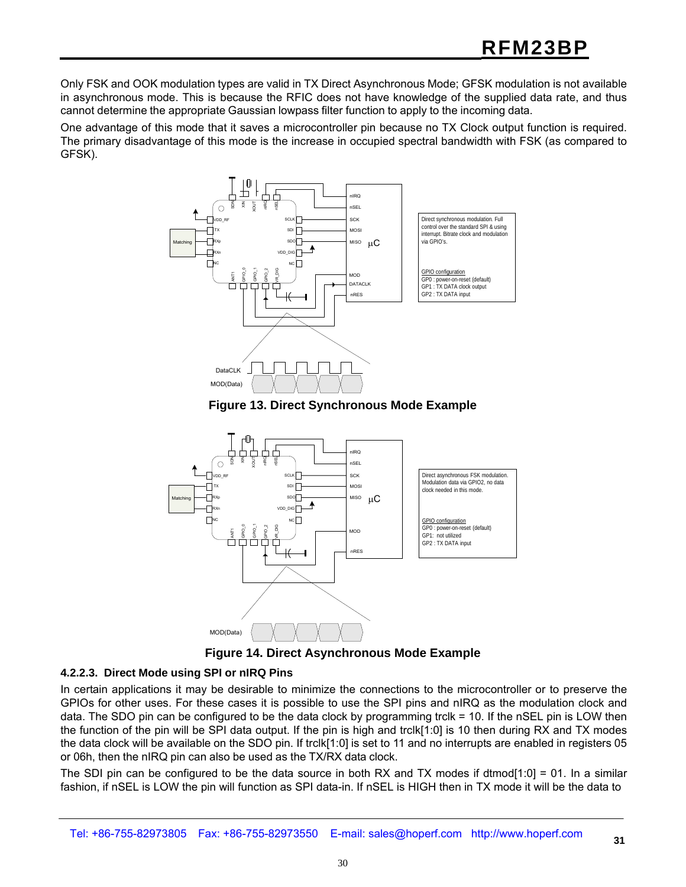Only FSK and OOK modulation types are valid in TX Direct Asynchronous Mode; GFSK modulation is not available in asynchronous mode. This is because the RFIC does not have knowledge of the supplied data rate, and thus cannot determine the appropriate Gaussian lowpass filter function to apply to the incoming data.

One advantage of this mode that it saves a microcontroller pin because no TX Clock output function is required. The primary disadvantage of this mode is the increase in occupied spectral bandwidth with FSK (as compared to GFSK).



**Figure 13. Direct Synchronous Mode Example**





#### **4.2.2.3. Direct Mode using SPI or nIRQ Pins**

In certain applications it may be desirable to minimize the connections to the microcontroller or to preserve the GPIOs for other uses. For these cases it is possible to use the SPI pins and nIRQ as the modulation clock and data. The SDO pin can be configured to be the data clock by programming trclk = 10. If the nSEL pin is LOW then the function of the pin will be SPI data output. If the pin is high and trclk[1:0] is 10 then during RX and TX modes the data clock will be available on the SDO pin. If trclk[1:0] is set to 11 and no interrupts are enabled in registers 05 or 06h, then the nIRQ pin can also be used as the TX/RX data clock.

The SDI pin can be configured to be the data source in both RX and TX modes if dtmod[1:0] = 01. In a similar fashion, if nSEL is LOW the pin will function as SPI data-in. If nSEL is HIGH then in TX mode it will be the data to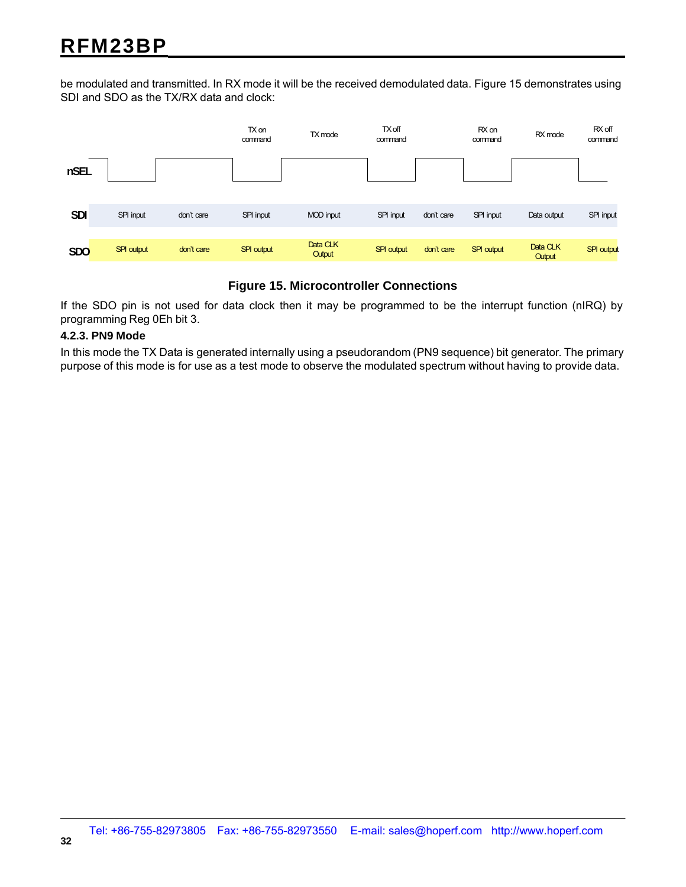be modulated and transmitted. In RX mode it will be the received demodulated data. Figure 15 demonstrates using SDI and SDO as the TX/RX data and clock:



#### **Figure 15. Microcontroller Connections**

If the SDO pin is not used for data clock then it may be programmed to be the interrupt function (nIRQ) by programming Reg 0Eh bit 3.

#### **4.2.3. PN9 Mode**

In this mode the TX Data is generated internally using a pseudorandom (PN9 sequence) bit generator. The primary purpose of this mode is for use as a test mode to observe the modulated spectrum without having to provide data.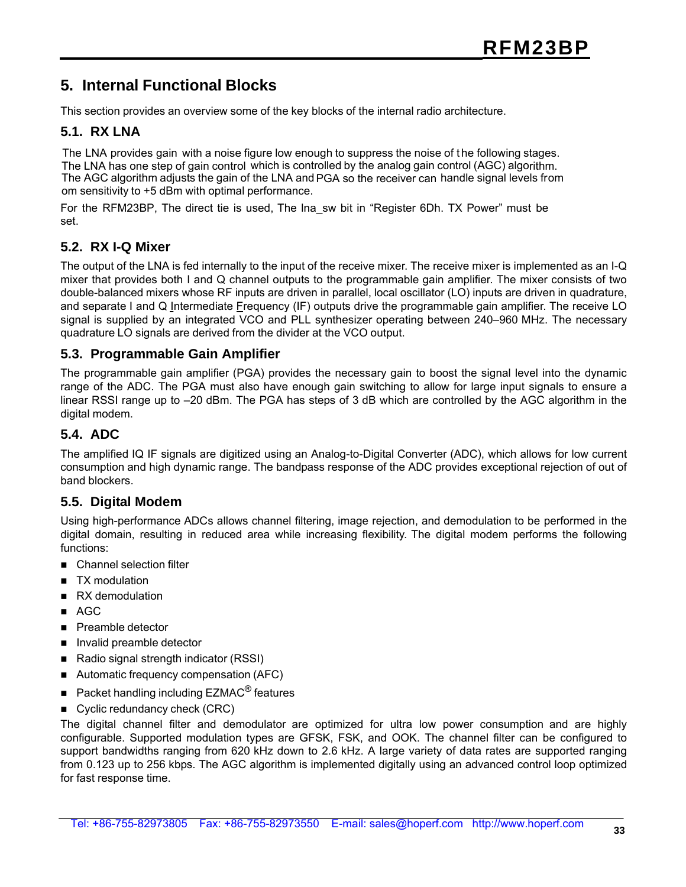### **5. Internal Functional Blocks**

This section provides an overview some of the key blocks of the internal radio architecture.

#### **5.1. RX LNA**

The LNA provides gain with a noise figure low enough to suppress the noise of t he following stages. The LNA has one step of gain control which is controlled by the analog gain control (AGC) algorithm. The AGC algorithm adjusts the gain of the LNA and PGA so the receiver can handle signal levels from om sensitivity to +5 dBm with optimal performance.

For the RFM23BP, The direct tie is used, The lna\_sw bit in "Register 6Dh. TX Power" must be set.

#### **5.2. RX I-Q Mixer**

The output of the LNA is fed internally to the input of the receive mixer. The receive mixer is implemented as an I-Q mixer that provides both I and Q channel outputs to the programmable gain amplifier. The mixer consists of two double-balanced mixers whose RF inputs are driven in parallel, local oscillator (LO) inputs are driven in quadrature, and separate I and Q Intermediate Frequency (IF) outputs drive the programmable gain amplifier. The receive LO signal is supplied by an integrated VCO and PLL synthesizer operating between 240–960 MHz. The necessary quadrature LO signals are derived from the divider at the VCO output.

#### **5.3. Programmable Gain Amplifier**

The programmable gain amplifier (PGA) provides the necessary gain to boost the signal level into the dynamic range of the ADC. The PGA must also have enough gain switching to allow for large input signals to ensure a linear RSSI range up to –20 dBm. The PGA has steps of 3 dB which are controlled by the AGC algorithm in the digital modem.

#### **5.4. ADC**

The amplified IQ IF signals are digitized using an Analog-to-Digital Converter (ADC), which allows for low current consumption and high dynamic range. The bandpass response of the ADC provides exceptional rejection of out of band blockers.

#### **5.5. Digital Modem**

Using high-performance ADCs allows channel filtering, image rejection, and demodulation to be performed in the digital domain, resulting in reduced area while increasing flexibility. The digital modem performs the following functions:

- Channel selection filter
- TX modulation
- RX demodulation
- AGC
- **Preamble detector**
- Invalid preamble detector
- Radio signal strength indicator (RSSI)
- Automatic frequency compensation (AFC)
- Packet handling including  $EZMAC<sup>®</sup>$  features
- Cyclic redundancy check (CRC)

The digital channel filter and demodulator are optimized for ultra low power consumption and are highly configurable. Supported modulation types are GFSK, FSK, and OOK. The channel filter can be configured to support bandwidths ranging from 620 kHz down to 2.6 kHz. A large variety of data rates are supported ranging from 0.123 up to 256 kbps. The AGC algorithm is implemented digitally using an advanced control loop optimized for fast response time.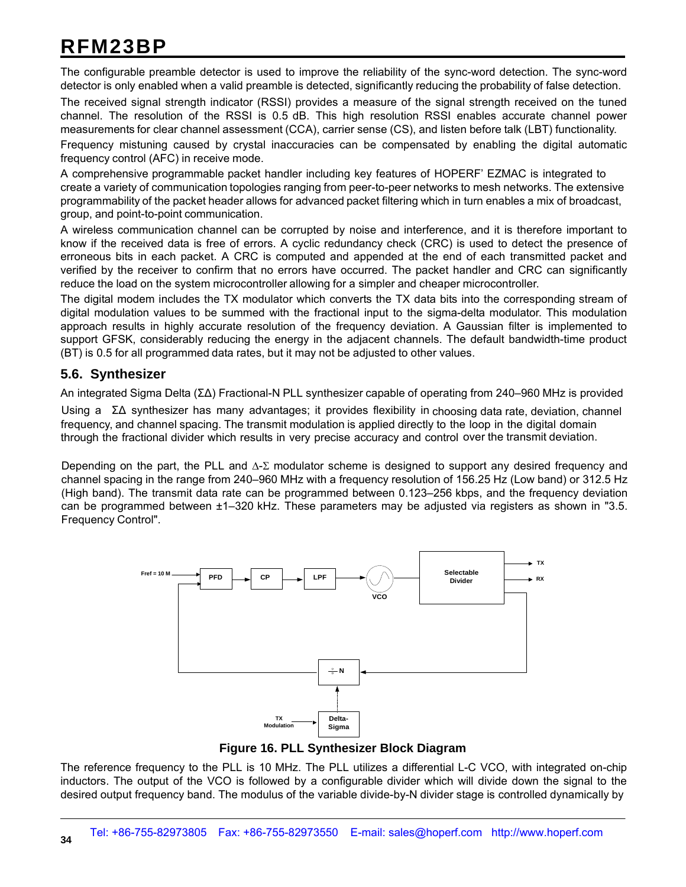The configurable preamble detector is used to improve the reliability of the sync-word detection. The sync-word detector is only enabled when a valid preamble is detected, significantly reducing the probability of false detection.

The received signal strength indicator (RSSI) provides a measure of the signal strength received on the tuned channel. The resolution of the RSSI is 0.5 dB. This high resolution RSSI enables accurate channel power measurements for clear channel assessment (CCA), carrier sense (CS), and listen before talk (LBT) functionality. Frequency mistuning caused by crystal inaccuracies can be compensated by enabling the digital automatic frequency control (AFC) in receive mode.

A comprehensive programmable packet handler including key features of HOPERF' EZMAC is integrated to create a variety of communication topologies ranging from peer-to-peer networks to mesh networks. The extensive programmability of the packet header allows for advanced packet filtering which in turn enables a mix of broadcast, group, and point-to-point communication.

A wireless communication channel can be corrupted by noise and interference, and it is therefore important to know if the received data is free of errors. A cyclic redundancy check (CRC) is used to detect the presence of erroneous bits in each packet. A CRC is computed and appended at the end of each transmitted packet and verified by the receiver to confirm that no errors have occurred. The packet handler and CRC can significantly reduce the load on the system microcontroller allowing for a simpler and cheaper microcontroller.

The digital modem includes the TX modulator which converts the TX data bits into the corresponding stream of digital modulation values to be summed with the fractional input to the sigma-delta modulator. This modulation approach results in highly accurate resolution of the frequency deviation. A Gaussian filter is implemented to support GFSK, considerably reducing the energy in the adjacent channels. The default bandwidth-time product (BT) is 0.5 for all programmed data rates, but it may not be adjusted to other values.

#### **5.6. Synthesizer**

An integrated Sigma Delta (ΣΔ) Fractional-N PLL synthesizer capable of operating from 240–960 MHz is provided

Using a ΣΔ synthesizer has many advantages; it provides flexibility in choosing data rate, deviation, channel frequency, and channel spacing. The transmit modulation is applied directly to the loop in the digital domain through the fractional divider which results in very precise accuracy and control over the transmit deviation.

Depending on the part, the PLL and  $\Delta$ -Σ modulator scheme is designed to support any desired frequency and channel spacing in the range from 240–960 MHz with a frequency resolution of 156.25 Hz (Low band) or 312.5 Hz (High band). The transmit data rate can be programmed between 0.123–256 kbps, and the frequency deviation can be programmed between ±1–320 kHz. These parameters may be adjusted via registers as shown in "3.5. Frequency Control".



**Figure 16. PLL Synthesizer Block Diagram**

The reference frequency to the PLL is 10 MHz. The PLL utilizes a differential L-C VCO, with integrated on-chip inductors. The output of the VCO is followed by a configurable divider which will divide down the signal to the desired output frequency band. The modulus of the variable divide-by-N divider stage is controlled dynamically by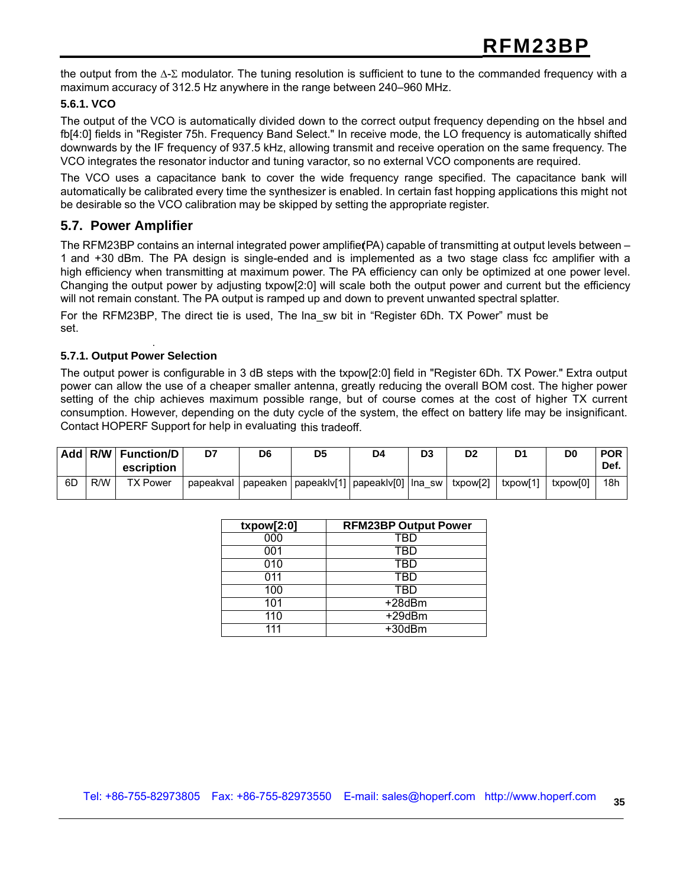the output from the Δ-Σ modulator. The tuning resolution is sufficient to tune to the commanded frequency with a maximum accuracy of 312.5 Hz anywhere in the range between 240–960 MHz.

#### **5.6.1. VCO**

The output of the VCO is automatically divided down to the correct output frequency depending on the hbsel and fb[4:0] fields in "Register 75h. Frequency Band Select." In receive mode, the LO frequency is automatically shifted downwards by the IF frequency of 937.5 kHz, allowing transmit and receive operation on the same frequency. The VCO integrates the resonator inductor and tuning varactor, so no external VCO components are required.

The VCO uses a capacitance bank to cover the wide frequency range specified. The capacitance bank will automatically be calibrated every time the synthesizer is enabled. In certain fast hopping applications this might not be desirable so the VCO calibration may be skipped by setting the appropriate register.

#### **5.7. Power Amplifier**

The RFM23BP contains an internal integrated power amplifier(PA) capable of transmitting at output levels between – 1 and +30 dBm. The PA design is single-ended and is implemented as a two stage class fcc amplifier with a high efficiency when transmitting at maximum power. The PA efficiency can only be optimized at one power level. Changing the output power by adjusting txpow[2:0] will scale both the output power and current but the efficiency will not remain constant. The PA output is ramped up and down to prevent unwanted spectral splatter.

For the RFM23BP, The direct tie is used, The lna sw bit in "Register 6Dh. TX Power" must be set.

#### **5.7.1. Output Power Selection**

.

The output power is configurable in 3 dB steps with the txpow[2:0] field in "Register 6Dh. TX Power." Extra output power can allow the use of a cheaper smaller antenna, greatly reducing the overall BOM cost. The higher power setting of the chip achieves maximum possible range, but of course comes at the cost of higher TX current consumption. However, depending on the duty cycle of the system, the effect on battery life may be insignificant. Contact HOPERF Support for help in evaluating this tradeoff.

|    |     | Add   R/W   Function/D<br>escription | D7        | D <sub>6</sub> | D <sub>5</sub> | D4                                            | D <sub>3</sub> | D <sub>2</sub> | D1       | D0       | <b>POR</b><br>Def. |
|----|-----|--------------------------------------|-----------|----------------|----------------|-----------------------------------------------|----------------|----------------|----------|----------|--------------------|
| 6D | R/W | <b>TX Power</b>                      | papeakval |                |                | papeaken   papeaklv[1]   papeaklv[0]   lna sw |                | txpow[2]       | txpow[1] | txpow[0] | 18h                |

| txpow[2:0]       | <b>RFM23BP Output Power</b> |
|------------------|-----------------------------|
| $\overline{000}$ | TBD                         |
| 001              | TBD                         |
| 010              | TBD                         |
| 011              | TBD                         |
| 100              | TBD                         |
| 101              | +28dBm                      |
| 110              | $+29$ d $Bm$                |
| 111              | $+30$ d $Bm$                |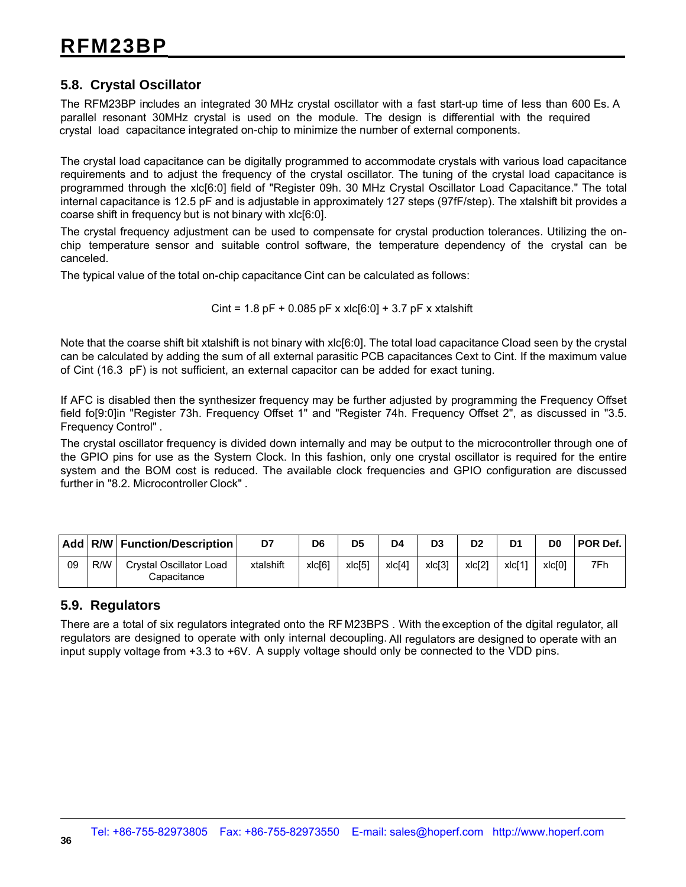#### **5.8. Crystal Oscillator**

The RFM23BP includes an integrated 30 MHz crystal oscillator with a fast start-up time of less than 600 Es. A parallel resonant 30MHz crystal is used on the module. The design is differential with the required crystal load capacitance integrated on-chip to minimize the number of external components.

The crystal load capacitance can be digitally programmed to accommodate crystals with various load capacitance requirements and to adjust the frequency of the crystal oscillator. The tuning of the crystal load capacitance is programmed through the xlc[6:0] field of "Register 09h. 30 MHz Crystal Oscillator Load Capacitance." The total internal capacitance is 12.5 pF and is adjustable in approximately 127 steps (97fF/step). The xtalshift bit provides a coarse shift in frequency but is not binary with xlc[6:0].

The crystal frequency adjustment can be used to compensate for crystal production tolerances. Utilizing the onchip temperature sensor and suitable control software, the temperature dependency of the crystal can be canceled.

The typical value of the total on-chip capacitance Cint can be calculated as follows:

Cint =  $1.8$  pF +  $0.085$  pF x xlc[6:0] +  $3.7$  pF x xtalshift

Note that the coarse shift bit xtalshift is not binary with xlc[6:0]. The total load capacitance Cload seen by the crystal can be calculated by adding the sum of all external parasitic PCB capacitances Cext to Cint. If the maximum value of Cint (16.3 pF) is not sufficient, an external capacitor can be added for exact tuning.

If AFC is disabled then the synthesizer frequency may be further adjusted by programming the Frequency Offset field fo[9:0]in "Register 73h. Frequency Offset 1" and "Register 74h. Frequency Offset 2", as discussed in "3.5. Frequency Control" .

The crystal oscillator frequency is divided down internally and may be output to the microcontroller through one of the GPIO pins for use as the System Clock. In this fashion, only one crystal oscillator is required for the entire system and the BOM cost is reduced. The available clock frequencies and GPIO configuration are discussed further in "8.2. Microcontroller Clock" .

|    |     | Add   R/W   Function/Description              | D7        | D6     | D <sub>5</sub> | D4                 | D <sub>3</sub> | D <sub>2</sub> | D1     | D0     | <b>POR Def.</b> |
|----|-----|-----------------------------------------------|-----------|--------|----------------|--------------------|----------------|----------------|--------|--------|-----------------|
| 09 | R/W | <b>Crystal Oscillator Load</b><br>Capacitance | xtalshift | xlc[6] | xlc[5]         | xlc <sup>[4]</sup> | xlc[3]         | x c[2]         | xlcl1' | xlc[0] | 7Fh             |

#### **5.9. Regulators**

There are a total of six regulators integrated onto the RF M23BPS . With the exception of the digital regulator, all regulators are designed to operate with only internal decoupling. All regulators are designed to operate with an input supply voltage from +3.3 to +6V. A supply voltage should only be connected to the VDD pins.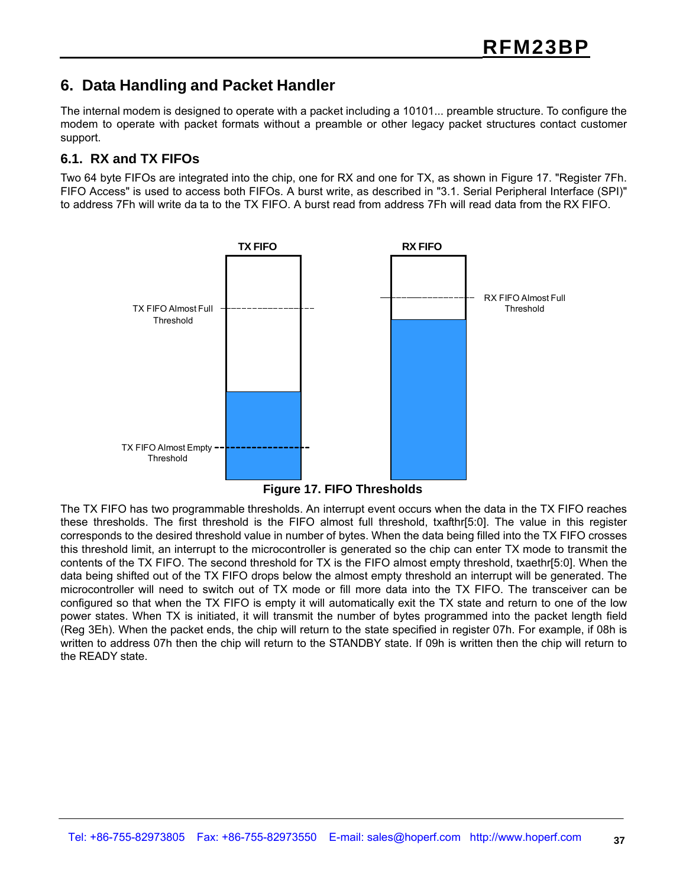### **6. Data Handling and Packet Handler**

The internal modem is designed to operate with a packet including a 10101... preamble structure. To configure the modem to operate with packet formats without a preamble or other legacy packet structures contact customer support.

#### **6.1. RX and TX FIFOs**

Two 64 byte FIFOs are integrated into the chip, one for RX and one for TX, as shown in Figure 17. "Register 7Fh. FIFO Access" is used to access both FIFOs. A burst write, as described in "3.1. Serial Peripheral Interface (SPI)" to address 7Fh will write da ta to the TX FIFO. A burst read from address 7Fh will read data from the RX FIFO.



**Figure 17. FIFO Thresholds**

The TX FIFO has two programmable thresholds. An interrupt event occurs when the data in the TX FIFO reaches these thresholds. The first threshold is the FIFO almost full threshold, txafthr[5:0]. The value in this register corresponds to the desired threshold value in number of bytes. When the data being filled into the TX FIFO crosses this threshold limit, an interrupt to the microcontroller is generated so the chip can enter TX mode to transmit the contents of the TX FIFO. The second threshold for TX is the FIFO almost empty threshold, txaethr[5:0]. When the data being shifted out of the TX FIFO drops below the almost empty threshold an interrupt will be generated. The microcontroller will need to switch out of TX mode or fill more data into the TX FIFO. The transceiver can be configured so that when the TX FIFO is empty it will automatically exit the TX state and return to one of the low power states. When TX is initiated, it will transmit the number of bytes programmed into the packet length field (Reg 3Eh). When the packet ends, the chip will return to the state specified in register 07h. For example, if 08h is written to address 07h then the chip will return to the STANDBY state. If 09h is written then the chip will return to the READY state.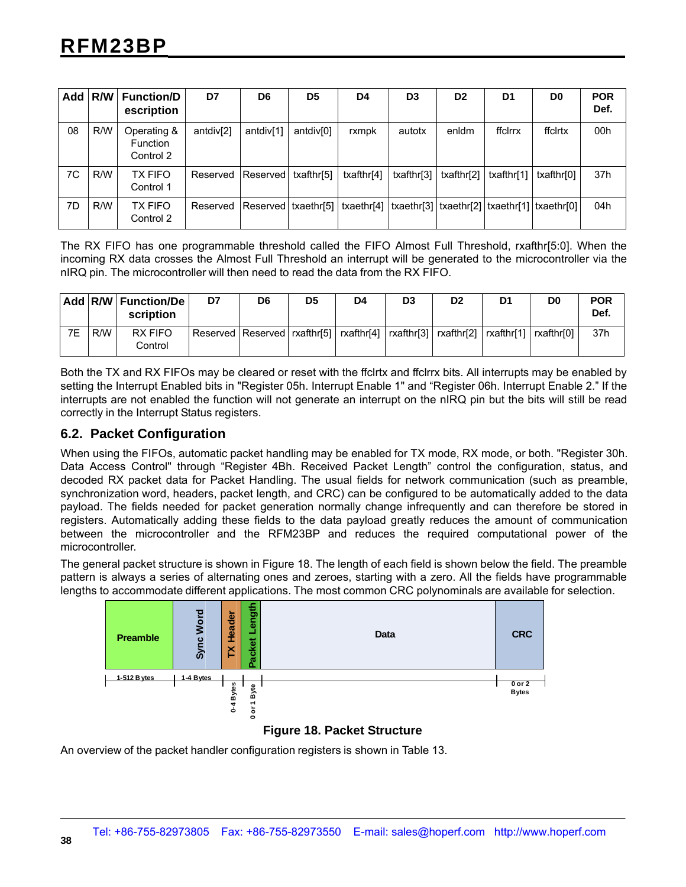|    |     | Add   R/W   Function/D<br>escription        | D7                    | D <sub>6</sub>        | D <sub>5</sub>        | D4         | D <sub>3</sub>                                                 | D <sub>2</sub> | D <sub>1</sub> | D <sub>0</sub> | <b>POR</b><br>Def. |
|----|-----|---------------------------------------------|-----------------------|-----------------------|-----------------------|------------|----------------------------------------------------------------|----------------|----------------|----------------|--------------------|
| 08 | R/W | Operating &<br><b>Function</b><br>Control 2 | antdiv <sup>[2]</sup> | antdiv <sup>[1]</sup> | antdiv <sup>[0]</sup> | rxmpk      | autotx                                                         | enldm          | ffclrrx        | ffclrtx        | 00h                |
| 7C | R/W | <b>TX FIFO</b><br>Control 1                 | Reserved              | Reserved              | txafthr[5]            | txafthr[4] | txafthr[3]                                                     | txafthr[2]     | txafthr[1]     | txafthr[0]     | 37h                |
| 7D | R/W | TX FIFO<br>Control 2                        | Reserved              | Reserved   txaethr[5] |                       |            | txaethr[4]   txaethr[3]   txaethr[2]   txaethr[1]   txaethr[0] |                |                |                | 04h                |

The RX FIFO has one programmable threshold called the FIFO Almost Full Threshold, rxafthr[5:0]. When the incoming RX data crosses the Almost Full Threshold an interrupt will be generated to the microcontroller via the nIRQ pin. The microcontroller will then need to read the data from the RX FIFO.

|    |     | Add   R/W   Function/De  <br>scription | D7 | D6                                                                                              | D <sub>5</sub> | D4 | D <sub>3</sub> | D2 | D1 | D <sub>0</sub> | <b>POR</b><br>Def. |
|----|-----|----------------------------------------|----|-------------------------------------------------------------------------------------------------|----------------|----|----------------|----|----|----------------|--------------------|
| 7E | R/W | RX FIFO<br>Control                     |    | Reserved Reserved   rxafthr[5]   rxafthr[4]   rxafthr[3]   rxafthr[2]   rxafthr[1]   rxafthr[0] |                |    |                |    |    |                | 37h                |

Both the TX and RX FIFOs may be cleared or reset with the ffclrtx and ffclrrx bits. All interrupts may be enabled by setting the Interrupt Enabled bits in "Register 05h. Interrupt Enable 1" and "Register 06h. Interrupt Enable 2." If the interrupts are not enabled the function will not generate an interrupt on the nIRQ pin but the bits will still be read correctly in the Interrupt Status registers.

#### **6.2. Packet Configuration**

When using the FIFOs, automatic packet handling may be enabled for TX mode, RX mode, or both. "Register 30h. Data Access Control" through "Register 4Bh. Received Packet Length" control the configuration, status, and decoded RX packet data for Packet Handling. The usual fields for network communication (such as preamble, synchronization word, headers, packet length, and CRC) can be configured to be automatically added to the data payload. The fields needed for packet generation normally change infrequently and can therefore be stored in registers. Automatically adding these fields to the data payload greatly reduces the amount of communication between the microcontroller and the RFM23BP and reduces the required computational power of the microcontroller.

The general packet structure is shown in Figure 18. The length of each field is shown below the field. The preamble pattern is always a series of alternating ones and zeroes, starting with a zero. All the fields have programmable lengths to accommodate different applications. The most common CRC polynominals are available for selection.



#### **Figure 18. Packet Structure**

An overview of the packet handler configuration registers is shown in Table 13.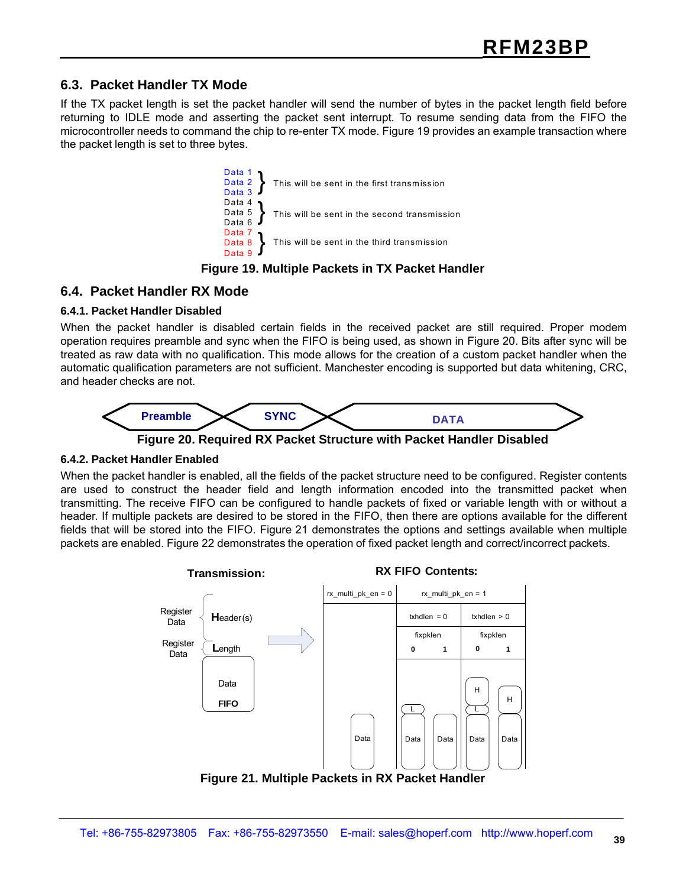#### **6.3. Packet Handler TX Mode**

If the TX packet length is set the packet handler will send the number of bytes in the packet length field before returning to IDLE mode and asserting the packet sent interrupt. To resume sending data from the FIFO the microcontroller needs to command the chip to re-enter TX mode. Figure 19 provides an example transaction where the packet length is set to three bytes.



#### **Figure 19. Multiple Packets in TX Packet Handler**

#### **6.4. Packet Handler RX Mode**

#### **6.4.1. Packet Handler Disabled**

When the packet handler is disabled certain fields in the received packet are still required. Proper modem operation requires preamble and sync when the FIFO is being used, as shown in Figure 20. Bits after sync will be treated as raw data with no qualification. This mode allows for the creation of a custom packet handler when the automatic qualification parameters are not sufficient. Manchester encoding is supported but data whitening, CRC, and header checks are not.



**Figure 20. Required RX Packet Structure with Packet Handler Disabled**

#### **6.4.2. Packet Handler Enabled**

When the packet handler is enabled, all the fields of the packet structure need to be configured. Register contents are used to construct the header field and length information encoded into the transmitted packet when transmitting. The receive FIFO can be configured to handle packets of fixed or variable length with or without a header. If multiple packets are desired to be stored in the FIFO, then there are options available for the different fields that will be stored into the FIFO. Figure 21 demonstrates the options and settings available when multiple packets are enabled. Figure 22 demonstrates the operation of fixed packet length and correct/incorrect packets.



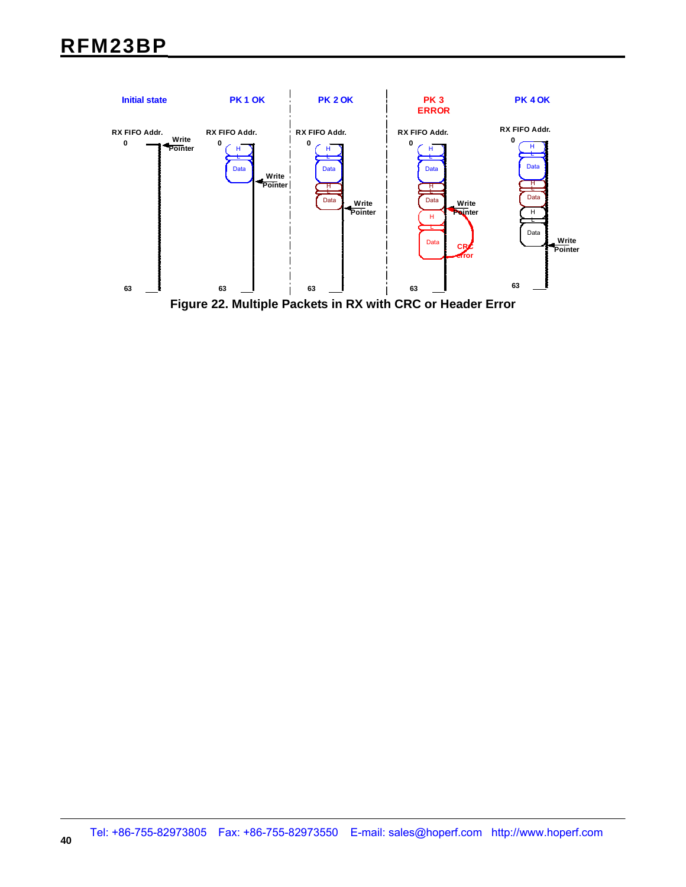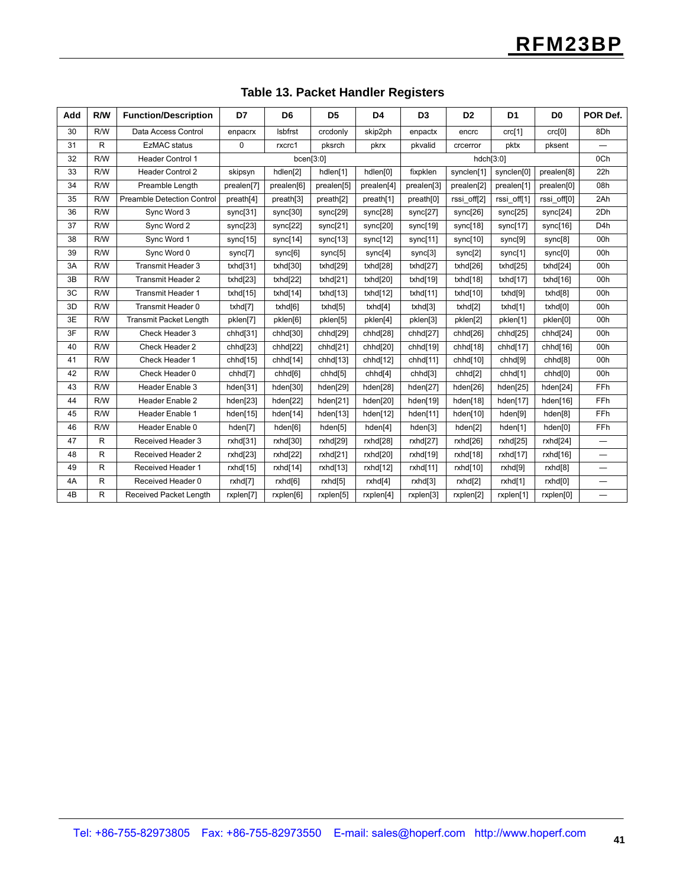| Add | R/W | <b>Function/Description</b>       | D7         | D <sub>6</sub>      | D <sub>5</sub> | D <sub>4</sub> | D <sub>3</sub> | D <sub>2</sub> | D <sub>1</sub> | D <sub>0</sub>      | POR Def.                         |
|-----|-----|-----------------------------------|------------|---------------------|----------------|----------------|----------------|----------------|----------------|---------------------|----------------------------------|
| 30  | R/W | Data Access Control               | enpacrx    | Isbfrst             | crcdonly       | skip2ph        | enpactx        | encrc          | crc[1]         | crc[0]              | 8Dh                              |
| 31  | R   | <b>EzMAC</b> status               | 0          | rxcrc1              | pksrch         | pkrx           | pkvalid        | crcerror       | pktx           | pksent              |                                  |
| 32  | R/W | <b>Header Control 1</b>           |            | bcen[3:0]           |                |                |                | hdch[3:0]      |                | 0Ch                 |                                  |
| 33  | R/W | <b>Header Control 2</b>           | skipsyn    | hdlen[2]            | hdlen[1]       | hdlen[0]       | fixpklen       | synclen[1]     | synclen[0]     | prealen[8]          | 22h                              |
| 34  | R/W | Preamble Length                   | prealen[7] | prealen[6]          | prealen[5]     | prealen[4]     | prealen[3]     | prealen[2]     | prealen[1]     | prealen[0]          | 08h                              |
| 35  | R/W | <b>Preamble Detection Control</b> | preath[4]  | preath[3]           | preath[2]      | preath[1]      | preath[0]      | rssi off[2]    | rssi off[1]    | rssi off[0]         | 2Ah                              |
| 36  | R/W | Sync Word 3                       | sync[31]   | sync[30]            | sync[29]       | sync[28]       | sync[27]       | sync[26]       | sync[25]       | sync[24]            | 2Dh                              |
| 37  | R/W | Sync Word 2                       | sync[23]   | sync[22]            | sync[21]       | sync[20]       | sync[19]       | sync[18]       | sync[17]       | sync[16]            | D <sub>4</sub> h                 |
| 38  | R/W | Sync Word 1                       | sync[15]   | sync[14]            | sync[13]       | sync[12]       | sync[11]       | sync[10]       | sync[9]        | sync[8]             | 00h                              |
| 39  | R/W | Sync Word 0                       | sync[7]    | sync[6]             | sync[5]        | sync[4]        | sync[3]        | sync[2]        | sync[1]        | sync[0]             | 00h                              |
| 3A  | R/W | Transmit Header 3                 | txhd[31]   | txhd[30]            | txhd[29]       | txhd[28]       | txhd[27]       | txhd[26]       | txh d[25]      | txhd[24]            | 00h                              |
| 3B  | R/W | Transmit Header 2                 | txhd[23]   | txhd[22]            | txhd $[21]$    | txhd[20]       | txhd[19]       | txhd[18]       | txhd[17]       | txhd[16]            | 00h                              |
| 3C  | R/W | <b>Transmit Header 1</b>          | txhd[15]   | txhd[14]            | txhd[13]       | txhd[12]       | txhd[11]       | txhd[10]       | txhd[9]        | $txhdf8$ ]          | 00h                              |
| 3D  | R/W | Transmit Header 0                 | txhd[7]    | txhd[6]             | txhd[5]        | txhd[4]        | txhd[3]        | txhd[2]        | txhd[1]        | txhd[0]             | 00h                              |
| 3E  | R/W | <b>Transmit Packet Length</b>     | pklen[7]   | pklen[6]            | pklen[5]       | pklen[4]       | pklen[3]       | pklen[2]       | pklen[1]       | pklen[0]            | 00h                              |
| 3F  | R/W | Check Header 3                    | chhd[31]   | chhd[30]            | chhd[29]       | chhd[28]       | chhd[27]       | chhd[26]       | chhd[25]       | chhd[24]            | 00h                              |
| 40  | R/W | Check Header 2                    | chhd[23]   | chhd[22]            | chhd[21]       | chhd[20]       | chhd[19]       | chhd[18]       | chhd[17]       | chhd[16]            | 00h                              |
| 41  | R/W | Check Header 1                    | chhd[15]   | chhd[14]            | chhd[13]       | chhd[12]       | chhd[11]       | chhd[10]       | chhd[9]        | chhd <sup>[8]</sup> | 00h                              |
| 42  | R/W | Check Header 0                    | chhd[7]    | chhd <sup>[6]</sup> | chhd[5]        | chhd[4]        | chhd[3]        | chhd[2]        | chhd[1]        | chhd[0]             | 00h                              |
| 43  | R/W | Header Enable 3                   | hden[31]   | hden[30]            | hden[29]       | hden[28]       | hden[27]       | hden[26]       | hden[25]       | hden[24]            | FFh                              |
| 44  | R/W | Header Enable 2                   | hden[23]   | hden[22]            | hden[21]       | hden[20]       | hden[19]       | hden[18]       | hden[17]       | hden[16]            | FFh                              |
| 45  | R/W | Header Enable 1                   | hden[15]   | hden[14]            | hden[13]       | hden[12]       | hden[11]       | hden[10]       | hden[9]        | hden[8]             | FFh                              |
| 46  | R/W | Header Enable 0                   | hden[7]    | hden[6]             | hden[5]        | hden[4]        | hden[3]        | hden[2]        | hden[1]        | hden[0]             | <b>FFh</b>                       |
| 47  | R.  | Received Header 3                 | rxhd[31]   | rxhd[30]            | rxhd[29]       | rxhd[28]       | rxhd[27]       | rxhd[26]       | rxhd[25]       | rxhd[24]            |                                  |
| 48  | R   | Received Header 2                 | rxhd[23]   | rxhd[22]            | rxhd[21]       | rxhd[20]       | rxhd[19]       | rxhd[18]       | rxhd[17]       | rxhd[16]            | $\overline{\phantom{m}}$         |
| 49  | R   | <b>Received Header 1</b>          | rxhd[15]   | rxhd[14]            | rxhd[13]       | rxhd[12]       | rxhd[11]       | rxhd[10]       | rxhd[9]        | rxhd[8]             |                                  |
| 4A  | R   | Received Header 0                 | rxhd[7]    | rxhd[6]             | rxhd[5]        | rxhd[4]        | rxhd[3]        | rxhd[2]        | rxhd[1]        | rxhd[0]             | $\overbrace{\phantom{12322111}}$ |
| 4B  | R   | Received Packet Length            | rxplen[7]  | rxplen[6]           | rxplen[5]      | rxplen[4]      | rxplen[3]      | rxplen[2]      | rxplen[1]      | rxplen[0]           |                                  |

#### **Table 13. Packet Handler Registers**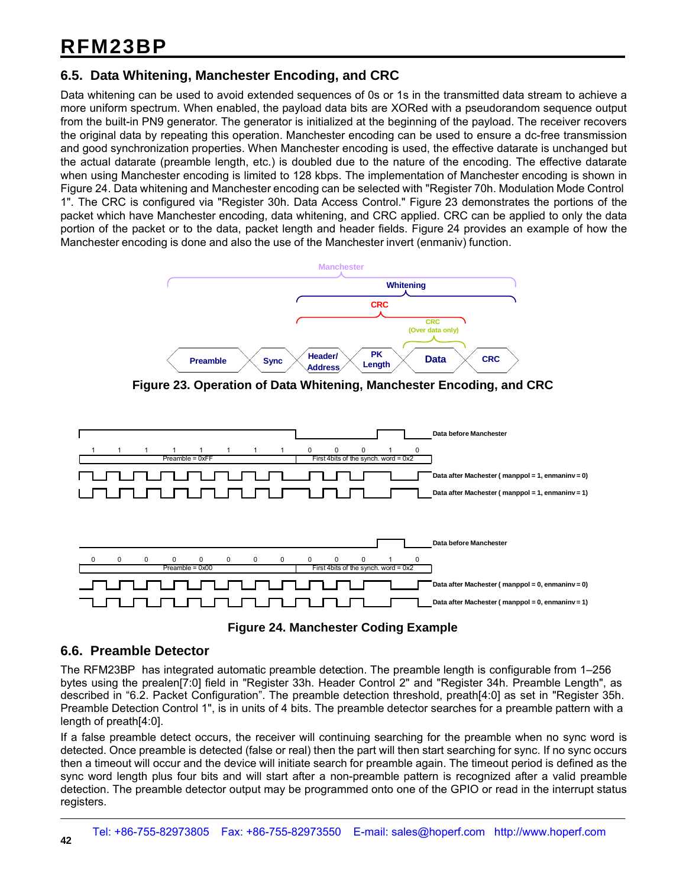### **6.5. Data Whitening, Manchester Encoding, and CRC**

Data whitening can be used to avoid extended sequences of 0s or 1s in the transmitted data stream to achieve a more uniform spectrum. When enabled, the payload data bits are XORed with a pseudorandom sequence output from the built-in PN9 generator. The generator is initialized at the beginning of the payload. The receiver recovers the original data by repeating this operation. Manchester encoding can be used to ensure a dc-free transmission and good synchronization properties. When Manchester encoding is used, the effective datarate is unchanged but the actual datarate (preamble length, etc.) is doubled due to the nature of the encoding. The effective datarate when using Manchester encoding is limited to 128 kbps. The implementation of Manchester encoding is shown in Figure 24. Data whitening and Manchester encoding can be selected with "Register 70h. Modulation Mode Control 1". The CRC is configured via "Register 30h. Data Access Control." Figure 23 demonstrates the portions of the packet which have Manchester encoding, data whitening, and CRC applied. CRC can be applied to only the data portion of the packet or to the data, packet length and header fields. Figure 24 provides an example of how the Manchester encoding is done and also the use of the Manchester invert (enmaniv) function.



**Figure 23. Operation of Data Whitening, Manchester Encoding, and CRC**





#### **6.6. Preamble Detector**

The RFM23BP has integrated automatic preamble detection. The preamble length is configurable from 1–256 bytes using the prealen[7:0] field in "Register 33h. Header Control 2" and "Register 34h. Preamble Length", as described in "6.2. Packet Configuration". The preamble detection threshold, preath[4:0] as set in "Register 35h. Preamble Detection Control 1", is in units of 4 bits. The preamble detector searches for a preamble pattern with a length of preath[4:0].

If a false preamble detect occurs, the receiver will continuing searching for the preamble when no sync word is detected. Once preamble is detected (false or real) then the part will then start searching for sync. If no sync occurs then a timeout will occur and the device will initiate search for preamble again. The timeout period is defined as the sync word length plus four bits and will start after a non-preamble pattern is recognized after a valid preamble detection. The preamble detector output may be programmed onto one of the GPIO or read in the interrupt status registers.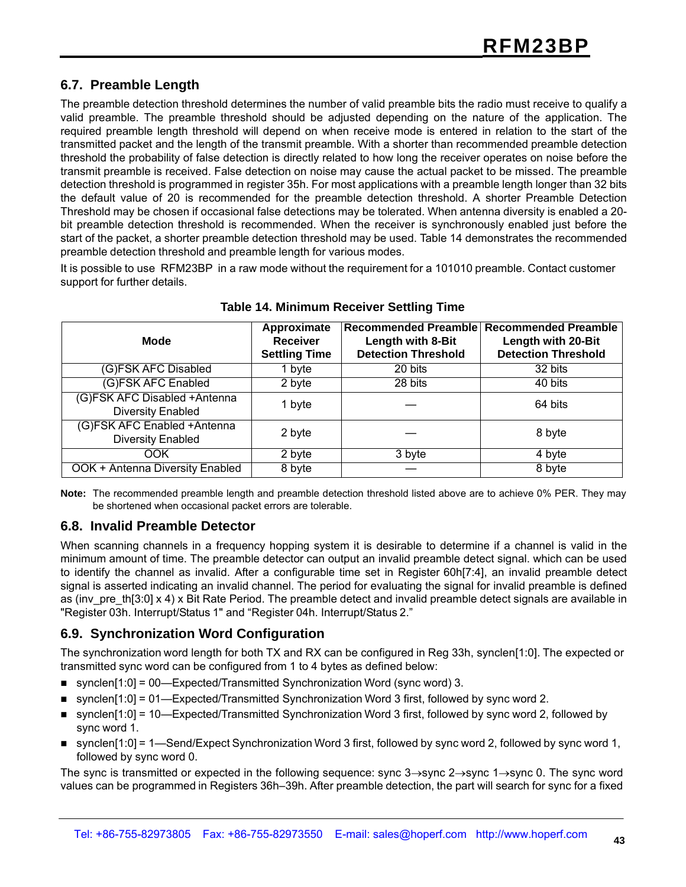### **6.7. Preamble Length**

The preamble detection threshold determines the number of valid preamble bits the radio must receive to qualify a valid preamble. The preamble threshold should be adjusted depending on the nature of the application. The required preamble length threshold will depend on when receive mode is entered in relation to the start of the transmitted packet and the length of the transmit preamble. With a shorter than recommended preamble detection threshold the probability of false detection is directly related to how long the receiver operates on noise before the transmit preamble is received. False detection on noise may cause the actual packet to be missed. The preamble detection threshold is programmed in register 35h. For most applications with a preamble length longer than 32 bits the default value of 20 is recommended for the preamble detection threshold. A shorter Preamble Detection Threshold may be chosen if occasional false detections may be tolerated. When antenna diversity is enabled a 20 bit preamble detection threshold is recommended. When the receiver is synchronously enabled just before the start of the packet, a shorter preamble detection threshold may be used. Table 14 demonstrates the recommended preamble detection threshold and preamble length for various modes.

It is possible to use RFM23BP in a raw mode without the requirement for a 101010 preamble. Contact customer support for further details.

| <b>Mode</b>                                              | Approximate<br><b>Receiver</b><br><b>Settling Time</b> | <b>Recommended Preamble</b><br>Length with 8-Bit<br><b>Detection Threshold</b> | <b>Recommended Preamble</b><br>Length with 20-Bit<br><b>Detection Threshold</b> |
|----------------------------------------------------------|--------------------------------------------------------|--------------------------------------------------------------------------------|---------------------------------------------------------------------------------|
| (G)FSK AFC Disabled                                      | 1 byte                                                 | 20 bits                                                                        | 32 bits                                                                         |
| (G)FSK AFC Enabled                                       | 2 byte                                                 | 28 bits                                                                        | 40 bits                                                                         |
| (G)FSK AFC Disabled +Antenna<br><b>Diversity Enabled</b> | 1 byte                                                 |                                                                                | 64 bits                                                                         |
| (G)FSK AFC Enabled +Antenna<br><b>Diversity Enabled</b>  | 2 byte                                                 |                                                                                | 8 byte                                                                          |
| OOK                                                      | 2 byte                                                 | 3 byte                                                                         | 4 byte                                                                          |
| OOK + Antenna Diversity Enabled                          | 8 byte                                                 |                                                                                | 8 byte                                                                          |

#### **Table 14. Minimum Receiver Settling Time**

**Note:** The recommended preamble length and preamble detection threshold listed above are to achieve 0% PER. They may be shortened when occasional packet errors are tolerable.

#### **6.8. Invalid Preamble Detector**

When scanning channels in a frequency hopping system it is desirable to determine if a channel is valid in the minimum amount of time. The preamble detector can output an invalid preamble detect signal. which can be used to identify the channel as invalid. After a configurable time set in Register 60h[7:4], an invalid preamble detect signal is asserted indicating an invalid channel. The period for evaluating the signal for invalid preamble is defined as (inv\_pre\_th[3:0] x 4) x Bit Rate Period. The preamble detect and invalid preamble detect signals are available in "Register 03h. Interrupt/Status 1" and "Register 04h. Interrupt/Status 2."

#### **6.9. Synchronization Word Configuration**

The synchronization word length for both TX and RX can be configured in Reg 33h, synclen[1:0]. The expected or transmitted sync word can be configured from 1 to 4 bytes as defined below:

- synclen $[1:0]$  = 00—Expected/Transmitted Synchronization Word (sync word) 3.
- synclen $[1:0]$  = 01—Expected/Transmitted Synchronization Word 3 first, followed by sync word 2.
- synclen[1:0] = 10—Expected/Transmitted Synchronization Word 3 first, followed by sync word 2, followed by sync word 1.
- synclen $[1:0]$  = 1—Send/Expect Synchronization Word 3 first, followed by sync word 2, followed by sync word 1, followed by sync word 0.

The sync is transmitted or expected in the following sequence: sync 3→sync 2→sync 1→sync 0. The sync word values can be programmed in Registers 36h–39h. After preamble detection, the part will search for sync for a fixed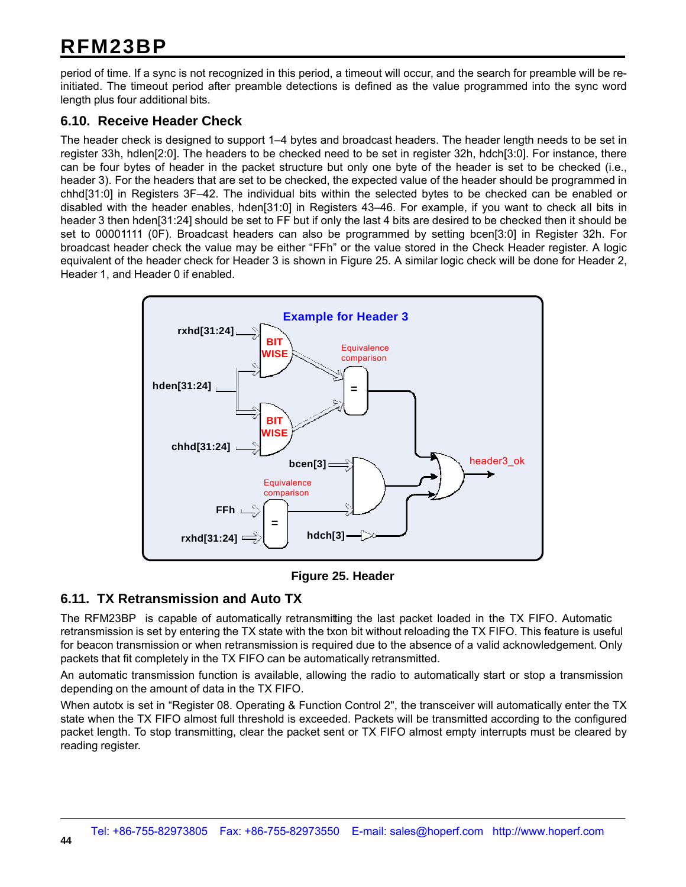period of time. If a sync is not recognized in this period, a timeout will occur, and the search for preamble will be reinitiated. The timeout period after preamble detections is defined as the value programmed into the sync word length plus four additional bits.

#### **6.10. Receive Header Check**

The header check is designed to support 1–4 bytes and broadcast headers. The header length needs to be set in register 33h, hdlen[2:0]. The headers to be checked need to be set in register 32h, hdch[3:0]. For instance, there can be four bytes of header in the packet structure but only one byte of the header is set to be checked (i.e., header 3). For the headers that are set to be checked, the expected value of the header should be programmed in chhd[31:0] in Registers 3F–42. The individual bits within the selected bytes to be checked can be enabled or disabled with the header enables, hden[31:0] in Registers 43–46. For example, if you want to check all bits in header 3 then hden[31:24] should be set to FF but if only the last 4 bits are desired to be checked then it should be set to 00001111 (0F). Broadcast headers can also be programmed by setting bcen[3:0] in Register 32h. For broadcast header check the value may be either "FFh" or the value stored in the Check Header register. A logic equivalent of the header check for Header 3 is shown in Figure 25. A similar logic check will be done for Header 2, Header 1, and Header 0 if enabled.



**Figure 25. Header**

#### **6.11. TX Retransmission and Auto TX**

The RFM23BP is capable of automatically retransmitting the last packet loaded in the TX FIFO. Automatic retransmission is set by entering the TX state with the txon bit without reloading the TX FIFO. This feature is useful for beacon transmission or when retransmission is required due to the absence of a valid acknowledgement. Only packets that fit completely in the TX FIFO can be automatically retransmitted.

An automatic transmission function is available, allowing the radio to automatically start or stop a transmission depending on the amount of data in the TX FIFO.

When autotx is set in "Register 08. Operating & Function Control 2", the transceiver will automatically enter the TX state when the TX FIFO almost full threshold is exceeded. Packets will be transmitted according to the configured packet length. To stop transmitting, clear the packet sent or TX FIFO almost empty interrupts must be cleared by reading register.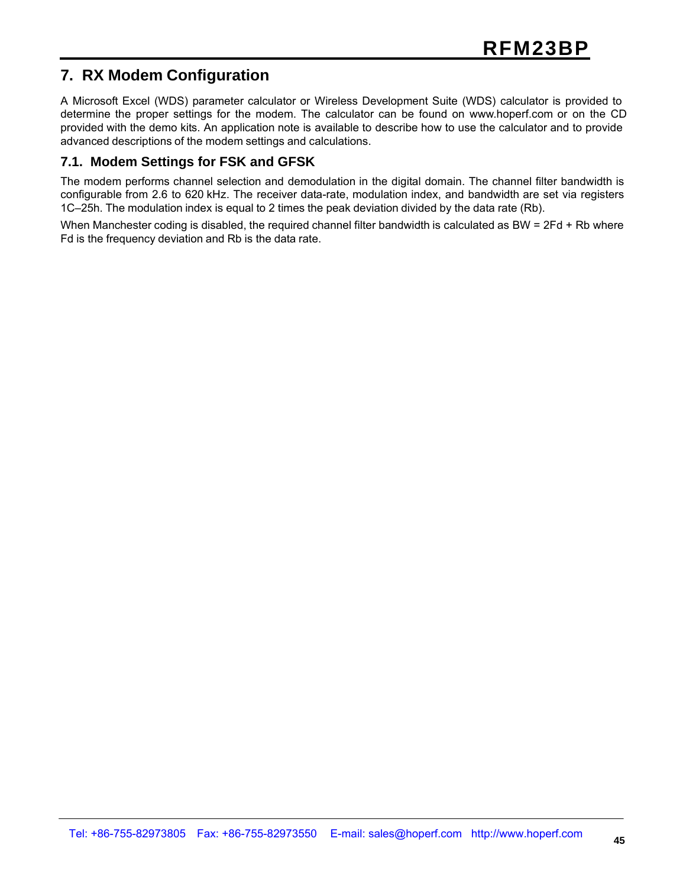### **7. RX Modem Configuration**

A Microsoft Excel (WDS) parameter calculator or Wireless Development Suite (WDS) calculator is provided to determine the proper settings for the modem. The calculator can be found on www.hoperf.com or on the CD provided with the demo kits. An application note is available to describe how to use the calculator and to provide advanced descriptions of the modem settings and calculations.

#### **7.1. Modem Settings for FSK and GFSK**

The modem performs channel selection and demodulation in the digital domain. The channel filter bandwidth is configurable from 2.6 to 620 kHz. The receiver data-rate, modulation index, and bandwidth are set via registers 1C–25h. The modulation index is equal to 2 times the peak deviation divided by the data rate (Rb).

When Manchester coding is disabled, the required channel filter bandwidth is calculated as BW = 2Fd + Rb where Fd is the frequency deviation and Rb is the data rate.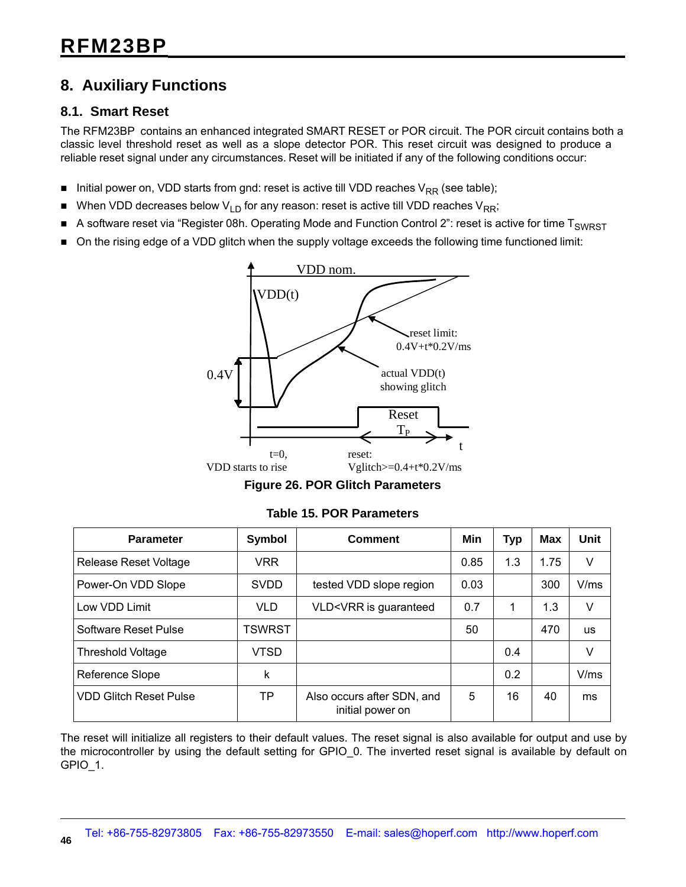### **8. Auxiliary Functions**

#### **8.1. Smart Reset**

The RFM23BP contains an enhanced integrated SMART RESET or POR circuit. The POR circuit contains both a classic level threshold reset as well as a slope detector POR. This reset circuit was designed to produce a reliable reset signal under any circumstances. Reset will be initiated if any of the following conditions occur:

- Initial power on, VDD starts from gnd: reset is active till VDD reaches  $V_{RR}$  (see table);
- When VDD decreases below  $V_{LD}$  for any reason: reset is active till VDD reaches  $V_{RR}$ ;
- A software reset via "Register 08h. Operating Mode and Function Control 2": reset is active for time  $T_{SWRST}$
- On the rising edge of a VDD glitch when the supply voltage exceeds the following time functioned limit:



**Figure 26. POR Glitch Parameters**

| <b>Parameter</b>              | Symbol        | Comment                                                                                                | Min  | <b>Typ</b> | <b>Max</b> | Unit      |
|-------------------------------|---------------|--------------------------------------------------------------------------------------------------------|------|------------|------------|-----------|
| Release Reset Voltage         | <b>VRR</b>    |                                                                                                        | 0.85 | 1.3        | 1.75       | V         |
| Power-On VDD Slope            | <b>SVDD</b>   | tested VDD slope region                                                                                | 0.03 |            | 300        | V/ms      |
| Low VDD Limit                 | <b>VLD</b>    | VLD <vrr guaranteed<="" is="" td=""><td>0.7</td><td>1</td><td>1.3</td><td><math>\vee</math></td></vrr> | 0.7  | 1          | 1.3        | $\vee$    |
| Software Reset Pulse          | <b>TSWRST</b> |                                                                                                        | 50   |            | 470        | <b>us</b> |
| <b>Threshold Voltage</b>      | VTSD          |                                                                                                        |      | 0.4        |            | V         |
| Reference Slope               | k             |                                                                                                        |      | 0.2        |            | V/ms      |
| <b>VDD Glitch Reset Pulse</b> | TP            | Also occurs after SDN, and<br>initial power on                                                         | 5    | 16         | 40         | ms        |

| <b>Table 15. POR Parameters</b> |  |
|---------------------------------|--|
|---------------------------------|--|

The reset will initialize all registers to their default values. The reset signal is also available for output and use by the microcontroller by using the default setting for GPIO\_0. The inverted reset signal is available by default on GPIO\_1.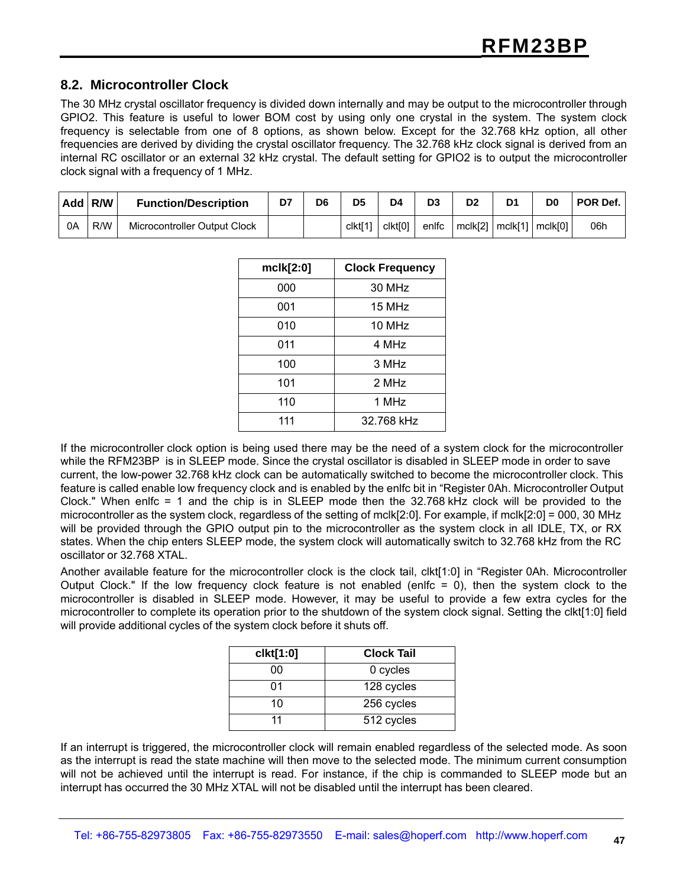#### **8.2. Microcontroller Clock**

The 30 MHz crystal oscillator frequency is divided down internally and may be output to the microcontroller through GPIO2. This feature is useful to lower BOM cost by using only one crystal in the system. The system clock frequency is selectable from one of 8 options, as shown below. Except for the 32.768 kHz option, all other frequencies are derived by dividing the crystal oscillator frequency. The 32.768 kHz clock signal is derived from an internal RC oscillator or an external 32 kHz crystal. The default setting for GPIO2 is to output the microcontroller clock signal with a frequency of 1 MHz.

| Add | R/W | <b>Function/Description</b>  | D7 | D <sub>6</sub> | D <sub>5</sub> | D4                  |       | D2                                  | D1 | D <sub>0</sub> | POR Def. |
|-----|-----|------------------------------|----|----------------|----------------|---------------------|-------|-------------------------------------|----|----------------|----------|
| 0A  | R/W | Microcontroller Output Clock |    |                | clkt[1]        | clkt <sub>[0]</sub> | enlfc | $mclk[2] \mid mclk[1] \mid mclk[0]$ |    |                | 06h      |

| mclk[2:0] | <b>Clock Frequency</b> |
|-----------|------------------------|
| 000       | 30 MHz                 |
| 001       | 15 MHz                 |
| 010       | 10 MHz                 |
| 011       | 4 MHz                  |
| 100       | 3 MHz                  |
| 101       | 2 MHz                  |
| 110       | 1 MHz                  |
| 111       | 32.768 kHz             |

If the microcontroller clock option is being used there may be the need of a system clock for the microcontroller while the RFM23BP is in SLEEP mode. Since the crystal oscillator is disabled in SLEEP mode in order to save current, the low-power 32.768 kHz clock can be automatically switched to become the microcontroller clock. This feature is called enable low frequency clock and is enabled by the enlfc bit in "Register 0Ah. Microcontroller Output Clock." When enlfc = 1 and the chip is in SLEEP mode then the 32.768 kHz clock will be provided to the microcontroller as the system clock, regardless of the setting of mclk[2:0]. For example, if mclk[2:0] = 000, 30 MHz will be provided through the GPIO output pin to the microcontroller as the system clock in all IDLE, TX, or RX states. When the chip enters SLEEP mode, the system clock will automatically switch to 32.768 kHz from the RC oscillator or 32.768 XTAL.

Another available feature for the microcontroller clock is the clock tail, clkt[1:0] in "Register 0Ah. Microcontroller Output Clock." If the low frequency clock feature is not enabled (enlfc  $= 0$ ), then the system clock to the microcontroller is disabled in SLEEP mode. However, it may be useful to provide a few extra cycles for the microcontroller to complete its operation prior to the shutdown of the system clock signal. Setting the clkt[1:0] field will provide additional cycles of the system clock before it shuts off.

| clkt[1:0] | <b>Clock Tail</b> |
|-----------|-------------------|
| 00        | 0 cycles          |
| 01        | 128 cycles        |
| 10        | 256 cycles        |
| 11        | 512 cycles        |

If an interrupt is triggered, the microcontroller clock will remain enabled regardless of the selected mode. As soon as the interrupt is read the state machine will then move to the selected mode. The minimum current consumption will not be achieved until the interrupt is read. For instance, if the chip is commanded to SLEEP mode but an interrupt has occurred the 30 MHz XTAL will not be disabled until the interrupt has been cleared.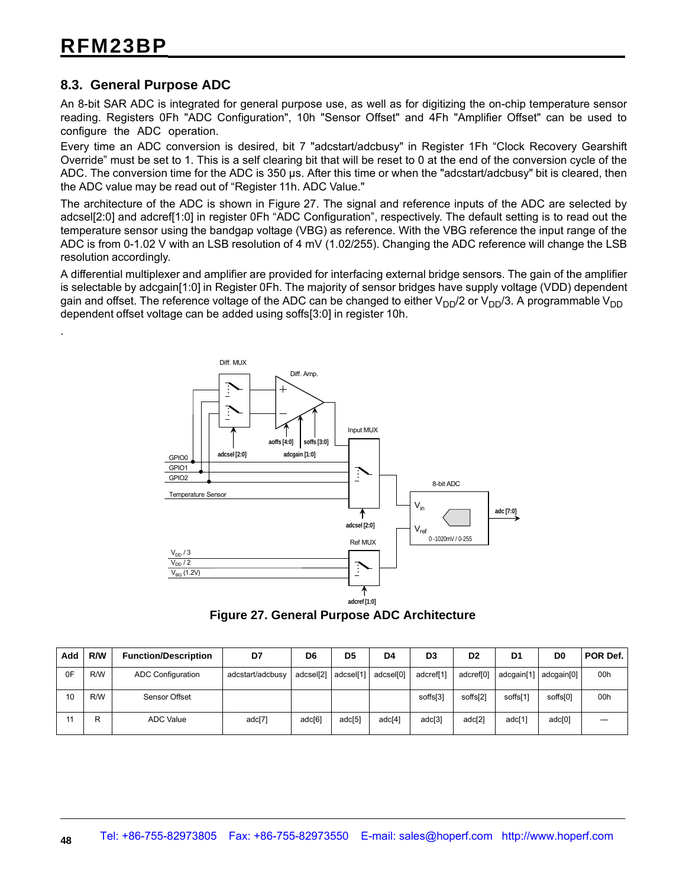.

#### **8.3. General Purpose ADC**

An 8-bit SAR ADC is integrated for general purpose use, as well as for digitizing the on-chip temperature sensor reading. Registers 0Fh "ADC Configuration", 10h "Sensor Offset" and 4Fh "Amplifier Offset" can be used to configure the ADC operation.

Every time an ADC conversion is desired, bit 7 "adcstart/adcbusy" in Register 1Fh "Clock Recovery Gearshift Override" must be set to 1. This is a self clearing bit that will be reset to 0 at the end of the conversion cycle of the ADC. The conversion time for the ADC is 350 µs. After this time or when the "adcstart/adcbusy" bit is cleared, then the ADC value may be read out of "Register 11h. ADC Value."

The architecture of the ADC is shown in Figure 27. The signal and reference inputs of the ADC are selected by adcsel[2:0] and adcref[1:0] in register 0Fh "ADC Configuration", respectively. The default setting is to read out the temperature sensor using the bandgap voltage (VBG) as reference. With the VBG reference the input range of the ADC is from 0-1.02 V with an LSB resolution of 4 mV (1.02/255). Changing the ADC reference will change the LSB resolution accordingly.

A differential multiplexer and amplifier are provided for interfacing external bridge sensors. The gain of the amplifier is selectable by adcgain[1:0] in Register 0Fh. The majority of sensor bridges have supply voltage (VDD) dependent gain and offset. The reference voltage of the ADC can be changed to either  $V_{DD}/2$  or  $V_{DD}/3$ . A programmable  $V_{DD}$ dependent offset voltage can be added using soffs[3:0] in register 10h.



**Figure 27. General Purpose ADC Architecture**

| Add | R/W | <b>Function/Description</b> | D7               | D6     | D <sub>5</sub>        | D <sub>4</sub> | D <sub>3</sub> | D <sub>2</sub> | D <sub>1</sub>       | D <sub>0</sub> | POR Def. |
|-----|-----|-----------------------------|------------------|--------|-----------------------|----------------|----------------|----------------|----------------------|----------------|----------|
| 0F  | R/W | <b>ADC Configuration</b>    | adcstart/adcbusy |        | adcsel[2]   adcsel[1] | adcsel[0]      | adcref[1]      | adcref[0]      | adcgain[1]           | adcgain[0]     | 00h      |
| 10  | R/W | Sensor Offset               |                  |        |                       |                | soffs[3]       | soffs[2]       | soffs <sup>[1]</sup> | soffs[0]       | 00h      |
|     | R   | ADC Value                   | adc[7]           | adc[6] | adc <sup>[5]</sup>    | adc[4]         | adc[3]         | adc[2]         | adc[1]               | adc[0]         |          |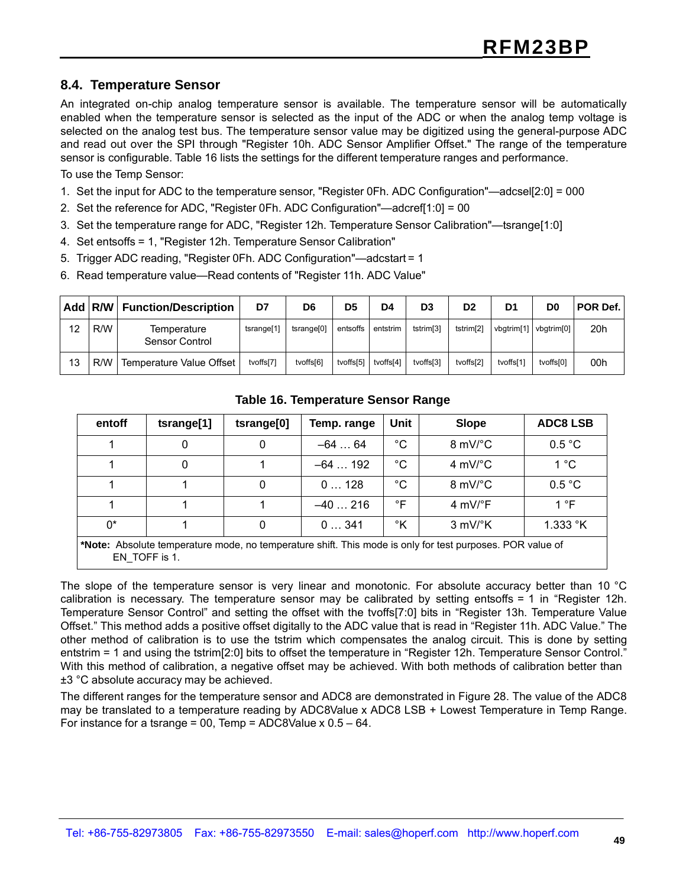#### **8.4. Temperature Sensor**

An integrated on-chip analog temperature sensor is available. The temperature sensor will be automatically enabled when the temperature sensor is selected as the input of the ADC or when the analog temp voltage is selected on the analog test bus. The temperature sensor value may be digitized using the general-purpose ADC and read out over the SPI through "Register 10h. ADC Sensor Amplifier Offset." The range of the temperature sensor is configurable. Table 16 lists the settings for the different temperature ranges and performance.

To use the Temp Sensor:

- 1. Set the input for ADC to the temperature sensor, "Register 0Fh. ADC Configuration"—adcsel[2:0] = 000
- 2. Set the reference for ADC, "Register 0Fh. ADC Configuration"—adcref[1:0] = 00
- 3. Set the temperature range for ADC, "Register 12h. Temperature Sensor Calibration"—tsrange[1:0]
- 4. Set entsoffs = 1, "Register 12h. Temperature Sensor Calibration"
- 5. Trigger ADC reading, "Register 0Fh. ADC Configuration"—adcstart = 1
- 6. Read temperature value—Read contents of "Register 11h. ADC Value"

|    | Add R/W | <b>Function/Description</b>   | D7                     | D6                     | D <sub>5</sub> | D4        | D3                    | D <sub>2</sub>        | D1         | D0                     | <b>POR Def.</b> |
|----|---------|-------------------------------|------------------------|------------------------|----------------|-----------|-----------------------|-----------------------|------------|------------------------|-----------------|
| 12 | R/W     | Temperature<br>Sensor Control | tsrange <sup>[1]</sup> | tsrange <sup>[0]</sup> | entsoffs       | entstrim  | tstrim <sup>[3]</sup> | tstrim <sup>[2]</sup> | vbgtrim[1] | vbatrim <sup>[0]</sup> | 20h             |
| 13 | R/W     | Temperature Value Offset      | tvoffs[7]              | tvoffs[6]              | tvoffs[5]      | tvoffs[4] | tvoffs[3]             | tvoffs <sup>[2]</sup> | tvoffs[1]  | tvoffs[0]              | 00h             |

| entoff | tsrange[1]                                                                                                                 | tsrange[0] | Temp. range | Unit        | <b>Slope</b>                  | <b>ADC8 LSB</b>   |  |
|--------|----------------------------------------------------------------------------------------------------------------------------|------------|-------------|-------------|-------------------------------|-------------------|--|
|        | 0                                                                                                                          | 0          | $-6464$     | $^{\circ}C$ | $8 \text{ mV}$ °C             | 0.5 °C            |  |
|        | 0                                                                                                                          |            | $-64192$    | °C          | 4 mV/ $\mathrm{C}$            | $1^{\circ}$ C     |  |
|        |                                                                                                                            | 0          | 0128        | °C          | $8 \text{ mV}$ C              | 0.5 °C            |  |
|        |                                                                                                                            |            | $-40216$    | °F          | 4 mV/°F                       | 1 $\degree$ F     |  |
| $0^*$  |                                                                                                                            | 0          | 0341        | °K          | $3 \text{ mV}$ <sup>o</sup> K | 1.333 $\degree$ K |  |
|        | *Note: Absolute temperature mode, no temperature shift. This mode is only for test purposes. POR value of<br>EN TOFF is 1. |            |             |             |                               |                   |  |

#### **Table 16. Temperature Sensor Range**

The slope of the temperature sensor is very linear and monotonic. For absolute accuracy better than 10 °C calibration is necessary. The temperature sensor may be calibrated by setting entsoffs = 1 in "Register 12h. Temperature Sensor Control" and setting the offset with the tvoffs[7:0] bits in "Register 13h. Temperature Value Offset." This method adds a positive offset digitally to the ADC value that is read in "Register 11h. ADC Value." The other method of calibration is to use the tstrim which compensates the analog circuit. This is done by setting entstrim = 1 and using the tstrim[2:0] bits to offset the temperature in "Register 12h. Temperature Sensor Control." With this method of calibration, a negative offset may be achieved. With both methods of calibration better than ±3 °C absolute accuracy may be achieved.

The different ranges for the temperature sensor and ADC8 are demonstrated in Figure 28. The value of the ADC8 may be translated to a temperature reading by ADC8Value x ADC8 LSB + Lowest Temperature in Temp Range. For instance for a tsrange = 00, Temp =  $ADC8$ Value x  $0.5 - 64$ .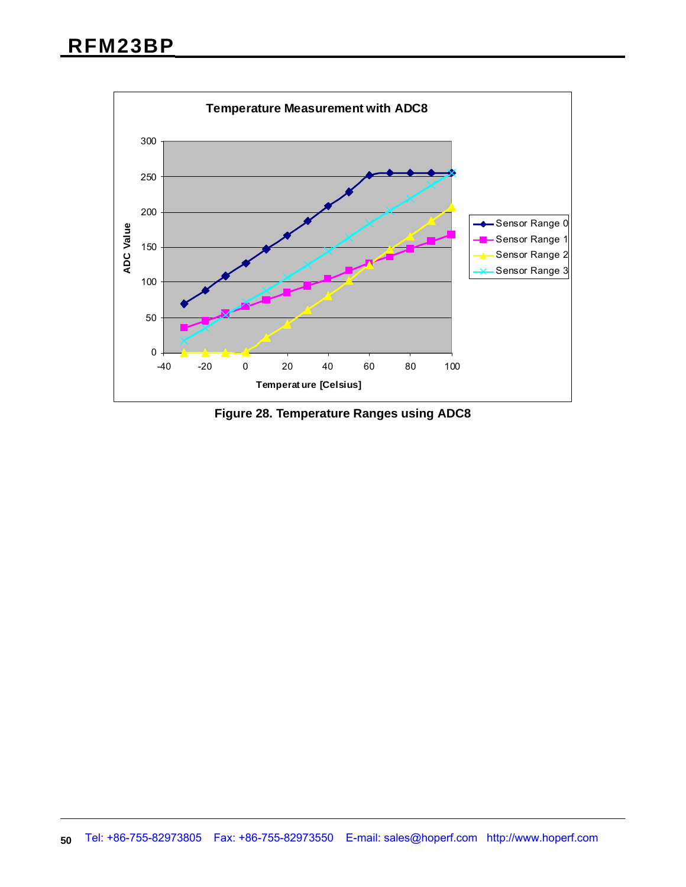

**Figure 28. Temperature Ranges using ADC8**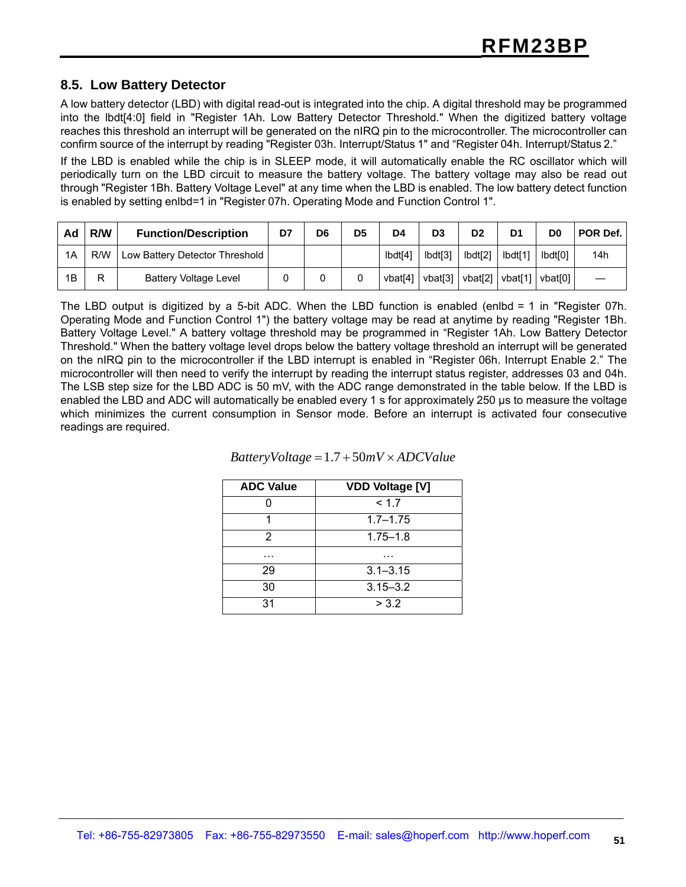#### **8.5. Low Battery Detector**

A low battery detector (LBD) with digital read-out is integrated into the chip. A digital threshold may be programmed into the lbdt[4:0] field in "Register 1Ah. Low Battery Detector Threshold." When the digitized battery voltage reaches this threshold an interrupt will be generated on the nIRQ pin to the microcontroller. The microcontroller can confirm source of the interrupt by reading "Register 03h. Interrupt/Status 1" and "Register 04h. Interrupt/Status 2."

If the LBD is enabled while the chip is in SLEEP mode, it will automatically enable the RC oscillator which will periodically turn on the LBD circuit to measure the battery voltage. The battery voltage may also be read out through "Register 1Bh. Battery Voltage Level" at any time when the LBD is enabled. The low battery detect function is enabled by setting enlbd=1 in "Register 07h. Operating Mode and Function Control 1".

| Ad | R/W | <b>Function/Description</b>    | D7 | D <sub>6</sub> | D <sub>5</sub> | D4      | D <sub>3</sub> | D <sub>2</sub>                                | D <sub>1</sub> | D0                  | POR Def. |
|----|-----|--------------------------------|----|----------------|----------------|---------|----------------|-----------------------------------------------|----------------|---------------------|----------|
| 1A | R/W | Low Battery Detector Threshold |    |                |                | Ibdt[4] | lbdt[3]        | Ibdt[2]                                       | Ibdt[1]        | Ibdt <sub>I01</sub> | 14h      |
| 1B | R   | <b>Battery Voltage Level</b>   |    |                |                | vbat[4] | vbat[3]        | $\mathsf{vbat}[2] \mid \mathsf{vbat}[1] \mid$ |                | vbat <sub>[0]</sub> |          |

The LBD output is digitized by a 5-bit ADC. When the LBD function is enabled (enlbd = 1 in "Register 07h. Operating Mode and Function Control 1") the battery voltage may be read at anytime by reading "Register 1Bh. Battery Voltage Level." A battery voltage threshold may be programmed in "Register 1Ah. Low Battery Detector Threshold." When the battery voltage level drops below the battery voltage threshold an interrupt will be generated on the nIRQ pin to the microcontroller if the LBD interrupt is enabled in "Register 06h. Interrupt Enable 2." The microcontroller will then need to verify the interrupt by reading the interrupt status register, addresses 03 and 04h. The LSB step size for the LBD ADC is 50 mV, with the ADC range demonstrated in the table below. If the LBD is enabled the LBD and ADC will automatically be enabled every 1 s for approximately 250 µs to measure the voltage which minimizes the current consumption in Sensor mode. Before an interrupt is activated four consecutive readings are required.

| <b>ADC Value</b> | <b>VDD Voltage [V]</b> |
|------------------|------------------------|
|                  | < 1.7                  |
|                  | $1.7 - 1.75$           |
| 2                | $1.75 - 1.8$           |
|                  |                        |
| 29               | $3.1 - 3.15$           |
| 30               | $3.15 - 3.2$           |
| 31               | > 3.2                  |

#### *BatteryVoltage* = 1.7 + 50*mV* × *ADCValue*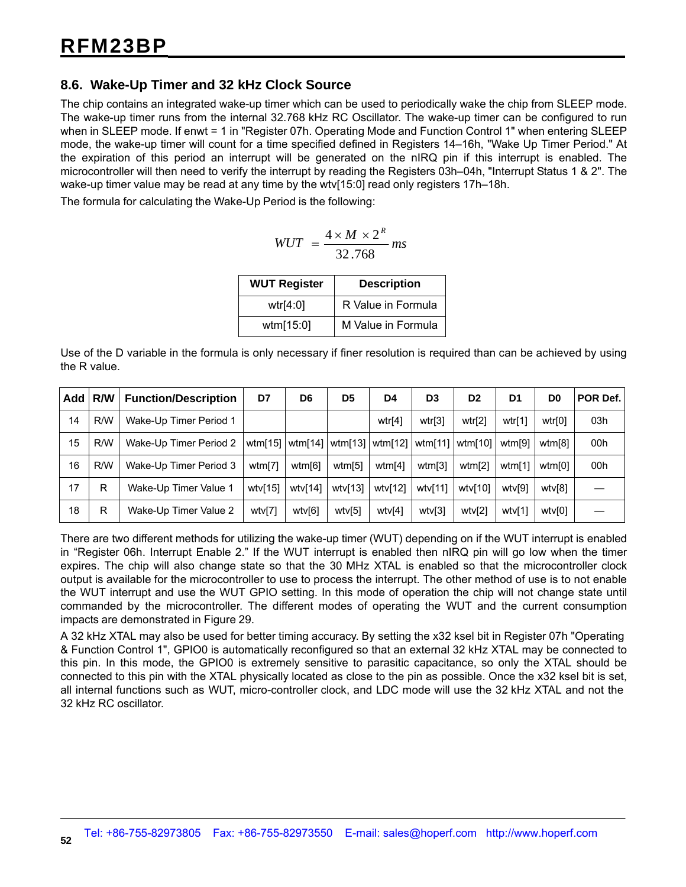#### **8.6. Wake-Up Timer and 32 kHz Clock Source**

The chip contains an integrated wake-up timer which can be used to periodically wake the chip from SLEEP mode. The wake-up timer runs from the internal 32.768 kHz RC Oscillator. The wake-up timer can be configured to run when in SLEEP mode. If enwt = 1 in "Register 07h. Operating Mode and Function Control 1" when entering SLEEP mode, the wake-up timer will count for a time specified defined in Registers 14–16h, "Wake Up Timer Period." At the expiration of this period an interrupt will be generated on the nIRQ pin if this interrupt is enabled. The microcontroller will then need to verify the interrupt by reading the Registers 03h–04h, "Interrupt Status 1 & 2". The wake-up timer value may be read at any time by the wtv[15:0] read only registers 17h–18h.

The formula for calculating the Wake-Up Period is the following:

$$
WUT = \frac{4 \times M \times 2^R}{32.768} \, \text{ms}
$$

| <b>WUT Register</b> | <b>Description</b> |
|---------------------|--------------------|
| wtr $[4:0]$         | R Value in Formula |
| wtm[15:0]           | M Value in Formula |

Use of the D variable in the formula is only necessary if finer resolution is required than can be achieved by using the R value.

| Add | <b>R/W</b> | <b>Function/Description</b> | D7         | D <sub>6</sub> | D <sub>5</sub> | D4                                    | D <sub>3</sub> | D <sub>2</sub> | D1     | D <sub>0</sub> | POR Def. |
|-----|------------|-----------------------------|------------|----------------|----------------|---------------------------------------|----------------|----------------|--------|----------------|----------|
| 14  | R/W        | Wake-Up Timer Period 1      |            |                |                | wtr[4]                                | wtr[3]         | wtr[2]         | wtr[1] | wtr[0]         | 03h      |
| 15  | R/W        | Wake-Up Timer Period 2      |            |                |                | wtm[15]   wtm[14]   wtm[13]   wtm[12] | wtm[11]        | wtm[10]        | wtm[9] | wtm[8]         | 00h      |
| 16  | R/W        | Wake-Up Timer Period 3      | wtm[7]     | wtm[6]         | wtm[5]         | wtm[4]                                | wtm[3]         | wtm[2]         | wtm[1] | wtm[0]         | 00h      |
| 17  | R          | Wake-Up Timer Value 1       | wtv $[15]$ | wtv[14]        | wtv[13]        | wtv[12]                               | wtv $[11]$     | wtv[10]        | wtv[9] | wtv[8]         |          |
| 18  | R          | Wake-Up Timer Value 2       | wtv[7]     | wtv[6]         | wtv[5]         | wtv[4]                                | wtv[3]         | wtv[2]         | wtv[1] | wtv[0]         |          |

There are two different methods for utilizing the wake-up timer (WUT) depending on if the WUT interrupt is enabled in "Register 06h. Interrupt Enable 2." If the WUT interrupt is enabled then nIRQ pin will go low when the timer expires. The chip will also change state so that the 30 MHz XTAL is enabled so that the microcontroller clock output is available for the microcontroller to use to process the interrupt. The other method of use is to not enable the WUT interrupt and use the WUT GPIO setting. In this mode of operation the chip will not change state until commanded by the microcontroller. The different modes of operating the WUT and the current consumption impacts are demonstrated in Figure 29.

A 32 kHz XTAL may also be used for better timing accuracy. By setting the x32 ksel bit in Register 07h "Operating & Function Control 1", GPIO0 is automatically reconfigured so that an external 32 kHz XTAL may be connected to this pin. In this mode, the GPIO0 is extremely sensitive to parasitic capacitance, so only the XTAL should be connected to this pin with the XTAL physically located as close to the pin as possible. Once the x32 ksel bit is set, all internal functions such as WUT, micro-controller clock, and LDC mode will use the 32 kHz XTAL and not the 32 kHz RC oscillator.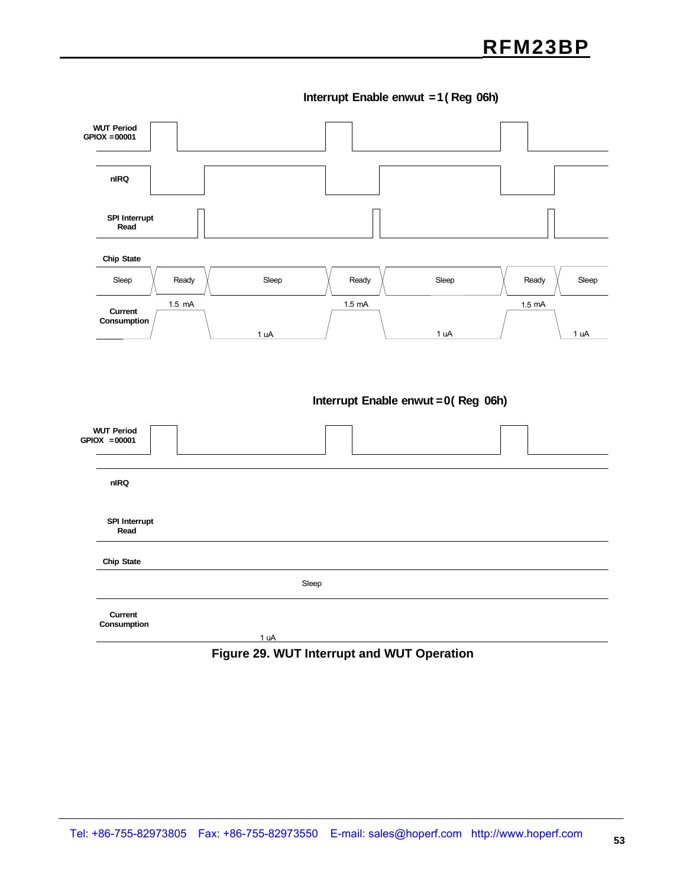**Interrupt Enable enwut =1 ( Reg 06h)**



#### **Figure 29. WUT Interrupt and WUT Operation**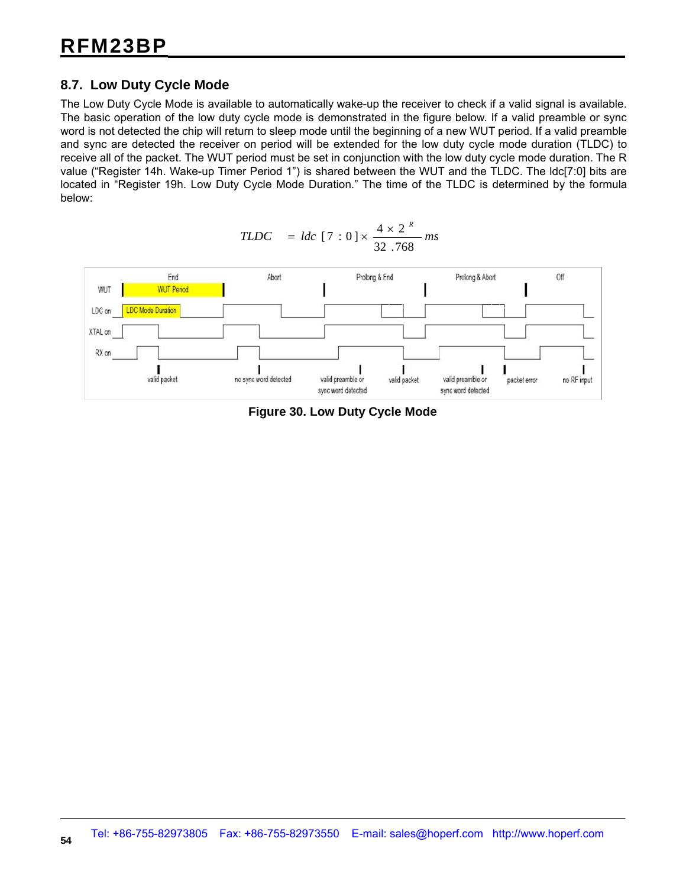#### **8.7. Low Duty Cycle Mode**

The Low Duty Cycle Mode is available to automatically wake-up the receiver to check if a valid signal is available. The basic operation of the low duty cycle mode is demonstrated in the figure below. If a valid preamble or sync word is not detected the chip will return to sleep mode until the beginning of a new WUT period. If a valid preamble and sync are detected the receiver on period will be extended for the low duty cycle mode duration (TLDC) to receive all of the packet. The WUT period must be set in conjunction with the low duty cycle mode duration. The R value ("Register 14h. Wake-up Timer Period 1") is shared between the WUT and the TLDC. The ldc[7:0] bits are located in "Register 19h. Low Duty Cycle Mode Duration." The time of the TLDC is determined by the formula below:



$$
TLOC = ldc [7 : 0] \times \frac{4 \times 2^{R}}{32.768} ms
$$

**Figure 30. Low Duty Cycle Mode**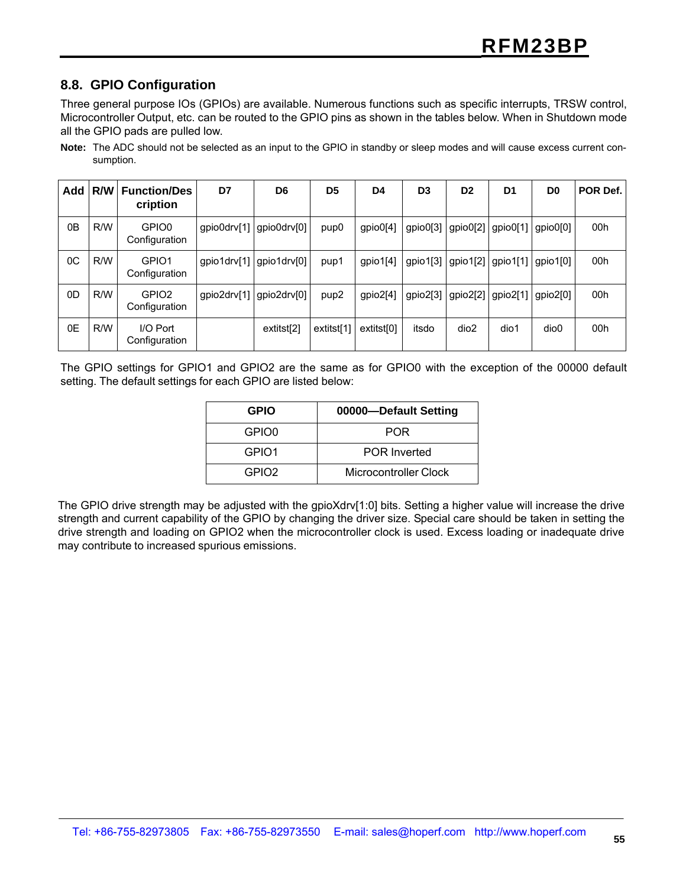#### **8.8. GPIO Configuration**

Three general purpose IOs (GPIOs) are available. Numerous functions such as specific interrupts, TRSW control, Microcontroller Output, etc. can be routed to the GPIO pins as shown in the tables below. When in Shutdown mode all the GPIO pads are pulled low.

**Note:** The ADC should not be selected as an input to the GPIO in standby or sleep modes and will cause excess current consumption.

| Add            | R/W | <b>Function/Des</b><br>cription    | D7          | D <sub>6</sub> | D <sub>5</sub>   | D4         | D <sub>3</sub> | D <sub>2</sub> | D <sub>1</sub> | D <sub>0</sub>   | POR Def. |
|----------------|-----|------------------------------------|-------------|----------------|------------------|------------|----------------|----------------|----------------|------------------|----------|
| 0 <sub>B</sub> | R/W | GPIO0<br>Configuration             | gpio0drv[1] | gpio0drv[0]    | pup <sub>0</sub> | gpio0[4]   | gpio0[3]       | gpio0[2]       | gpio0[1]       | gpio0[0]         | 00h      |
| 0C             | R/W | GPIO1<br>Configuration             | gpio1drv[1] | gpio1drv[0]    | pup1             | gpio1[4]   | gpio1[3]       | gpio1[2]       | gpio1[1]       | gpio1[0]         | 00h      |
| 0D             | R/W | GPIO <sub>2</sub><br>Configuration | gpio2drv[1] | qpio2drv[0]    | pup <sub>2</sub> | gpio2[4]   | gpio2[3]       | gpio2[2]       | gpio2[1]       | gpio2[0]         | 00h      |
| 0E             | R/W | I/O Port<br>Configuration          |             | extitst[2]     | extitst[1]       | extitst[0] | itsdo          | dio2           | dio1           | dio <sub>0</sub> | 00h      |

The GPIO settings for GPIO1 and GPIO2 are the same as for GPIO0 with the exception of the 00000 default setting. The default settings for each GPIO are listed below:

| <b>GPIO</b>       | 00000-Default Setting |
|-------------------|-----------------------|
| GPIO0             | <b>POR</b>            |
| GPIO1             | <b>POR Inverted</b>   |
| GPIO <sub>2</sub> | Microcontroller Clock |

The GPIO drive strength may be adjusted with the gpioXdrv[1:0] bits. Setting a higher value will increase the drive strength and current capability of the GPIO by changing the driver size. Special care should be taken in setting the drive strength and loading on GPIO2 when the microcontroller clock is used. Excess loading or inadequate drive may contribute to increased spurious emissions.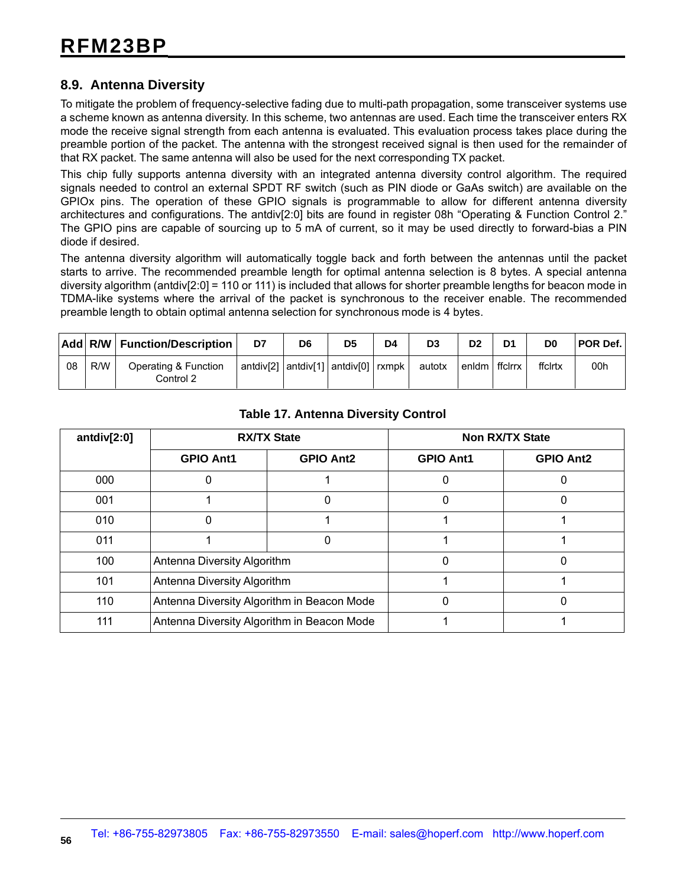#### **8.9. Antenna Diversity**

To mitigate the problem of frequency-selective fading due to multi-path propagation, some transceiver systems use a scheme known as antenna diversity. In this scheme, two antennas are used. Each time the transceiver enters RX mode the receive signal strength from each antenna is evaluated. This evaluation process takes place during the preamble portion of the packet. The antenna with the strongest received signal is then used for the remainder of that RX packet. The same antenna will also be used for the next corresponding TX packet.

This chip fully supports antenna diversity with an integrated antenna diversity control algorithm. The required signals needed to control an external SPDT RF switch (such as PIN diode or GaAs switch) are available on the GPIOx pins. The operation of these GPIO signals is programmable to allow for different antenna diversity architectures and configurations. The antdiv[2:0] bits are found in register 08h "Operating & Function Control 2." The GPIO pins are capable of sourcing up to 5 mA of current, so it may be used directly to forward-bias a PIN diode if desired.

The antenna diversity algorithm will automatically toggle back and forth between the antennas until the packet starts to arrive. The recommended preamble length for optimal antenna selection is 8 bytes. A special antenna diversity algorithm (antdiv[2:0] = 110 or 111) is included that allows for shorter preamble lengths for beacon mode in TDMA-like systems where the arrival of the packet is synchronous to the receiver enable. The recommended preamble length to obtain optimal antenna selection for synchronous mode is 4 bytes.

|    |     | Add R/W Function/Description      | D7                                                  | D6 | D <sub>5</sub> | D4 | D <sub>3</sub> | D <sub>2</sub> | D <sub>1</sub> | D <sub>0</sub> | <b>POR Def.</b> |
|----|-----|-----------------------------------|-----------------------------------------------------|----|----------------|----|----------------|----------------|----------------|----------------|-----------------|
| 08 | R/W | Operating & Function<br>Control 2 | antdiv[2] $ $ antdiv[1] $ $ antdiv[0] $ $ rxmpk $ $ |    |                |    | autotx         | $l$ enidm $l$  | ffclrrx        | ffclrtx        | 00h             |

| antdiv $[2:0]$ |                                            | <b>RX/TX State</b> | <b>Non RX/TX State</b> |                  |  |  |
|----------------|--------------------------------------------|--------------------|------------------------|------------------|--|--|
|                | <b>GPIO Ant1</b><br><b>GPIO Ant2</b>       |                    | <b>GPIO Ant1</b>       | <b>GPIO Ant2</b> |  |  |
| 000            |                                            |                    |                        |                  |  |  |
| 001            |                                            | 0                  |                        | 0                |  |  |
| 010            |                                            |                    |                        |                  |  |  |
| 011            |                                            |                    |                        |                  |  |  |
| 100            | Antenna Diversity Algorithm                |                    |                        | 0                |  |  |
| 101            | Antenna Diversity Algorithm                |                    |                        |                  |  |  |
| 110            | Antenna Diversity Algorithm in Beacon Mode |                    |                        |                  |  |  |
| 111            | Antenna Diversity Algorithm in Beacon Mode |                    |                        |                  |  |  |

#### **Table 17. Antenna Diversity Control**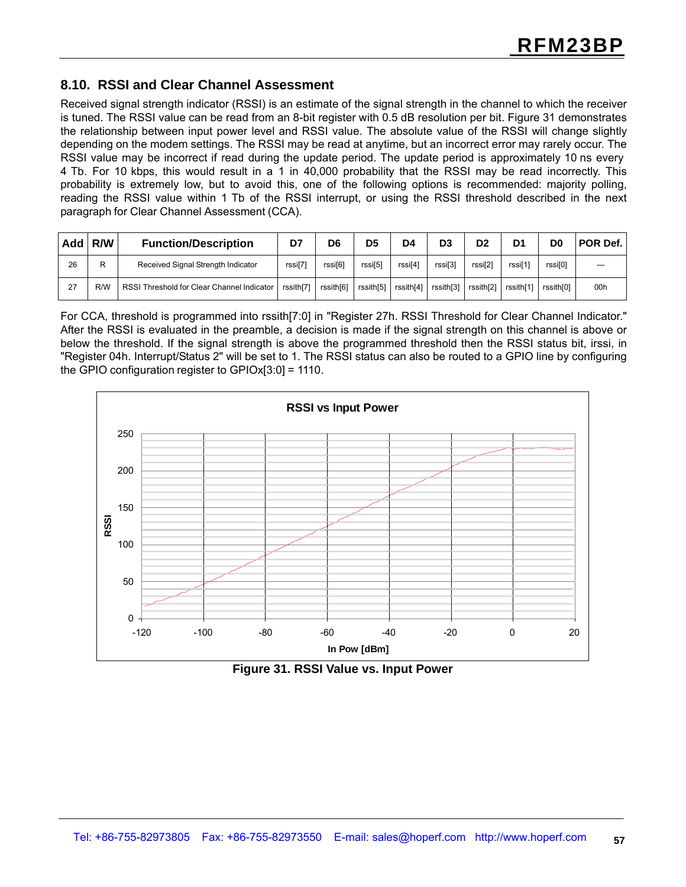#### **8.10. RSSI and Clear Channel Assessment**

Received signal strength indicator (RSSI) is an estimate of the signal strength in the channel to which the receiver is tuned. The RSSI value can be read from an 8-bit register with 0.5 dB resolution per bit. Figure 31 demonstrates the relationship between input power level and RSSI value. The absolute value of the RSSI will change slightly depending on the modem settings. The RSSI may be read at anytime, but an incorrect error may rarely occur. The RSSI value may be incorrect if read during the update period. The update period is approximately 10 ns every 4 Tb. For 10 kbps, this would result in a 1 in 40,000 probability that the RSSI may be read incorrectly. This probability is extremely low, but to avoid this, one of the following options is recommended: majority polling, reading the RSSI value within 1 Tb of the RSSI interrupt, or using the RSSI threshold described in the next paragraph for Clear Channel Assessment (CCA).

| Add | R/W | <b>Function/Description</b>                | D7        | D6                  | D5        | D4                  | D <sub>3</sub> | D <sub>2</sub> | D <sub>1</sub>      | D0        | POR Def. |
|-----|-----|--------------------------------------------|-----------|---------------------|-----------|---------------------|----------------|----------------|---------------------|-----------|----------|
| 26  | R   | Received Signal Strength Indicator         | rssi[7]   | rssi <sub>[6]</sub> | rssi[5]   | rssi <sup>[4]</sup> | rssi[3]        | rssi[2]        | rssi <sup>[1]</sup> | rssi[0]   |          |
| 27  | R/W | RSSI Threshold for Clear Channel Indicator | rssith[7] | rssith[6]           | rssith[5] | rssith[4]           | rssith[3]      | rssith[2]      | rssith[1]           | rssith[0] | 00h      |

For CCA, threshold is programmed into rssith[7:0] in "Register 27h. RSSI Threshold for Clear Channel Indicator." After the RSSI is evaluated in the preamble, a decision is made if the signal strength on this channel is above or below the threshold. If the signal strength is above the programmed threshold then the RSSI status bit, irssi, in "Register 04h. Interrupt/Status 2" will be set to 1. The RSSI status can also be routed to a GPIO line by configuring the GPIO configuration register to GPIOx[3:0] = 1110.



**Figure 31. RSSI Value vs. Input Power**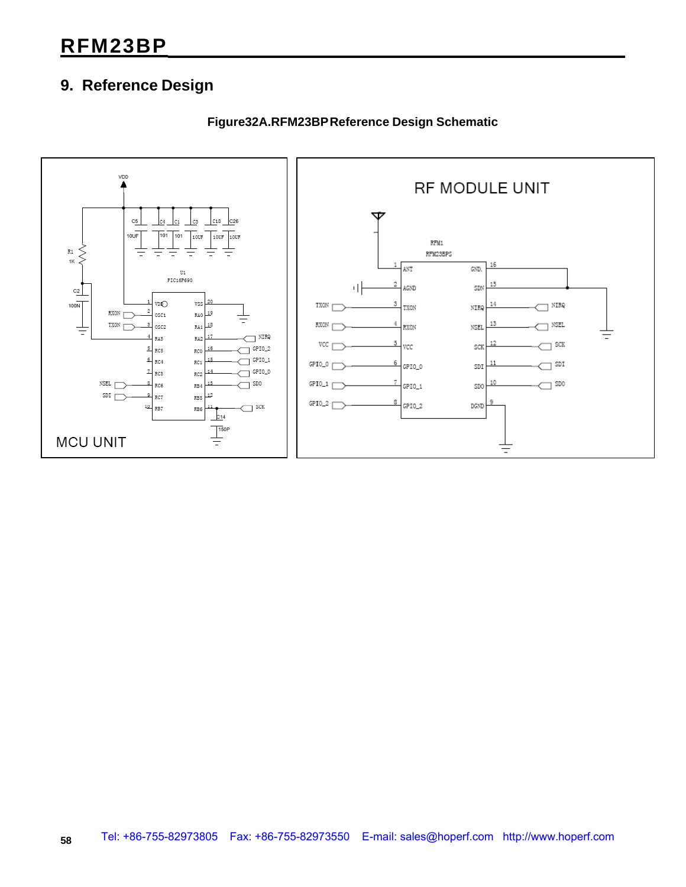### **9. Reference Design**



**Figure32A.RFM23BP Reference Design Schematic**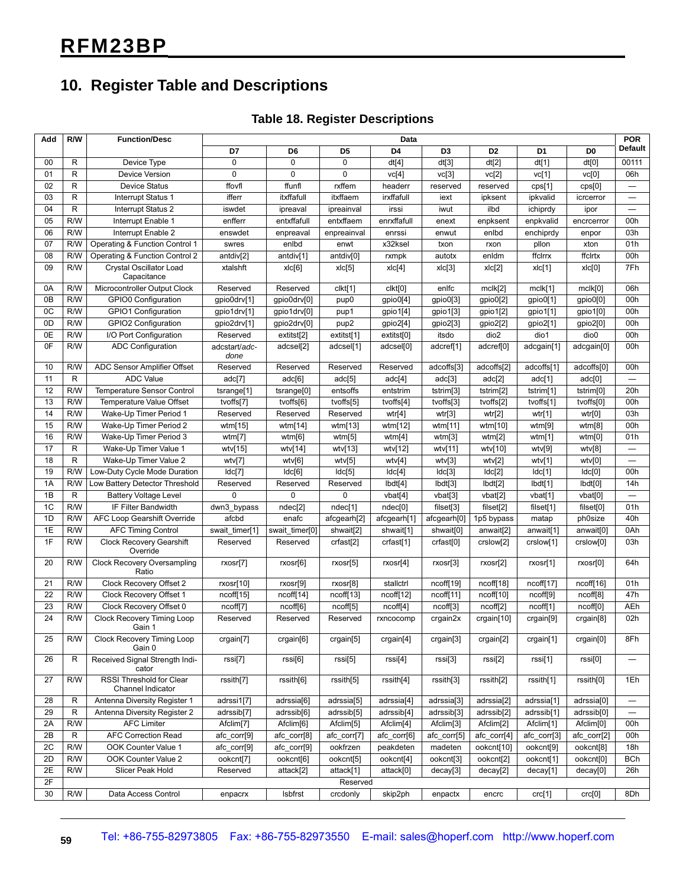### **10. Register Table and Descriptions**

#### **Table 18. Register Descriptions**

| Add    | R/W          | <b>Function/Desc</b>                          | Data                  |                |                       |                |                       |                       |                |                        | <b>POR</b>               |
|--------|--------------|-----------------------------------------------|-----------------------|----------------|-----------------------|----------------|-----------------------|-----------------------|----------------|------------------------|--------------------------|
|        |              |                                               | D7                    | D <sub>6</sub> | D <sub>5</sub>        | D <sub>4</sub> | D <sub>3</sub>        | D <sub>2</sub>        | D <sub>1</sub> | D <sub>0</sub>         | <b>Default</b>           |
| $00\,$ | R            | Device Type                                   | 0                     | $\mathbf 0$    | $\mathbf 0$           | dt[4]          | dt[3]                 | dt[2]                 | dt[1]          | dt[0]                  | 00111                    |
| 01     | R            | Device Version                                | 0                     | $\Omega$       | $\mathbf 0$           | vc[4]          | vc[3]                 | vc[2]                 | vc[1]          | vc[0]                  | 06h                      |
| 02     | $\mathsf{R}$ | Device Status                                 | ffovfl                | ffunfl         | rxffem                | headerr        | reserved              | reserved              | cps[1]         | cps[0]                 | $\overline{\phantom{0}}$ |
| 03     | R            | Interrupt Status 1                            | ifferr                | itxffafull     | itxffaem              | irxffafull     | iext                  | ipksent               | ipkvalid       | icrcerror              | $\overline{\phantom{0}}$ |
| 04     | $\mathsf{R}$ | Interrupt Status 2                            | iswdet                | ipreaval       | ipreainval            | irssi          | iwut                  | ilbd                  | ichiprdy       | ipor                   | —                        |
| 05     | R/W          | Interrupt Enable 1                            | enfferr               | entxffafull    | entxffaem             | enrxffafull    | enext                 | enpksent              | enpkvalid      | encrcerror             | 00h                      |
| 06     | R/W          | Interrupt Enable 2                            | enswdet               | enpreaval      | enpreainval           | enrssi         | enwut                 | enlbd                 | enchiprdy      | enpor                  | 03h                      |
| 07     | R/W          | Operating & Function Control 1                | swres                 | enlbd          | enwt                  | x32ksel        | txon                  | rxon                  | pllon          | xton                   | 01h                      |
| 08     | R/W          | Operating & Function Control 2                | antdiv[2]             | antdiv[1]      | antdiv[0]             | rxmpk          | autotx                | enldm                 | ffclrrx        | ffclrtx                | 00h                      |
| 09     | R/W          | <b>Crystal Oscillator Load</b><br>Capacitance | xtalshft              | x c[6]         | xlc[5]                | x c[4]         | x c[3]                | x c[2]                | x c[1]         | xlc[0]                 | 7Fh                      |
| 0A     | R/W          | Microcontroller Output Clock                  | Reserved              | Reserved       | clkt[1]               | clkt[0]        | enlfc                 | mclk[2]               | mclk[1]        | mclk[0]                | 06h                      |
| 0B     | R/W          | <b>GPIO0 Configuration</b>                    | gpio0drv[1]           | gpio0drv[0]    | pup <sub>0</sub>      | gpio0[4]       | gpio0[3]              | gpio0[2]              | gpio0[1]       | gpio0[0]               | 00h                      |
| 0C     | R/W          | GPIO1 Configuration                           | gpio1drv[1]           | gpio1drv[0]    | pup1                  | gpio1[4]       | gpio1[3]              | gpio1[2]              | gpio1[1]       | gpio1[0]               | 00h                      |
| 0D     | R/W          | GPIO2 Configuration                           | gpio2drv[1]           | gpio2drv[0]    | pup2                  | gpio2[4]       | gpio2[3]              | gpio2[2]              | gpio2[1]       | gpio2[0]               | 00h                      |
| 0E     | R/W          | I/O Port Configuration                        | Reserved              | extitst[2]     | extitst[1]            | extitst[0]     | itsdo                 | dio <sub>2</sub>      | dio1           | dio <sub>0</sub>       | 00h                      |
| 0F     | R/W          | <b>ADC Configuration</b>                      | adcstart/adc-<br>done | adcsel[2]      | adcsel[1]             | adcsel[0]      | adcref[1]             | adcref[0]             | adcgain[1]     | adcgain[0]             | 00h                      |
| 10     | R/W          | ADC Sensor Amplifier Offset                   | Reserved              | Reserved       | Reserved              | Reserved       | adcoffs[3]            | adcoffs[2]            | adcoffs[1]     | adcoffs[0]             | 00h                      |
| 11     | $\mathsf{R}$ | <b>ADC Value</b>                              | adc[7]                | adc[6]         | adc[5]                | adc[4]         | adc[3]                | adc[2]                | adc[1]         | adc[0]                 | $\overline{\phantom{0}}$ |
| 12     | R/W          | <b>Temperature Sensor Control</b>             | tsrange[1]            | tsrange[0]     | entsoffs              | entstrim       | tstrim[3]             | tstrim <sup>[2]</sup> | tstrim[1]      | tstrim <sup>[0]</sup>  | 20h                      |
| 13     | R/W          | Temperature Value Offset                      | tvoffs[7]             | tvoffs[6]      | tvoffs[5]             | tvoffs[4]      | tvoffs[3]             | tvoffs[2]             | tvoffs[1]      | tvoffs[0]              | 00h                      |
| 14     | R/W          | Wake-Up Timer Period 1                        | Reserved              | Reserved       | Reserved              | wtr[4]         | wtr[3]                | wtr[2]                | wtr[1]         | wtr[0]                 | 03h                      |
| 15     | R/W          | Wake-Up Timer Period 2                        | wtm $[15]$            | wtm[14]        | wtm $[13]$            | wtm[12]        | wtm[11]               | wtm[10]               | wtm[9]         | wtm[8]                 | 00h                      |
| 16     | R/W          | Wake-Up Timer Period 3                        | wtm[7]                | wtm[6]         | wtm[5]                | wtm[4]         | wtm[3]                | wtm[2]                | wtm $[1]$      | wtm[0]                 | 01h                      |
| 17     | $\mathsf{R}$ | Wake-Up Timer Value 1                         | wtv[15]               | wtv[14]        | wtv[13]               | wtv[12]        | wtv[11]               | wtv[10]               | wtv[9]         | wtv[8]                 |                          |
| 18     | $\mathsf{R}$ | Wake-Up Timer Value 2                         | wtv[7]                | wtv[6]         | wtv[5]                | wtv[4]         | wtv[3]                | wtv[2]                | wtv[1]         | wtv[0]                 |                          |
| 19     | R/W          | Low-Duty Cycle Mode Duration                  | Idc[7]                | Idc[6]         | Idc[5]                | ldc[4]         | Idc[3]                | Idc[2]                | Idc[1]         | Idc[0]                 | 00h                      |
| 1A     | R/W          | Low Battery Detector Threshold                | Reserved              | Reserved       | Reserved              | Ibdt[4]        | lbdt[3]               | lbdt[2]               | Ibdt[1]        | Ibdt[0]                | 14h                      |
| 1B     | $\mathsf{R}$ | <b>Battery Voltage Level</b>                  | $\Omega$              | 0              | 0                     | vbat[4]        | vbat[3]               | vbat[2]               | vbat[1]        | vbat[0]                | $\equiv$                 |
| 1C     | R/W          | IF Filter Bandwidth                           | dwn3_bypass           | ndec[2]        | ndec[1]               | ndec[0]        | filset[3]             | filset[2]             | filset[1]      | filset[0]              | 01h                      |
| 1D     | R/W          | AFC Loop Gearshift Override                   | afcbd                 | enafc          | afcgearh[2]           | afcgearh[1]    | afcgearh[0]           | 1p5 bypass            | matap          | ph0size                | 40h                      |
| 1E     | R/W          | <b>AFC Timing Control</b>                     | swait timer[1]        | swait timer[0] | shwait[2]             | shwait[1]      | shwait[0]             | anwait[2]             | anwait[1]      | anwait[0]              | 0Ah                      |
| 1F     | R/W          | <b>Clock Recovery Gearshift</b><br>Override   | Reserved              | Reserved       | crfast <sup>[2]</sup> | crfast[1]      | crfast <sup>[0]</sup> | crslow[2]             | crslow[1]      | crslow[0]              | 03h                      |
| 20     | R/W          | <b>Clock Recovery Oversampling</b><br>Ratio   | rxosr[7]              | rxosr[6]       | rxosr[5]              | rxosr[4]       | rxosr[3]              | rxosr[2]              | rxosr[1]       | rxosr[0]               | 64h                      |
| 21     | R/W          | Clock Recovery Offset 2                       | rxosr[10]             | rxosr[9]       | rxosr[8]              | stallctrl      | ncoff[19]             | ncoff[18]             | ncoff[17]      | ncoff[16]              | 01h                      |
| 22     | R/W          | Clock Recovery Offset 1                       | ncoff[15]             | ncoff[14]      | ncoff[13]             | ncoff[12]      | ncoff[11]             | ncoff[10]             | ncoff[9]       | ncoff[8]               | 47h                      |
| 23     | R/W          | Clock Recovery Offset 0                       | ncoff[7]              | ncoff[6]       | ncoff[5]              | ncoff[4]       | ncoff[3]              | ncoff[2]              | ncoff[1]       | ncoff[0]               | AEh                      |
| 24     | R/W          | Clock Recovery Timing Loop<br>Gain 1          | Reserved              | Reserved       | Reserved              | rxncocomp      | crgain2x              | crgain[10]            | crgain[9]      | crgain[8]              | 02h                      |
| 25     | R/W          | Clock Recovery Timing Loop<br>Gain 0          | crgain[7]             | crgain[6]      | crgain[5]             | crgain[4]      | crgain[3]             | crgain[2]             | crgain[1]      | crgain[0]              | 8Fh                      |
| 26     | R            | Received Signal Strength Indi-<br>cator       | rssi[7]               | rssi[6]        | rssi[5]               | rssi[4]        | rssi[3]               | rssi[2]               | rssi[1]        | rssi[0]                | $\qquad \qquad$          |
| 27     | R/W          | RSSI Threshold for Clear<br>Channel Indicator | rssith[7]             | rssith[6]      | rssith[5]             | rssith[4]      | rssith[3]             | rssith[2]             | rssith[1]      | rssith[0]              | 1Eh                      |
| 28     | R            | Antenna Diversity Register 1                  | adrssi1[7]            | adrssia[6]     | adrssia[5]            | adrssia[4]     | adrssia[3]            | adrssia[2]            | adrssia[1]     | adrssia <sup>[0]</sup> |                          |
| 29     | ${\sf R}$    | Antenna Diversity Register 2                  | adrssib[7]            | adrssib[6]     | adrssib[5]            | adrssib[4]     | adrssib[3]            | adrssib[2]            | adrssib[1]     | adrssib[0]             |                          |
| 2A     | R/W          | <b>AFC Limiter</b>                            | Afclim[7]             | Afclim[6]      | Afclim[5]             | Afclim[4]      | Afclim[3]             | Afclim[2]             | Afclim[1]      | Afclim[0]              | 00h                      |
| 2B     | R            | <b>AFC Correction Read</b>                    | afc corr[9]           | afc_corr[8]    | afc_corr[7]           | afc corr[6]    | afc_corr[5]           | afc_corr[4]           | afc_corr[3]    | afc corr[2]            | 00h                      |
| 2C     | R/W          | OOK Counter Value 1                           | afc_corr[9]           | afc_corr[9]    | ookfrzen              | peakdeten      | madeten               | ookcnt[10]            | ookcnt[9]      | ookcnt[8]              | 18h                      |
| 2D     | R/W          | OOK Counter Value 2                           | ookcnt[7]             | ookcnt[6]      | ookcnt[5]             | ookcnt[4]      | ookcnt[3]             | ookcnt[2]             | ookcnt[1]      | ookcnt[0]              | <b>BCh</b>               |
| 2E     | R/W          | Slicer Peak Hold                              | Reserved              | attack[2]      | attack[1]             | attack[0]      | decay[3]              | decay[2]              | decay[1]       | decay[0]               | 26h                      |
| 2F     |              |                                               |                       |                | Reserved              |                |                       |                       |                |                        |                          |
| 30     | R/W          | Data Access Control                           | enpacrx               | Isbfrst        | crcdonly              | skip2ph        | enpactx               | encrc                 | crc[1]         | crc[0]                 | 8Dh                      |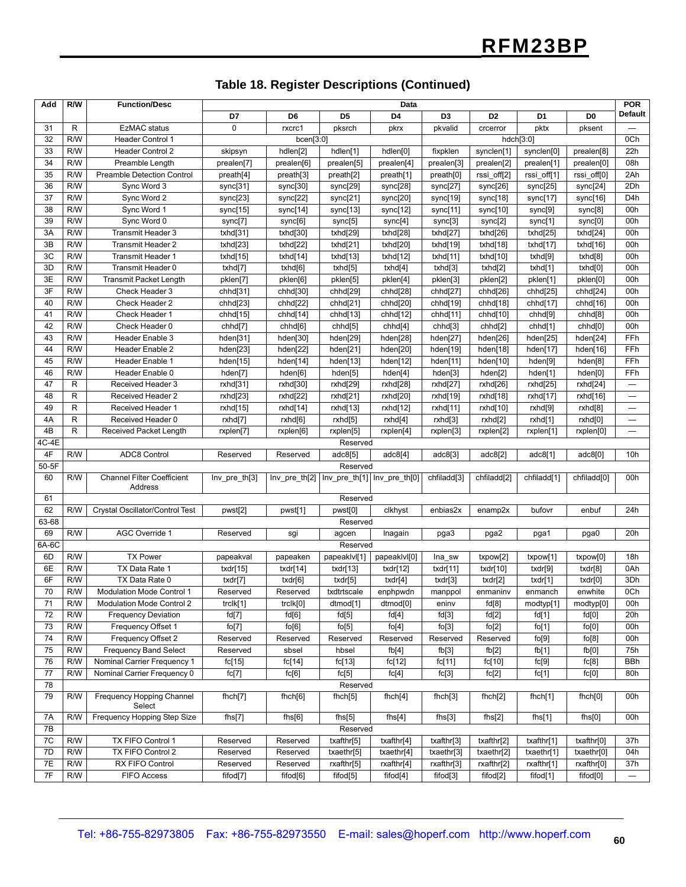#### **Table 18. Register Descriptions (Continued)**

| Add                | R/W | <b>Function/Desc</b>                | Data          |                |                                               |                      |                |                |                     |                         | <b>POR</b>               |
|--------------------|-----|-------------------------------------|---------------|----------------|-----------------------------------------------|----------------------|----------------|----------------|---------------------|-------------------------|--------------------------|
|                    |     |                                     | D7            | D <sub>6</sub> | D <sub>5</sub>                                | D <sub>4</sub>       | D <sub>3</sub> | D <sub>2</sub> | D <sub>1</sub>      | D <sub>0</sub>          | Default                  |
| 31                 | R   | <b>EzMAC</b> status                 | $\Omega$      | rxcrc1         | pksrch                                        | pkrx                 | pkvalid        | crcerror       | pktx                | pksent                  |                          |
| 32                 | R/W | <b>Header Control 1</b>             |               | bcen[3:0]      |                                               |                      |                |                | hdch[3:0]           |                         | 0Ch                      |
| 33                 | R/W | <b>Header Control 2</b>             | skipsyn       | hdlen[2]       | hdlen[1]                                      | hdlen[0]             | fixpklen       | synclen[1]     | synclen[0]          | prealen[8]              | 22h                      |
| 34                 | R/W | Preamble Length                     | prealen[7]    | prealen[6]     | prealen[5]                                    | prealen[4]           | prealen[3]     | prealen[2]     | prealen[1]          | prealen[0]              | 08h                      |
| 35                 | R/W | <b>Preamble Detection Control</b>   | preath[4]     | preath[3]      | preath[2]                                     | preath[1]            | preath[0]      | rssi_off[2]    | rssi_off[1]         | rssi_off[0]             | 2Ah                      |
| 36                 | R/W | Sync Word 3                         | sync[31]      | sync[30]       | sync[29]                                      | sync[28]             | sync[27]       | sync[26]       | sync[25]            | sync[24]                | 2Dh                      |
| 37                 | R/W | Sync Word 2                         | sync[23]      | sync[22]       | sync[21]                                      | sync[20]             | sync[19]       | sync[18]       | sync[17]            | sync[16]                | D4h                      |
| 38                 | R/W | Sync Word 1                         | sync[15]      | sync[14]       | sync[13]                                      | sync[12]             | sync[11]       | sync[10]       | sync[9]             | sync[8]                 | 00h                      |
| 39                 | R/W | Sync Word 0                         | sync[7]       | sync[6]        | sync[5]                                       | sync[4]              | sync[3]        | sync[2]        | sync[1]             | sync[0]                 | 00h                      |
| 3A                 | R/W | Transmit Header 3                   | txhd[31]      | txhd[30]       | txhd[29]                                      | txhd[28]             | txhd[27]       | txhd[26]       | txhd[25]            | txhd[24]                | 00h                      |
| 3B                 | R/W | Transmit Header 2                   | txhd[23]      | txhd[22]       | txhd[21]                                      | txhd[20]             | txhd[19]       | txhd[18]       | txhd $[17]$         | txhd[16]                | 00h                      |
| 3C                 | R/W | <b>Transmit Header 1</b>            | txhd[15]      | txhd[14]       | txhd[13]                                      | txhd[12]             | txhd[11]       | txhd[10]       | txhd[9]             | txhd[8]                 | 00h                      |
| 3D                 | R/W | Transmit Header 0                   | txhd[7]       | txhd[6]        | txhd[5]                                       | txhd[4]              | txhd[3]        | txhd[2]        | txhd[1]             | txhd[0]                 | 00h                      |
| 3E                 | R/W | <b>Transmit Packet Length</b>       | pklen[7]      | pklen[6]       | pklen[5]                                      | pklen[4]             | pklen[3]       | pklen[2]       | pklen[1]            | pklen[0]                | 00h                      |
| 3F                 | R/W | Check Header 3                      | chhd[31]      | chhd[30]       | chhd[29]                                      | chhd[28]             | chhd[27]       | chhd[26]       | chhd[25]            | chhd[24]                | 00h                      |
| 40                 | R/W | Check Header 2                      | chhd[23]      | chhd[22]       | chhd[21]                                      | chhd[20]             | chhd[19]       | chhd[18]       | chhd[17]            | chhd[16]                | 00h                      |
| 41                 | R/W | Check Header 1                      | chhd[15]      | chhd[14]       | chhd[13]                                      | chhd[12]             | chhd[11]       | chhd[10]       | chhd <sup>[9]</sup> | chhd <sup>[8]</sup>     | 00h                      |
| 42                 | R/W | Check Header 0                      | chhd[7]       | chhd[6]        | chhd[5]                                       | chhd <sup>[4]</sup>  | chhd[3]        | chhd[2]        | chhd[1]             | chhd[0]                 | 00h                      |
| 43                 | R/W | Header Enable 3                     | hden[31]      | hden[30]       | hden[29]                                      | hden[28]             | hden[27]       | hden[26]       | hden[25]            | hden[24]                | FFh                      |
| 44                 | R/W | Header Enable 2                     | hden[23]      | hden[22]       | hden[21]                                      | hden[20]             | hden[19]       | hden[18]       | hden[17]            | hden[16]                | FFh                      |
| 45                 | R/W | Header Enable 1                     | hden[15]      | hden[14]       | hden[13]                                      | hden[12]             | hden[11]       | hden[10]       | hden[9]             | hden[8]                 | FFh                      |
| 46                 | R/W | Header Enable 0                     | hden[7]       | hden[6]        | hden[5]                                       | hden[4]              | hden[3]        | hden[2]        | hden[1]             | hden[0]                 | FFh                      |
| 47                 | R   | Received Header 3                   | rxhd[31]      | rxhd[30]       | rxhd[29]                                      | rxhd[28]             | rxhd[27]       | rxhd[26]       | rxhd[25]            | rxhd[24]                | —                        |
| 48                 | R   | <b>Received Header 2</b>            | rxhd[23]      | rxhd[22]       | rxhd[21]                                      | rxhd[20]             | rxhd[19]       | rxhd[18]       | rxhd[17]            | rxhd[16]                |                          |
| 49                 | R   | Received Header 1                   | rxhd[15]      | rxhd[14]       | rxhd[13]                                      | rxhd[12]             | rxhd[11]       | rxhd[10]       | rxhd[9]             | rxhd[8]                 | $\overline{\phantom{0}}$ |
| 4A                 | R   | Received Header 0                   | rxhd[7]       | rxhd[6]        | rxhd[5]                                       | rxhd[4]              | rxhd[3]        | rxhd[2]        | rxhd[1]             | rxhd[0]                 | $\overline{\phantom{0}}$ |
| 4B<br>4C-4E        | R   | Received Packet Length              | rxplen[7]     | rxplen[6]      | rxplen[5]                                     | rxplen[4]            | rxplen[3]      | rxplen[2]      | rxplen[1]           | rxplen[0]               |                          |
| 4F                 | R/W | <b>ADC8 Control</b>                 |               |                | Reserved                                      |                      |                |                |                     |                         | 10 <sub>h</sub>          |
| $50-5\overline{F}$ |     |                                     | Reserved      | Reserved       | adc8[5]<br>Reserved                           | adc8[4]              | adc8[3]        | adc8[2]        | adc8[1]             | adc8[0]                 |                          |
| 60                 | R/W | <b>Channel Filter Coefficient</b>   | Inv_pre_th[3] |                | Inv_pre_th[2]   Inv_pre_th[1]   Inv_pre_th[0] |                      | chfiladd[3]    | chfiladd[2]    | chfiladd[1]         | chfiladd <sup>[0]</sup> | 00h                      |
|                    |     | Address                             |               |                |                                               |                      |                |                |                     |                         |                          |
| 61                 |     |                                     |               |                | Reserved                                      |                      |                |                |                     |                         |                          |
| 62                 | R/W | Crystal Oscillator/Control Test     | pwst[2]       | pwst[1]        | pwst[0]                                       | clkhyst              | enbias2x       | enamp2x        | bufovr              | enbuf                   | 24h                      |
| 63-68              |     |                                     |               |                | Reserved                                      |                      |                |                |                     |                         |                          |
| 69                 | R/W | <b>AGC Override 1</b>               | Reserved      | sgi            | agcen                                         | Inagain              | pga3           | pga2           | pga1                | pga0                    | 20h                      |
| $6A-6C$            |     |                                     |               |                | Reserved                                      |                      |                |                |                     |                         |                          |
| 6D                 | R/W | <b>TX Power</b>                     | papeakval     | papeaken       | papeaklvl[1]                                  | papeaklvl[0]         | Ina_sw         | txpow[2]       | txpow[1]            | txpow[0]                | 18h                      |
| 6E                 | R/W | TX Data Rate 1                      | txdr[15]      | txdr $[14]$    | txdr[13]                                      | txdr[12]             | txdr[11]       | txdr[10]       | txdr[9]             | txdr[8]                 | 0Ah                      |
| 6F                 | R/W | TX Data Rate 0                      | txdr[7]       | txdr[6]        | txdr[5]                                       | txdr[4]              | txdr[3]        | txdr[2]        | txdr[1]             | txdr[0]                 | 3Dh                      |
| 70                 | R/W | <b>Modulation Mode Control 1</b>    | Reserved      | Reserved       | txdtrtscale                                   | enphpwdn             | manppol        | enmaninv       | enmanch             | enwhite                 | 0Ch                      |
| 71                 | R/W | Modulation Mode Control 2           | trclk[1]      | trclk[0]       | dtmod[1]                                      | dtmod <sup>[0]</sup> | eninv          | fd[8]          | modtyp[1]           | modtyp[0]               | 00h                      |
| 72                 | R/W | <b>Frequency Deviation</b>          | fd[7]         | fd[6]          | fd[5]                                         | fd[4]                | fd[3]          | fd[2]          | fd[1]               | fd[0]                   | 20h                      |
| 73                 | R/W | Frequency Offset 1                  | fo[7]         | fo[6]          | fo[5]                                         | fo[4]                | fo[3]          | fo[2]          | fo[1]               | fo[0]                   | 00h                      |
| 74                 | R/W | Frequency Offset 2                  | Reserved      | Reserved       | Reserved                                      | Reserved             | Reserved       | Reserved       | fo[9]               | fo[8]                   | 00h                      |
| 75                 | R/W | <b>Frequency Band Select</b>        | Reserved      | sbsel          | hbsel                                         | fb[4]                | fb[3]          | fb[2]          | fb[1]               | fb[0]                   | 75h                      |
| 76                 | R/W | Nominal Carrier Frequency 1         | fc[15]        | fc[14]         | fc[13]                                        | fc[12]               | fc[11]         | fc[10]         | fc[9]               | fc[8]                   | BBh                      |
| 77                 | R/W | Nominal Carrier Frequency 0         | fc[7]         | fc[6]          | fc[5]                                         | fc[4]                | fc[3]          | fc[2]          | fc[1]               | fc[0]                   | 80h                      |
| 78                 |     |                                     |               |                | Reserved                                      |                      |                |                |                     |                         |                          |
| 79                 | R/W | Frequency Hopping Channel<br>Select | fhch[7]       | f hch[6]       | f hch[5]                                      | f hch[4]             | fhch[3]        | fhch[2]        | f hch[1]            | f hch[0]                | 00h                      |
| 7A                 | R/W | Frequency Hopping Step Size         | fhs[7]        | fhs[6]         | fhs[5]                                        | fhs[4]               | fhs[3]         | fhs[2]         | fhs $[1]$           | fhs[0]                  | 00h                      |
| 7B                 |     |                                     |               |                | Reserved                                      |                      |                |                |                     |                         |                          |
| 7C                 | R/W | TX FIFO Control 1                   | Reserved      | Reserved       | txafthr[5]                                    | txafthr[4]           | txafthr[3]     | txafthr[2]     | txafthr[1]          | txafthr[0]              | 37h                      |
| 7D                 | R/W | TX FIFO Control 2                   | Reserved      | Reserved       | txaethr[5]                                    | txaethr[4]           | txaethr[3]     | txaethr[2]     | txaethr[1]          | txaethr[0]              | 04h                      |
| 7E                 | R/W | RX FIFO Control                     | Reserved      | Reserved       | rxafthr[5]                                    | rxafthr[4]           | rxafthr[3]     | rxafthr[2]     | rxafthr[1]          | rxafthr[0]              | 37h                      |
| 7F                 | R/W | <b>FIFO Access</b>                  | fifod[7]      | fifod[6]       | fifod[5]                                      | fifod <sup>[4]</sup> | fifod[3]       | fifod[2]       | fifod[1]            | fifod[0]                |                          |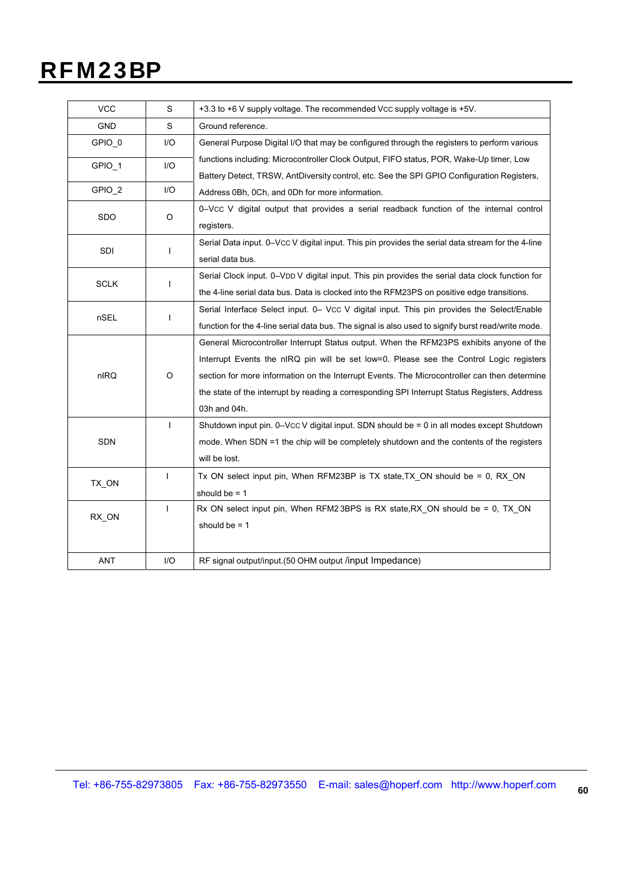| <b>VCC</b>  | S            | +3.3 to +6 V supply voltage. The recommended Vcc supply voltage is +5V.                            |
|-------------|--------------|----------------------------------------------------------------------------------------------------|
| <b>GND</b>  | S            | Ground reference.                                                                                  |
| GPIO_0      | I/O          | General Purpose Digital I/O that may be configured through the registers to perform various        |
| GPIO_1      | I/O          | functions including: Microcontroller Clock Output, FIFO status, POR, Wake-Up timer, Low            |
|             |              | Battery Detect, TRSW, AntDiversity control, etc. See the SPI GPIO Configuration Registers,         |
| GPIO_2      | I/O          | Address 0Bh, 0Ch, and 0Dh for more information.                                                    |
| SDO         | O            | 0-Vcc V digital output that provides a serial readback function of the internal control            |
|             |              | registers.                                                                                         |
|             | L            | Serial Data input. 0-VCC V digital input. This pin provides the serial data stream for the 4-line  |
| SDI         |              | serial data bus.                                                                                   |
|             |              | Serial Clock input. 0-VDD V digital input. This pin provides the serial data clock function for    |
| <b>SCLK</b> | L            | the 4-line serial data bus. Data is clocked into the RFM23PS on positive edge transitions.         |
|             | L            | Serial Interface Select input. 0– Vcc V digital input. This pin provides the Select/Enable         |
| nSEL        |              | function for the 4-line serial data bus. The signal is also used to signify burst read/write mode. |
|             | O            | General Microcontroller Interrupt Status output. When the RFM23PS exhibits anyone of the           |
|             |              | Interrupt Events the nIRQ pin will be set low=0. Please see the Control Logic registers            |
| nIRQ        |              | section for more information on the Interrupt Events. The Microcontroller can then determine       |
|             |              | the state of the interrupt by reading a corresponding SPI Interrupt Status Registers, Address      |
|             |              | 03h and 04h.                                                                                       |
|             | $\mathbf{I}$ | Shutdown input pin. 0-Vcc V digital input. SDN should be = 0 in all modes except Shutdown          |
| SDN         |              | mode. When SDN =1 the chip will be completely shutdown and the contents of the registers           |
|             |              | will be lost.                                                                                      |
|             | $\mathbf{I}$ | Tx ON select input pin, When RFM23BP is TX state, TX_ON should be = 0, RX_ON                       |
| TX_ON       |              | should be $= 1$                                                                                    |
|             | L            | Rx ON select input pin, When RFM23BPS is RX state, RX_ON should be = 0, TX_ON                      |
| RX_ON       |              | should be $= 1$                                                                                    |
|             |              |                                                                                                    |
| ANT         | I/O          | RF signal output/input.(50 OHM output /input Impedance)                                            |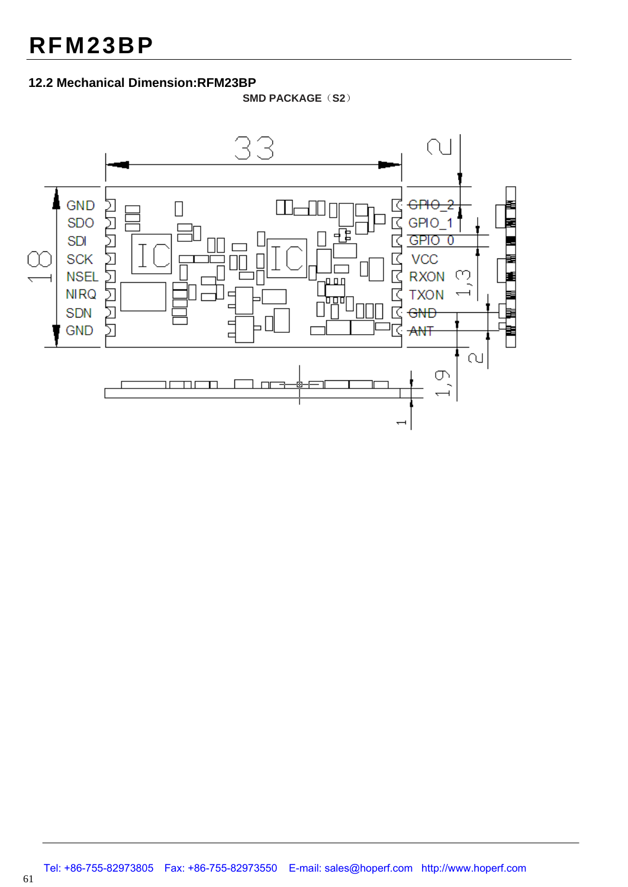#### **12.2 Mechanical Dimension:RFM23BP**

**SMD PACKAGE**(**S2**)



61